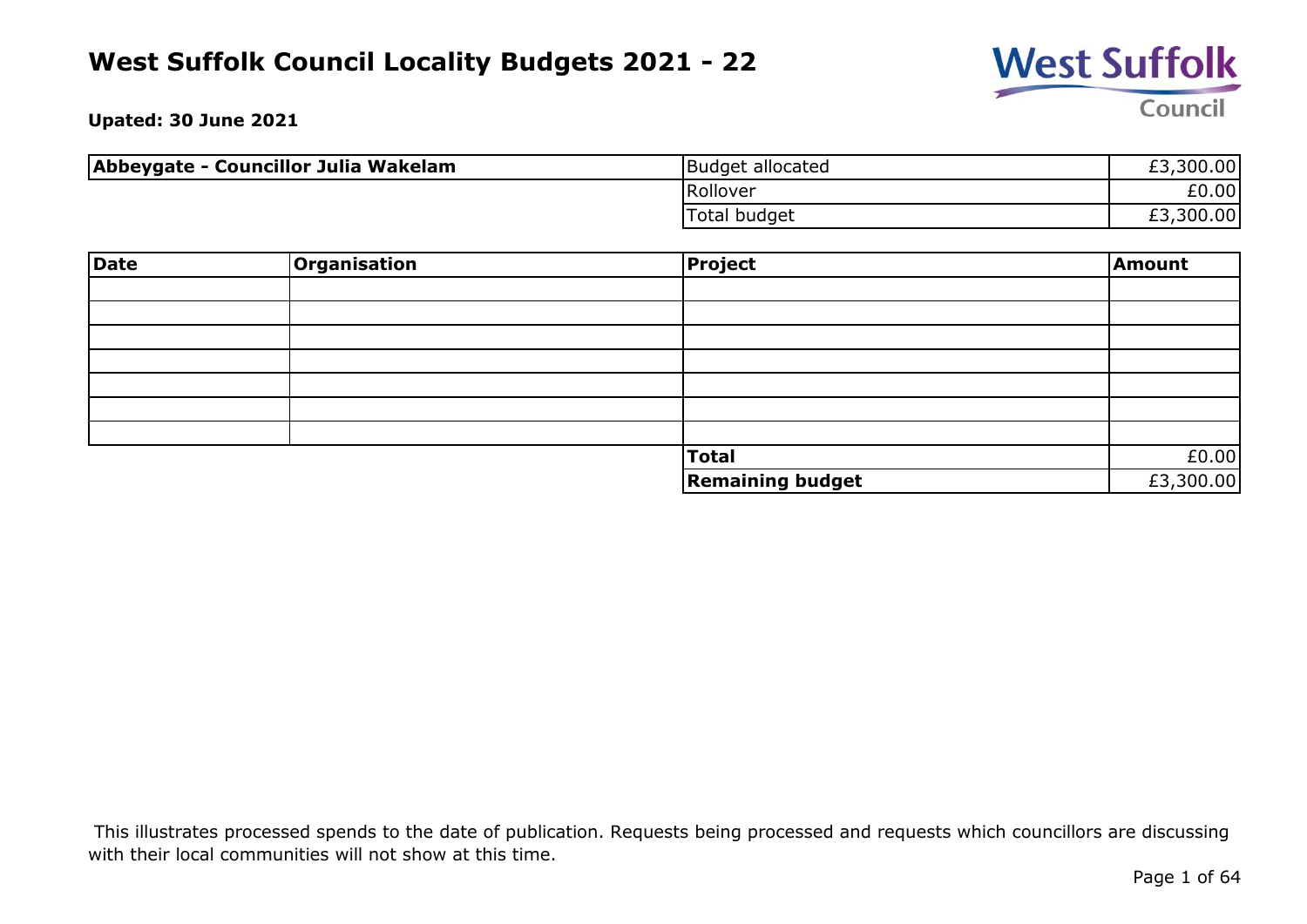

**Upated: 30 June 2021**

| Abbeygate - Councillor Julia Wakelam | Budget allocated | £3,300.00 |
|--------------------------------------|------------------|-----------|
|                                      | Rollover         | £0.00     |
|                                      | Total budget     | £3,300.00 |

| Date | <b>Organisation</b> | <b>Project</b>          | Amount    |
|------|---------------------|-------------------------|-----------|
|      |                     |                         |           |
|      |                     |                         |           |
|      |                     |                         |           |
|      |                     |                         |           |
|      |                     |                         |           |
|      |                     |                         |           |
|      |                     |                         |           |
|      |                     | <b>Total</b>            | £0.00     |
|      |                     | <b>Remaining budget</b> | £3,300.00 |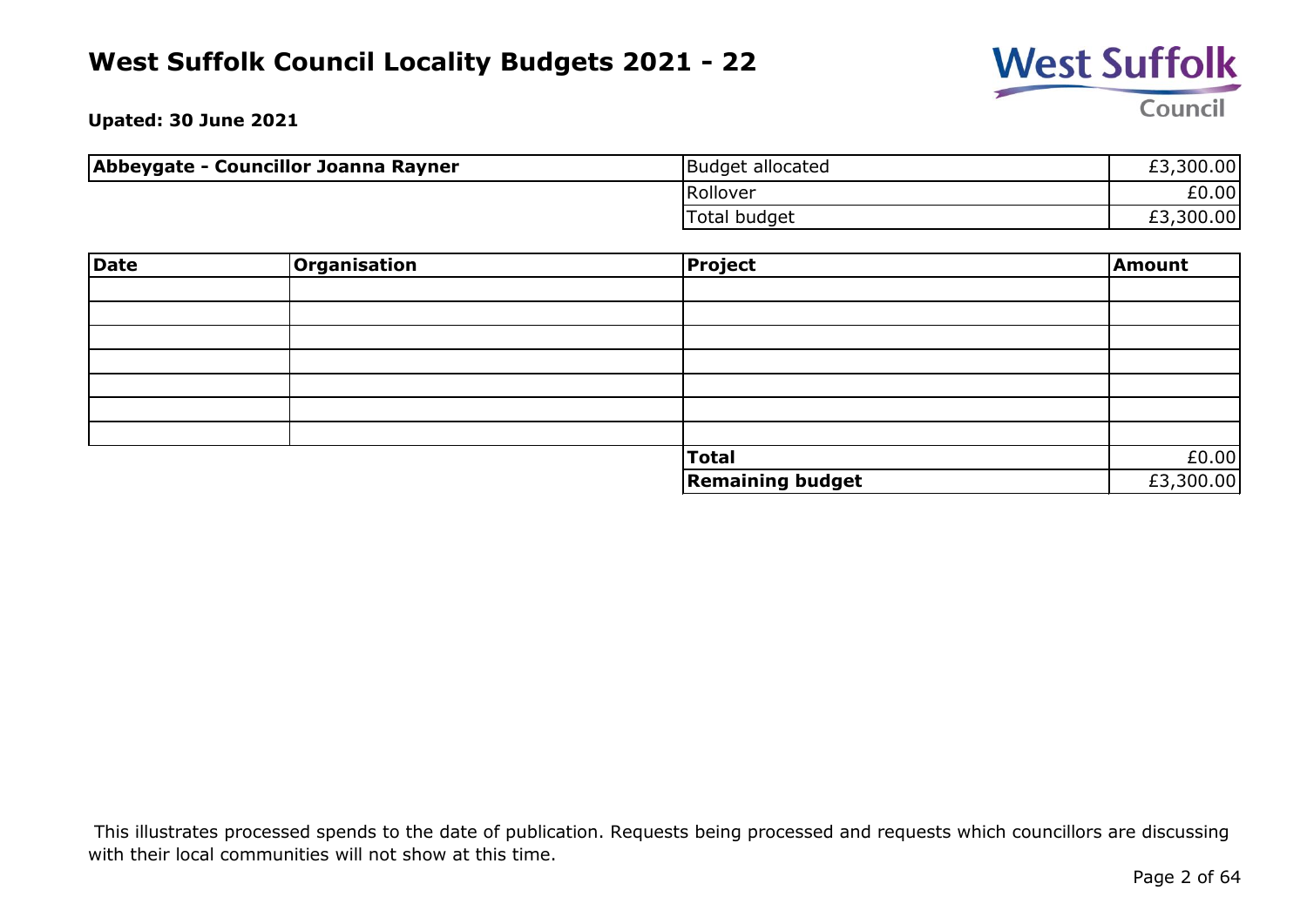

**Upated: 30 June 2021**

| Abbeygate - Councillor Joanna Rayner | Budget allocated | £3,300.00 |
|--------------------------------------|------------------|-----------|
|                                      | Rollover         | £0.00     |
|                                      | Total budget     | £3,300.00 |

| Date | Organisation | <b>Project</b>          | Amount    |
|------|--------------|-------------------------|-----------|
|      |              |                         |           |
|      |              |                         |           |
|      |              |                         |           |
|      |              |                         |           |
|      |              |                         |           |
|      |              |                         |           |
|      |              |                         |           |
|      |              | <b>Total</b>            | £0.00     |
|      |              | <b>Remaining budget</b> | £3,300.00 |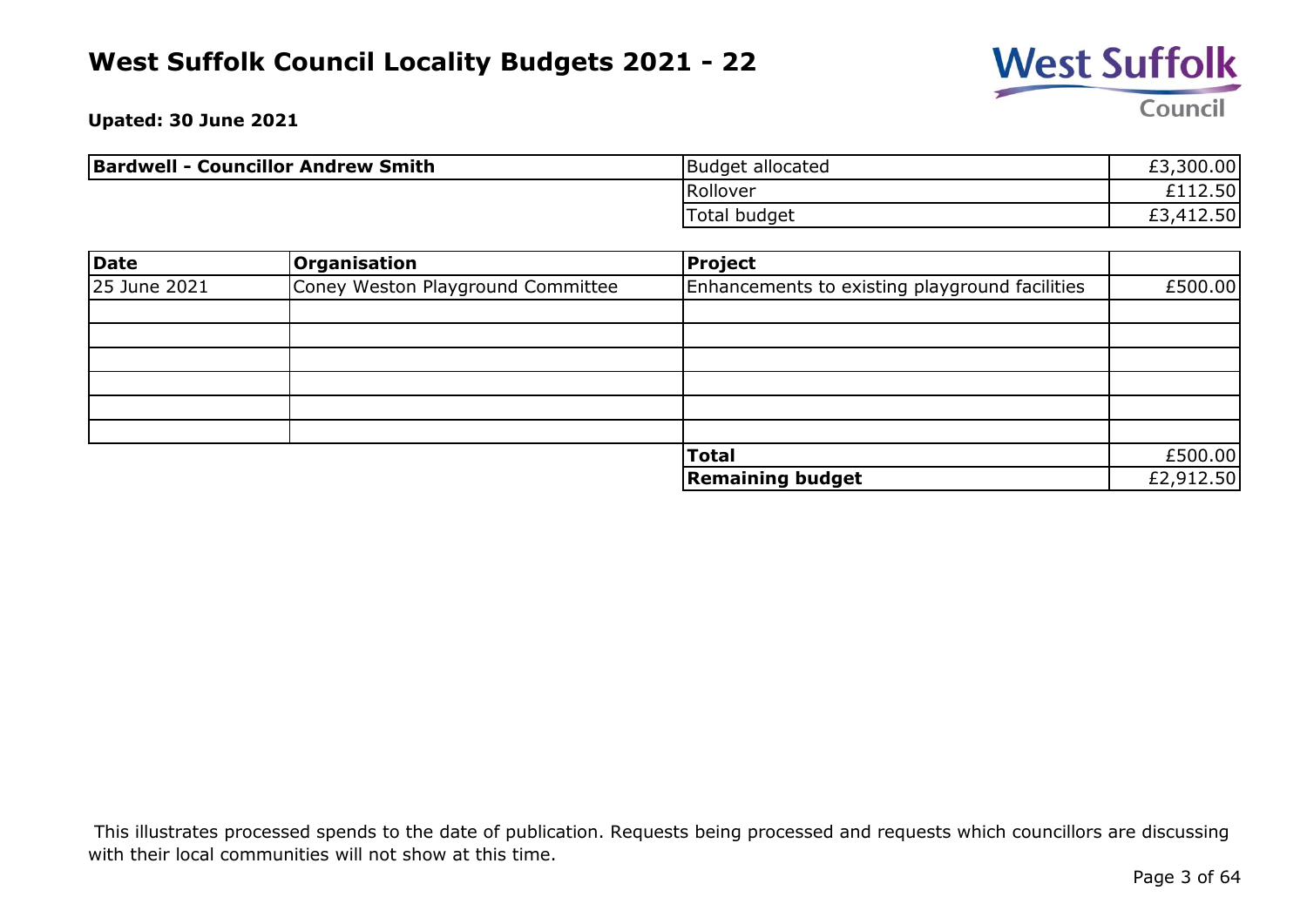

**Upated: 30 June 2021**

| <b>Bardwell - Councillor Andrew Smith</b> | Budget allocated | £3,300.00            |
|-------------------------------------------|------------------|----------------------|
|                                           | Rollover         | £112.50              |
|                                           | Total budget     | 412.50<br>-41<br>ΣJ. |

| Date         | <b>Organisation</b>               | Project                                        |           |
|--------------|-----------------------------------|------------------------------------------------|-----------|
| 25 June 2021 | Coney Weston Playground Committee | Enhancements to existing playground facilities | £500.00   |
|              |                                   |                                                |           |
|              |                                   |                                                |           |
|              |                                   |                                                |           |
|              |                                   |                                                |           |
|              |                                   |                                                |           |
|              |                                   |                                                |           |
|              |                                   | <b>Total</b>                                   | £500.00   |
|              |                                   | <b>Remaining budget</b>                        | £2,912.50 |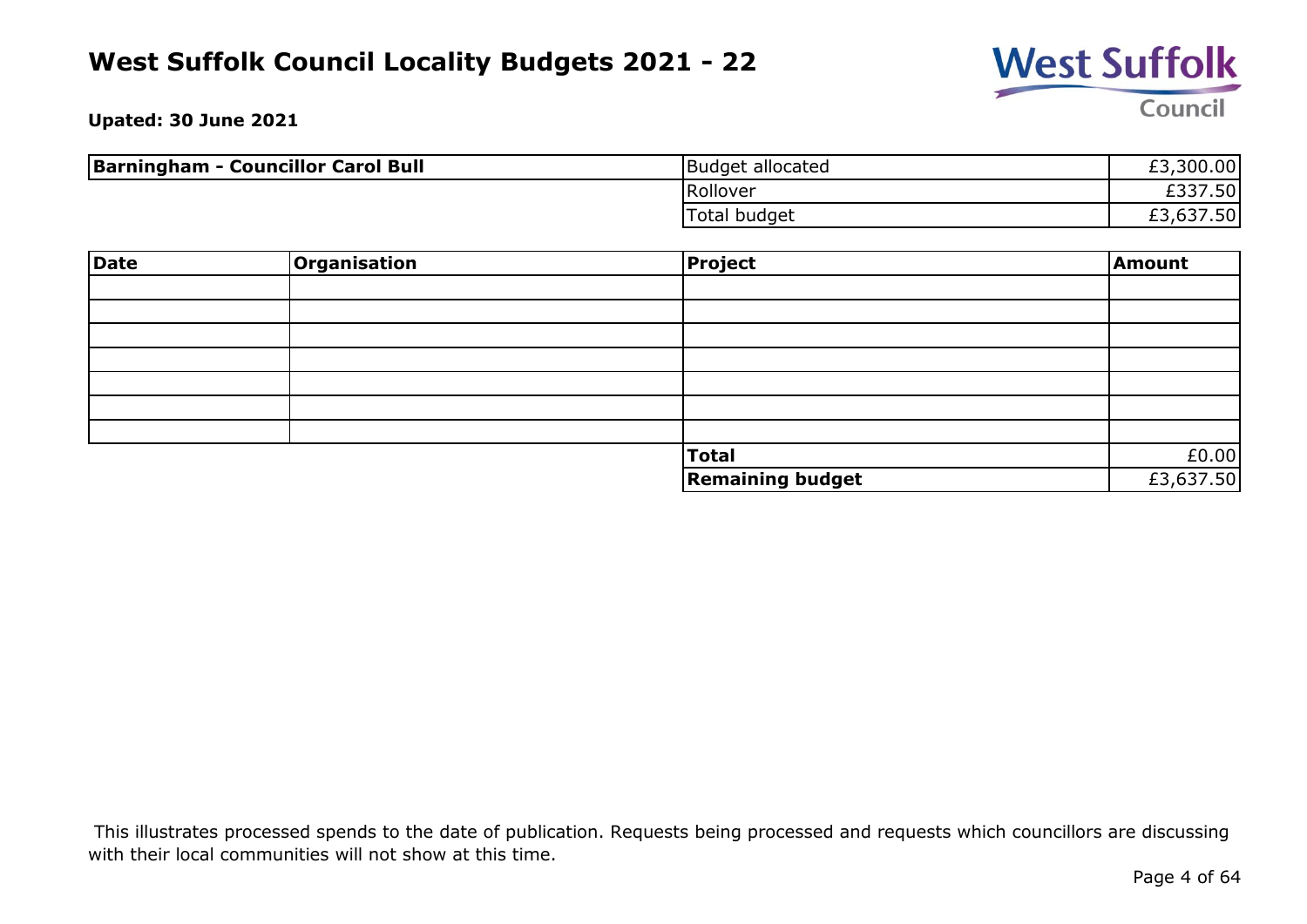

**Upated: 30 June 2021**

| <b>Barningham - Councillor Carol Bull</b> | Budget allocated    | £3,300.00 |
|-------------------------------------------|---------------------|-----------|
|                                           | Rollover            | £337.50   |
|                                           | <b>Total budget</b> | £3,637.50 |

| Date | Organisation | Project                 | Amount    |
|------|--------------|-------------------------|-----------|
|      |              |                         |           |
|      |              |                         |           |
|      |              |                         |           |
|      |              |                         |           |
|      |              |                         |           |
|      |              |                         |           |
|      |              |                         |           |
|      |              | Total                   | £0.00     |
|      |              | <b>Remaining budget</b> | £3,637.50 |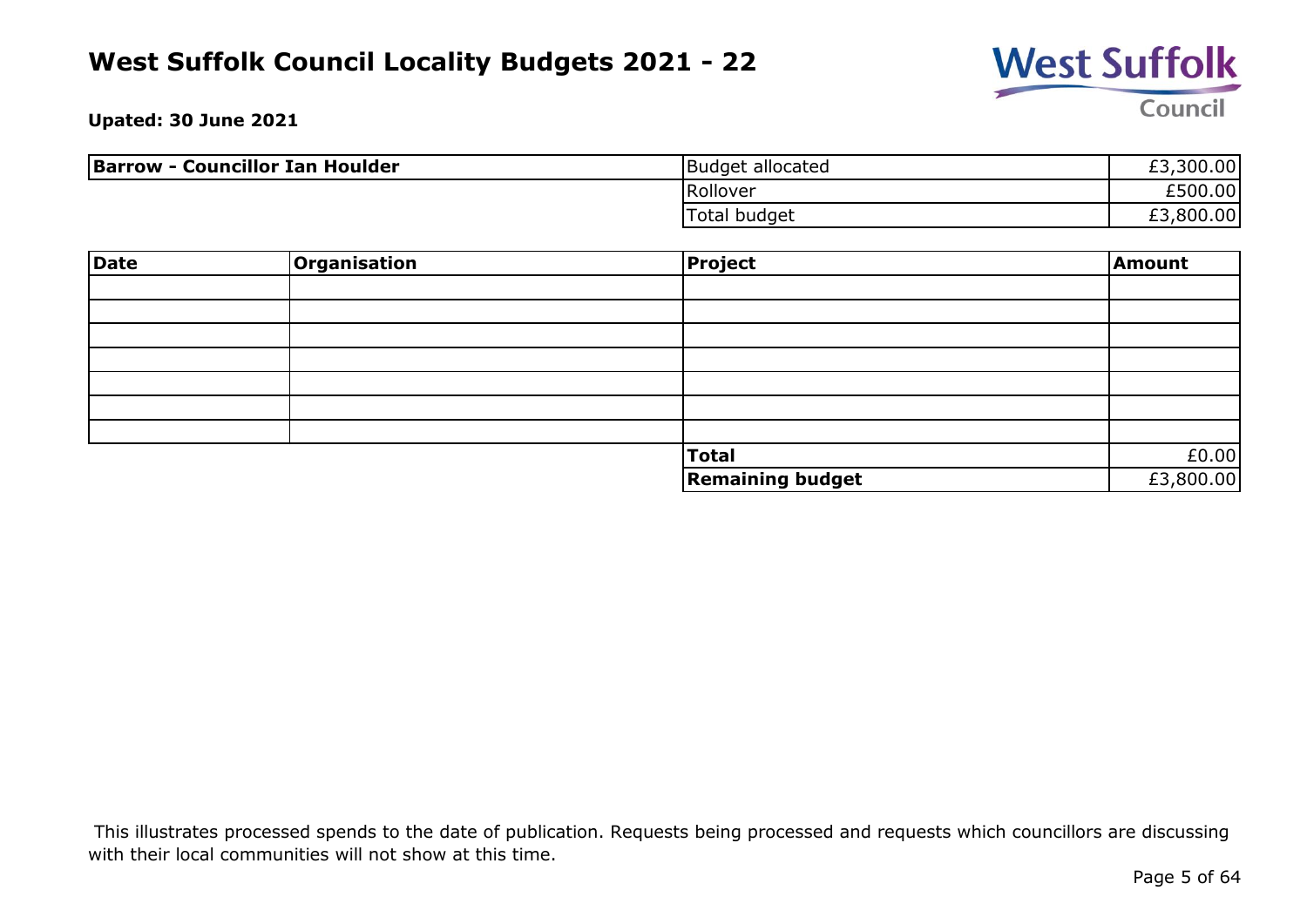

**Upated: 30 June 2021**

| <b>Barrow - Councillor Ian Houlder</b> | Budget allocated | £3,300.00 |
|----------------------------------------|------------------|-----------|
|                                        | Rollover         | £500.00   |
|                                        | Total budget     | £3,800.00 |

| Date | Organisation | Project                 | Amount    |
|------|--------------|-------------------------|-----------|
|      |              |                         |           |
|      |              |                         |           |
|      |              |                         |           |
|      |              |                         |           |
|      |              |                         |           |
|      |              |                         |           |
|      |              |                         |           |
|      |              | Total                   | £0.00     |
|      |              | <b>Remaining budget</b> | £3,800.00 |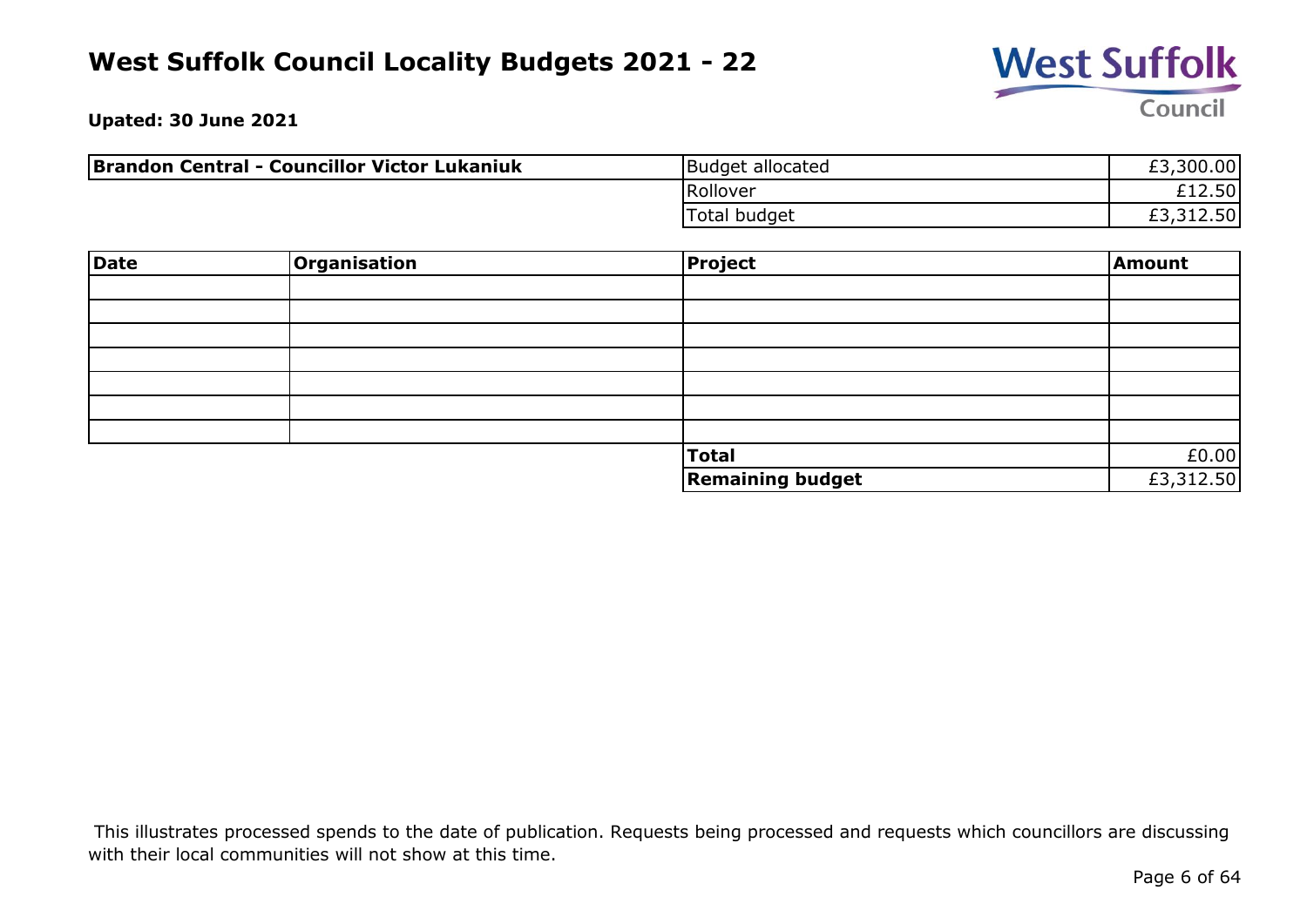

**Upated: 30 June 2021**

| Brandon Central - Councillor Victor Lukaniuk | Budget allocated | £3,300.00 |
|----------------------------------------------|------------------|-----------|
|                                              | Rollover         | £12.50    |
|                                              | Total budget     | £3,312.50 |

| <b>Date</b> | Organisation | <b>Project</b>          | Amount    |
|-------------|--------------|-------------------------|-----------|
|             |              |                         |           |
|             |              |                         |           |
|             |              |                         |           |
|             |              |                         |           |
|             |              |                         |           |
|             |              |                         |           |
|             |              |                         |           |
|             |              | <b>Total</b>            | £0.00     |
|             |              | <b>Remaining budget</b> | £3,312.50 |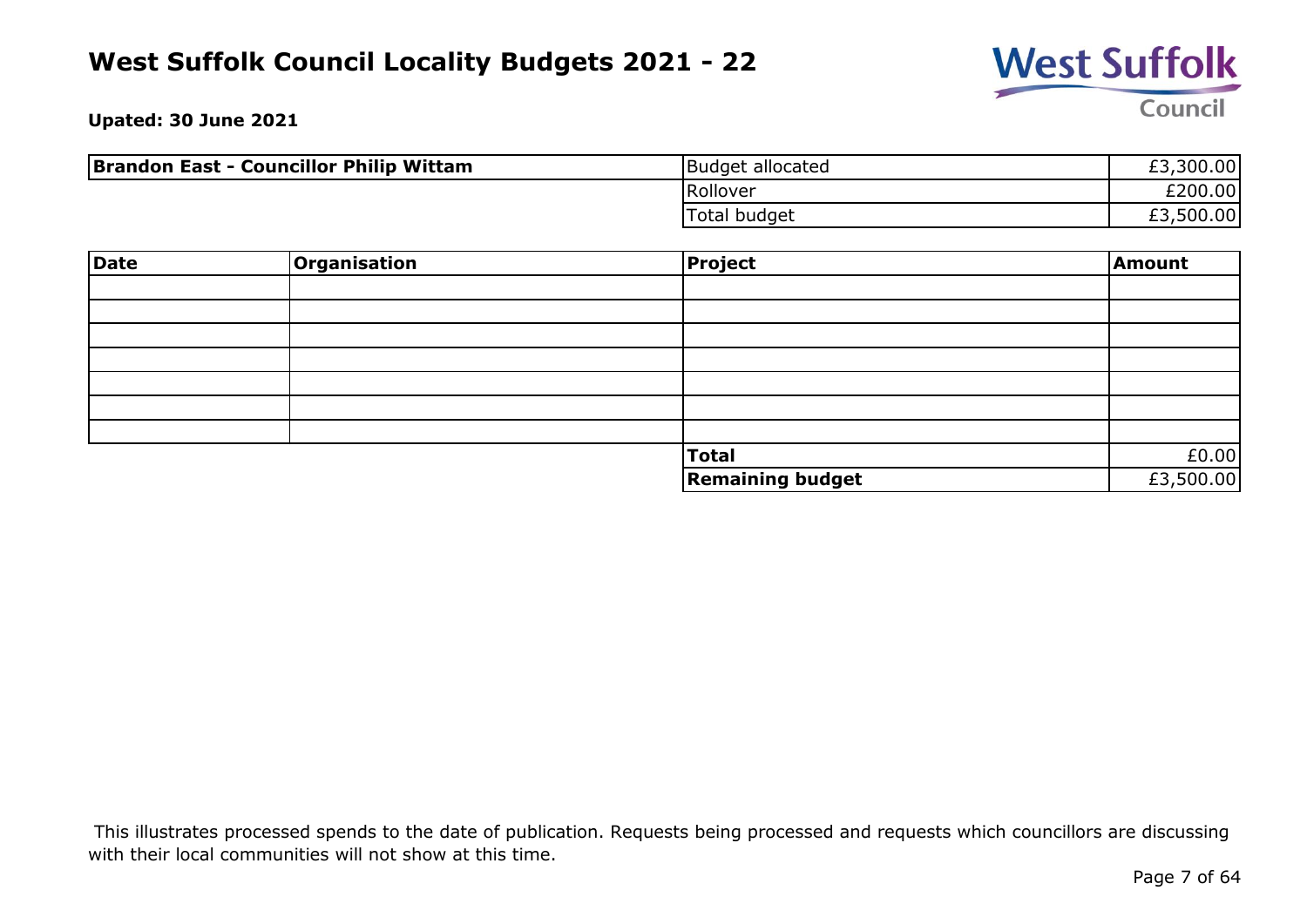

**Upated: 30 June 2021**

| <b>Brandon East - Councillor Philip Wittam</b> | Budget allocated | £3,300.00 |
|------------------------------------------------|------------------|-----------|
|                                                | Rollover         | £200.00   |
|                                                | Total budget     | £3,500.00 |

| Date | <b>Organisation</b> | <b>Project</b>          | Amount    |
|------|---------------------|-------------------------|-----------|
|      |                     |                         |           |
|      |                     |                         |           |
|      |                     |                         |           |
|      |                     |                         |           |
|      |                     |                         |           |
|      |                     |                         |           |
|      |                     |                         |           |
|      |                     | <b>Total</b>            | £0.00     |
|      |                     | <b>Remaining budget</b> | £3,500.00 |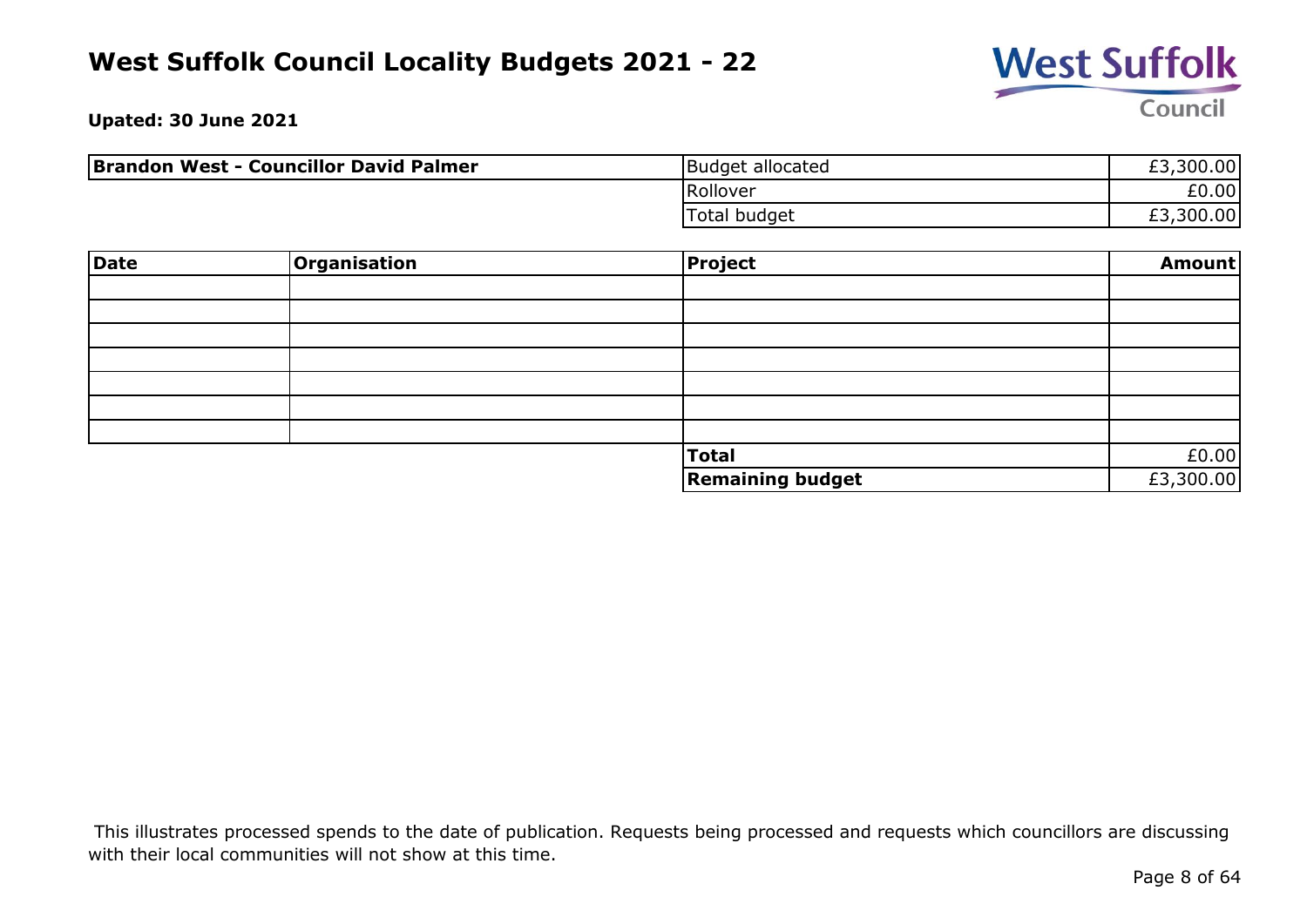

**Upated: 30 June 2021**

| <b>Brandon West - Councillor David Palmer</b> | Budget allocated    | £3,300.00 |
|-----------------------------------------------|---------------------|-----------|
|                                               | Rollover            | £0.00     |
|                                               | <b>Total budget</b> | £3,300.00 |

| <b>Date</b> | Organisation | <b>Project</b>          | Amount    |
|-------------|--------------|-------------------------|-----------|
|             |              |                         |           |
|             |              |                         |           |
|             |              |                         |           |
|             |              |                         |           |
|             |              |                         |           |
|             |              |                         |           |
|             |              |                         |           |
|             |              | <b>Total</b>            | £0.00     |
|             |              | <b>Remaining budget</b> | £3,300.00 |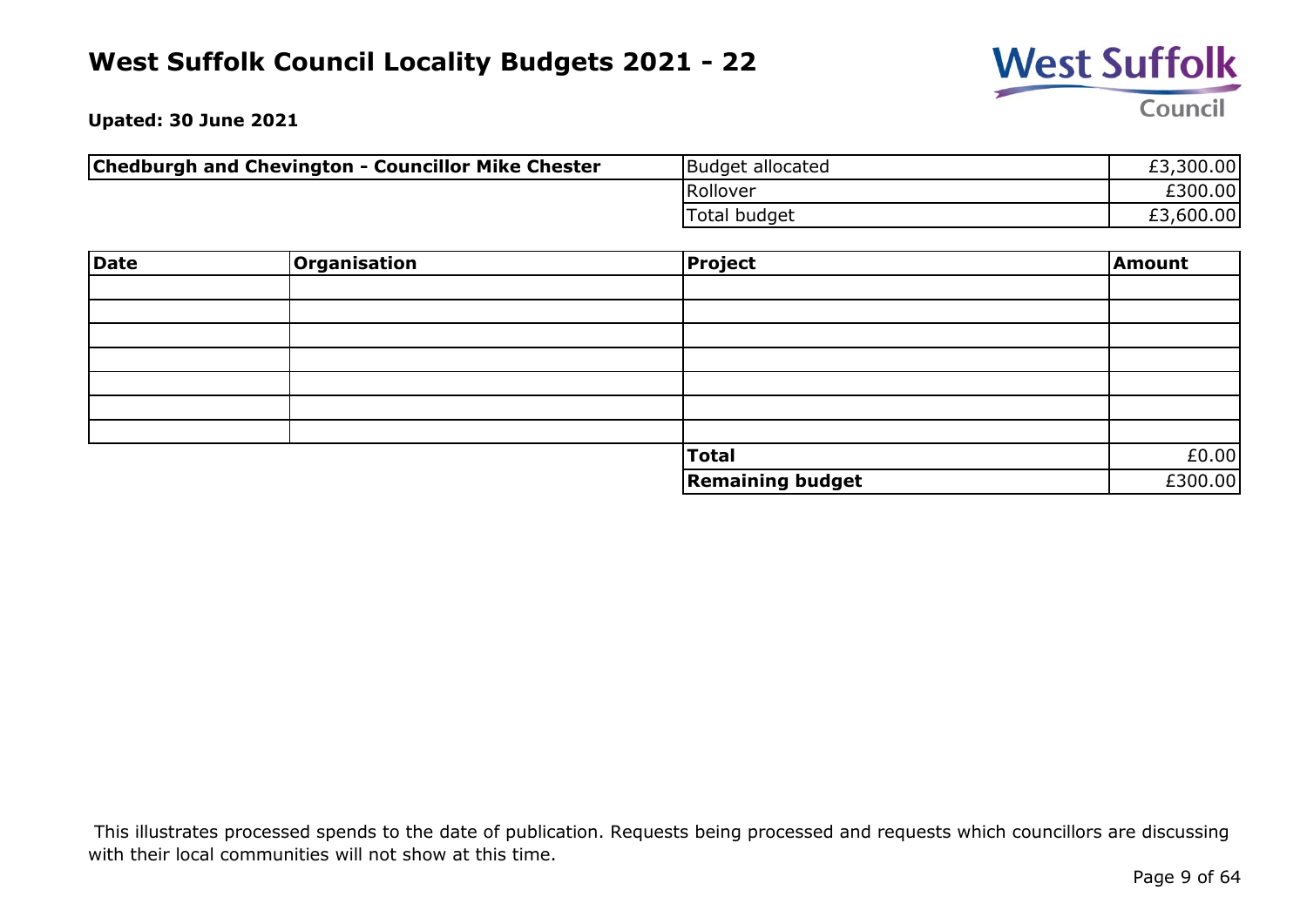

**Upated: 30 June 2021**

| <b>Chedburgh and Chevington - Councillor Mike Chester</b> | Budget allocated | £3,300.00 |
|-----------------------------------------------------------|------------------|-----------|
|                                                           | Rollover         | £300.00   |
|                                                           | 'Total budget    | £3,600.00 |

| <b>Date</b> | Organisation | <b>Project</b>          | Amount  |
|-------------|--------------|-------------------------|---------|
|             |              |                         |         |
|             |              |                         |         |
|             |              |                         |         |
|             |              |                         |         |
|             |              |                         |         |
|             |              |                         |         |
|             |              |                         |         |
|             |              | <b>Total</b>            | £0.00   |
|             |              | <b>Remaining budget</b> | £300.00 |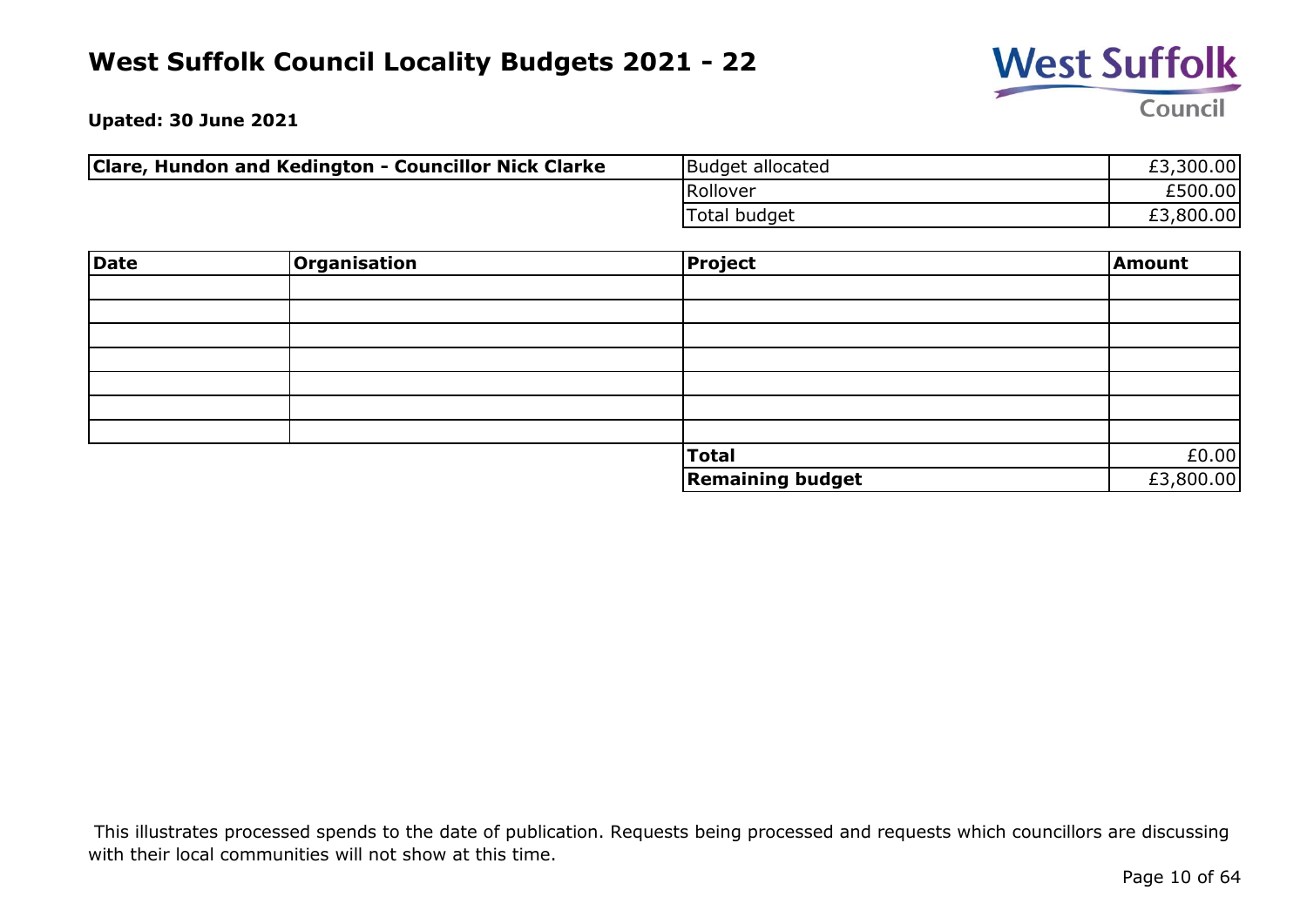

**Upated: 30 June 2021**

| Clare, Hundon and Kedington - Councillor Nick Clarke | Budget allocated | £3,300.00 |
|------------------------------------------------------|------------------|-----------|
|                                                      | Rollover         | £500.00   |
|                                                      | 'Total budget    | £3,800.00 |

| Date | Organisation | Project                 | Amount    |
|------|--------------|-------------------------|-----------|
|      |              |                         |           |
|      |              |                         |           |
|      |              |                         |           |
|      |              |                         |           |
|      |              |                         |           |
|      |              |                         |           |
|      |              |                         |           |
|      |              | Total                   | £0.00     |
|      |              | <b>Remaining budget</b> | £3,800.00 |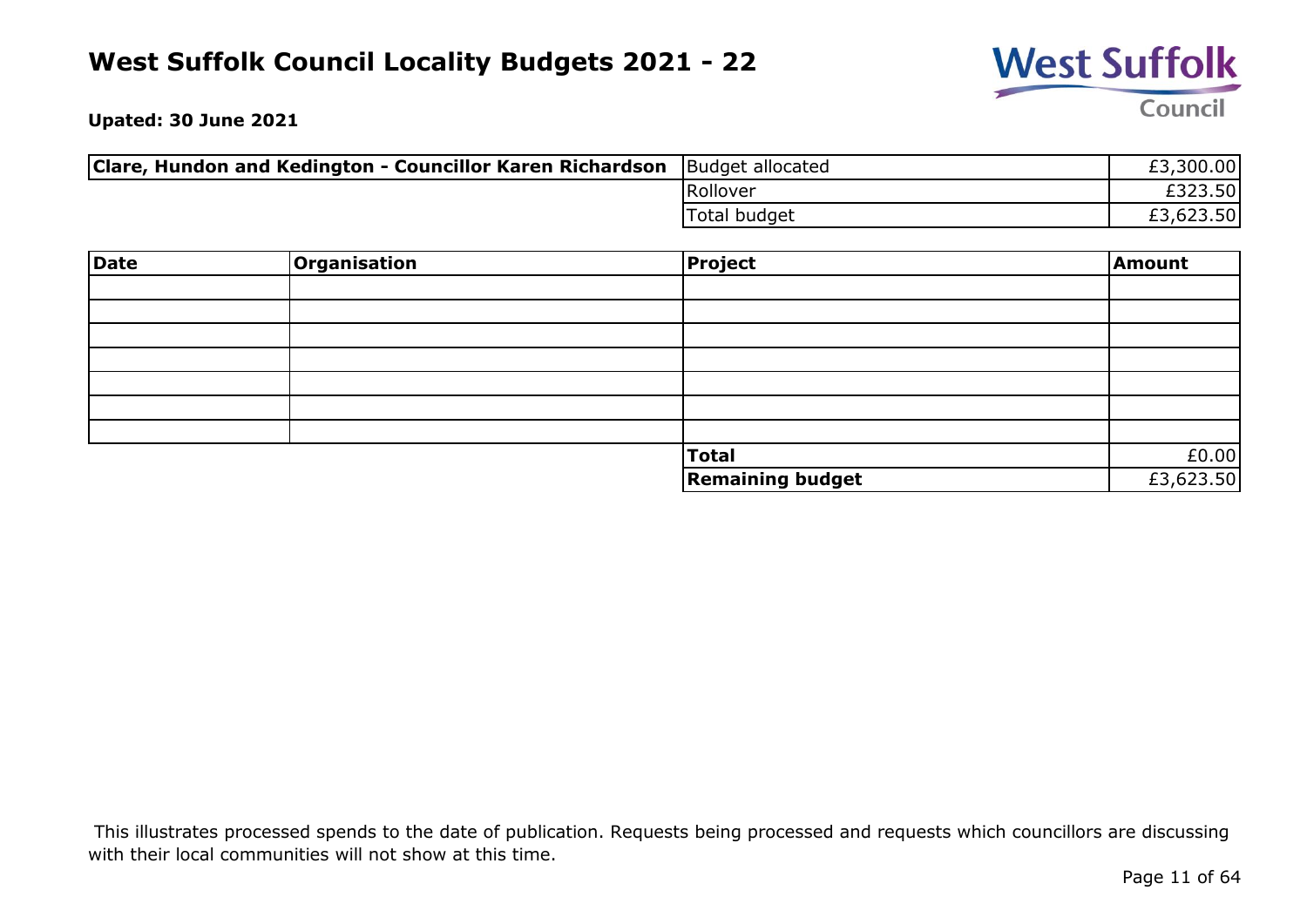

**Upated: 30 June 2021**

| Clare, Hundon and Kedington - Councillor Karen Richardson | Budget allocated | £3,300.00 |
|-----------------------------------------------------------|------------------|-----------|
|                                                           | Rollover         | £323.50   |
|                                                           | 'Total budget    | £3,623.50 |

| <b>Date</b> | <b>Organisation</b> | <b>Project</b>          | Amount    |
|-------------|---------------------|-------------------------|-----------|
|             |                     |                         |           |
|             |                     |                         |           |
|             |                     |                         |           |
|             |                     |                         |           |
|             |                     |                         |           |
|             |                     |                         |           |
|             |                     |                         |           |
|             |                     | <b>Total</b>            | £0.00     |
|             |                     | <b>Remaining budget</b> | £3,623.50 |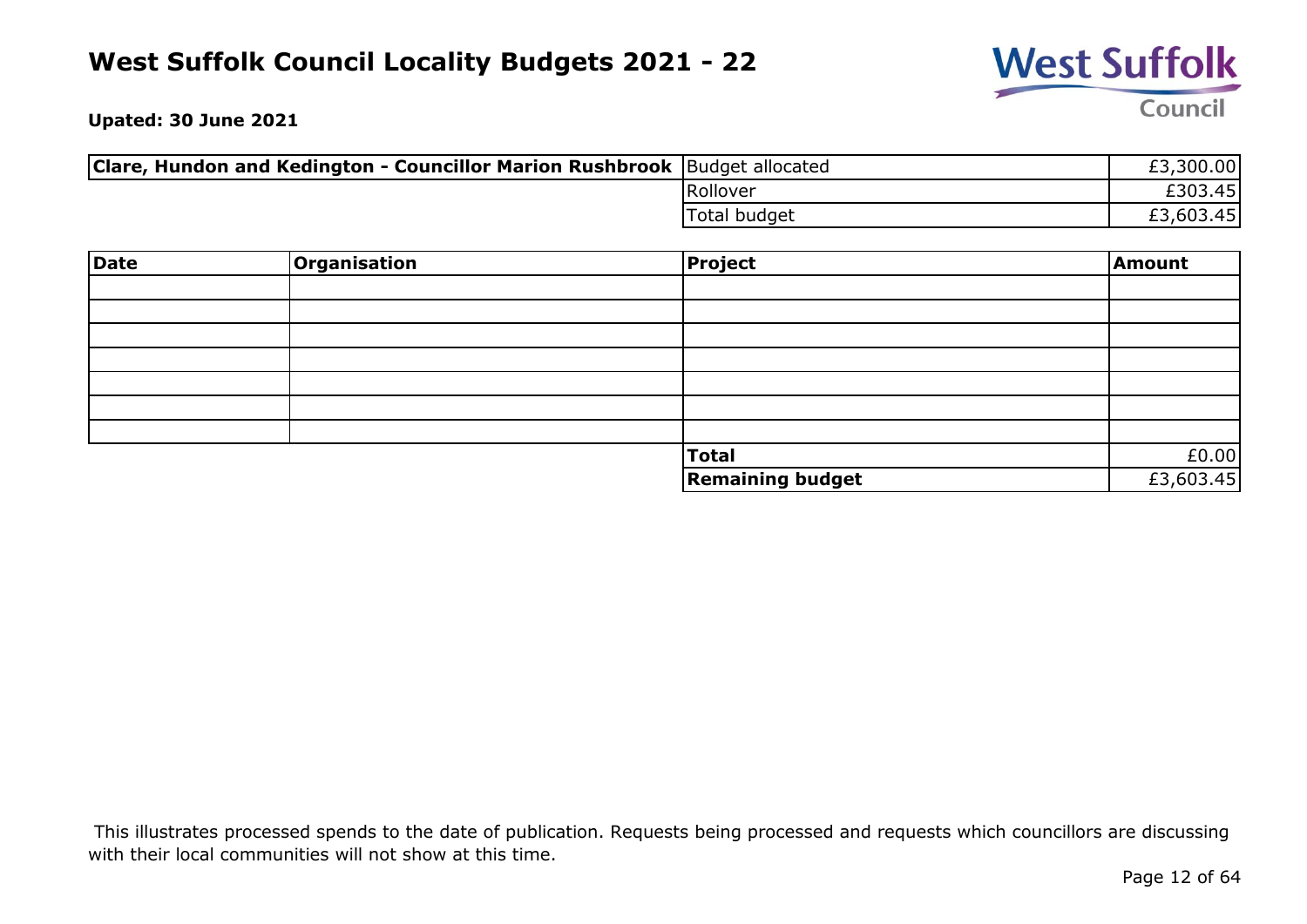

**Upated: 30 June 2021**

| <b>Clare, Hundon and Kedington - Councillor Marion Rushbrook</b> Budget allocated |               | £3,300.00 |
|-----------------------------------------------------------------------------------|---------------|-----------|
|                                                                                   | Rollover      | £303.45l  |
|                                                                                   | 'Total budget | £3,603.45 |

| <b>Date</b> | <b>Organisation</b> | <b>Project</b>          | Amount    |
|-------------|---------------------|-------------------------|-----------|
|             |                     |                         |           |
|             |                     |                         |           |
|             |                     |                         |           |
|             |                     |                         |           |
|             |                     |                         |           |
|             |                     |                         |           |
|             |                     |                         |           |
|             |                     | <b>Total</b>            | £0.00     |
|             |                     | <b>Remaining budget</b> | £3,603.45 |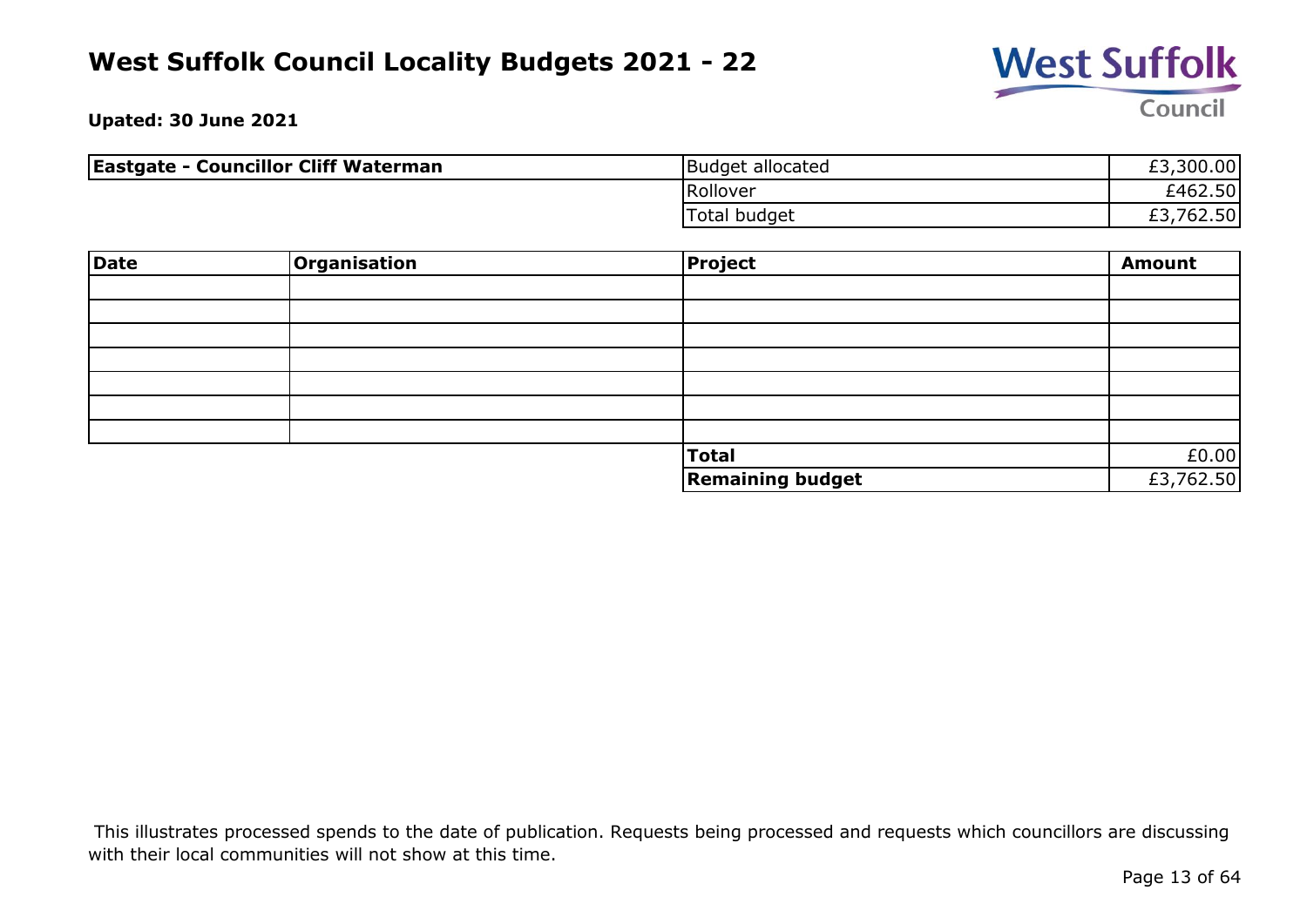

**Upated: 30 June 2021**

| <b>Eastgate - Councillor Cliff Waterman</b> | Budget allocated | £3,300.00    |
|---------------------------------------------|------------------|--------------|
|                                             | Rollover         | £462.50      |
|                                             | Total budget     | 762.50<br>£3 |

| <b>Date</b> | Organisation | <b>Project</b>          | <b>Amount</b> |
|-------------|--------------|-------------------------|---------------|
|             |              |                         |               |
|             |              |                         |               |
|             |              |                         |               |
|             |              |                         |               |
|             |              |                         |               |
|             |              |                         |               |
|             |              |                         |               |
|             |              | <b>Total</b>            | £0.00         |
|             |              | <b>Remaining budget</b> | £3,762.50     |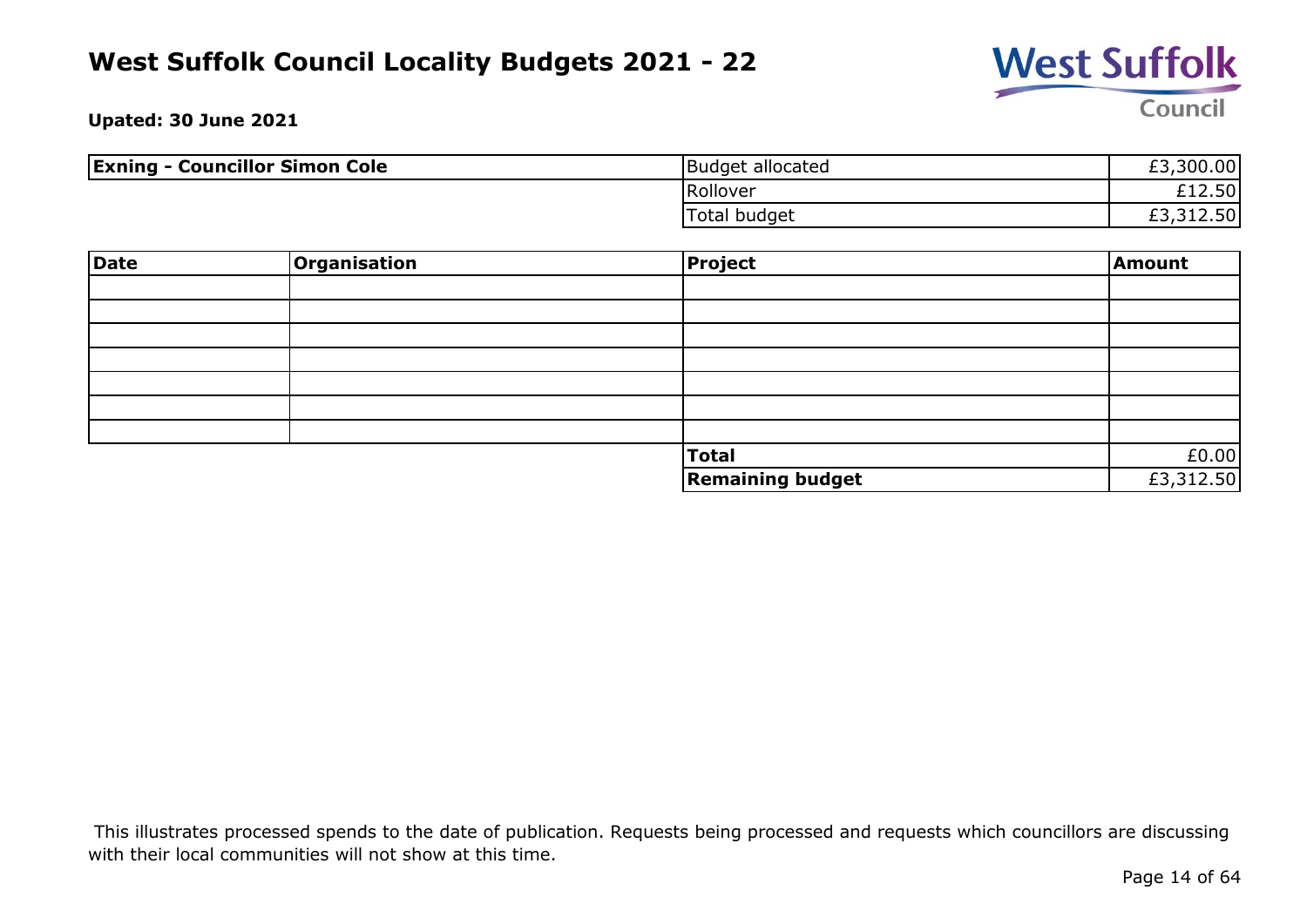

**Upated: 30 June 2021**

| <b>Exning - Councillor Simon Cole</b> | Budget allocated | £3,300.00 |
|---------------------------------------|------------------|-----------|
|                                       | Rollover         | £12.50    |
|                                       | Total budget     | £3,312.50 |

| Date | Organisation | <b>Project</b>          | Amount    |
|------|--------------|-------------------------|-----------|
|      |              |                         |           |
|      |              |                         |           |
|      |              |                         |           |
|      |              |                         |           |
|      |              |                         |           |
|      |              |                         |           |
|      |              |                         |           |
|      |              | Total                   | £0.00     |
|      |              | <b>Remaining budget</b> | £3,312.50 |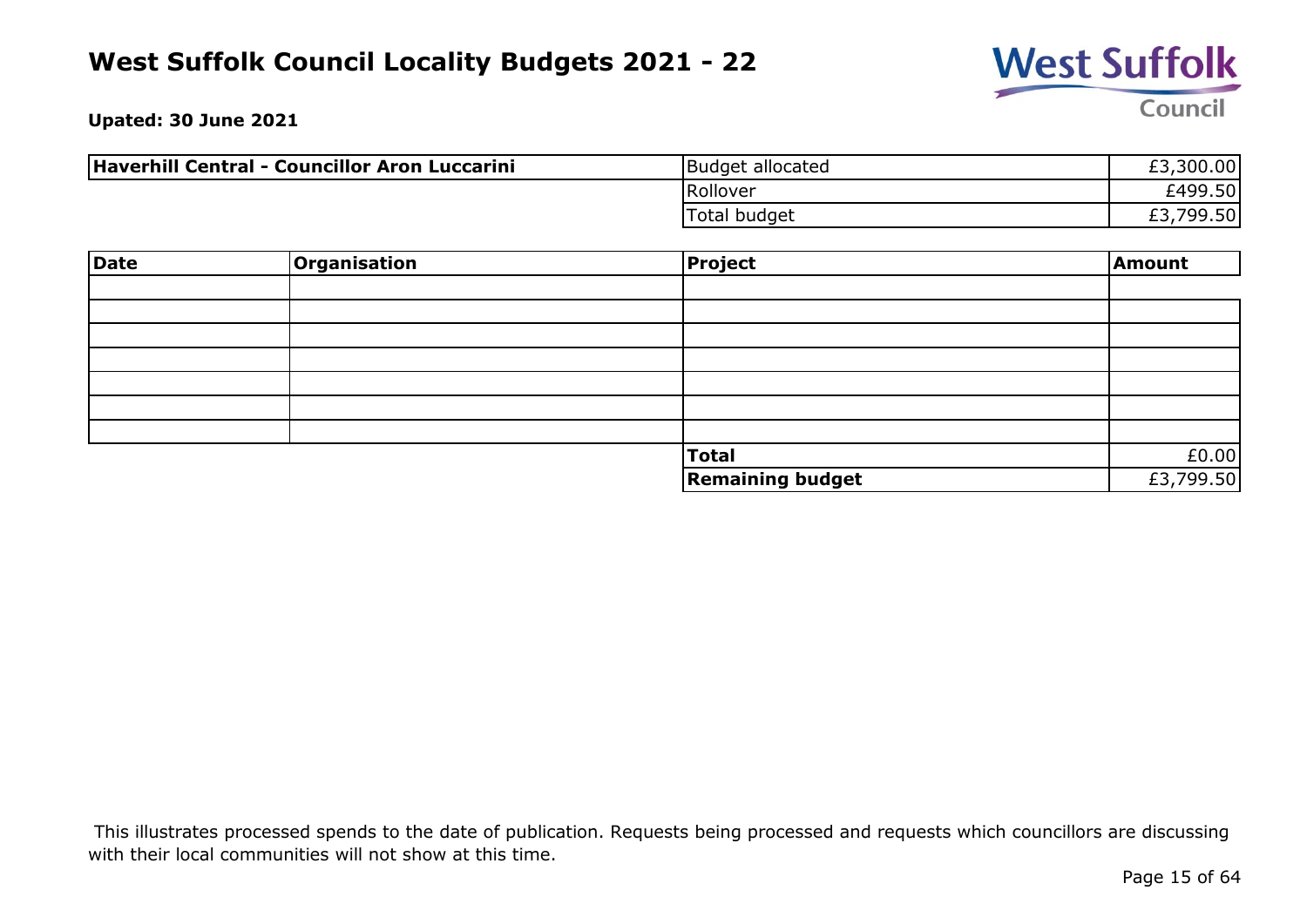

**Upated: 30 June 2021**

| Haverhill Central - Councillor Aron Luccarini | Budget allocated | £3,300.00             |
|-----------------------------------------------|------------------|-----------------------|
|                                               | Rollover         | £499.50               |
|                                               | Total budget     | ,799.50 <br>r p<br>とつ |

| Date | Organisation | Project                 | Amount    |
|------|--------------|-------------------------|-----------|
|      |              |                         |           |
|      |              |                         |           |
|      |              |                         |           |
|      |              |                         |           |
|      |              |                         |           |
|      |              |                         |           |
|      |              |                         |           |
|      |              | <b>Total</b>            | £0.00     |
|      |              | <b>Remaining budget</b> | £3,799.50 |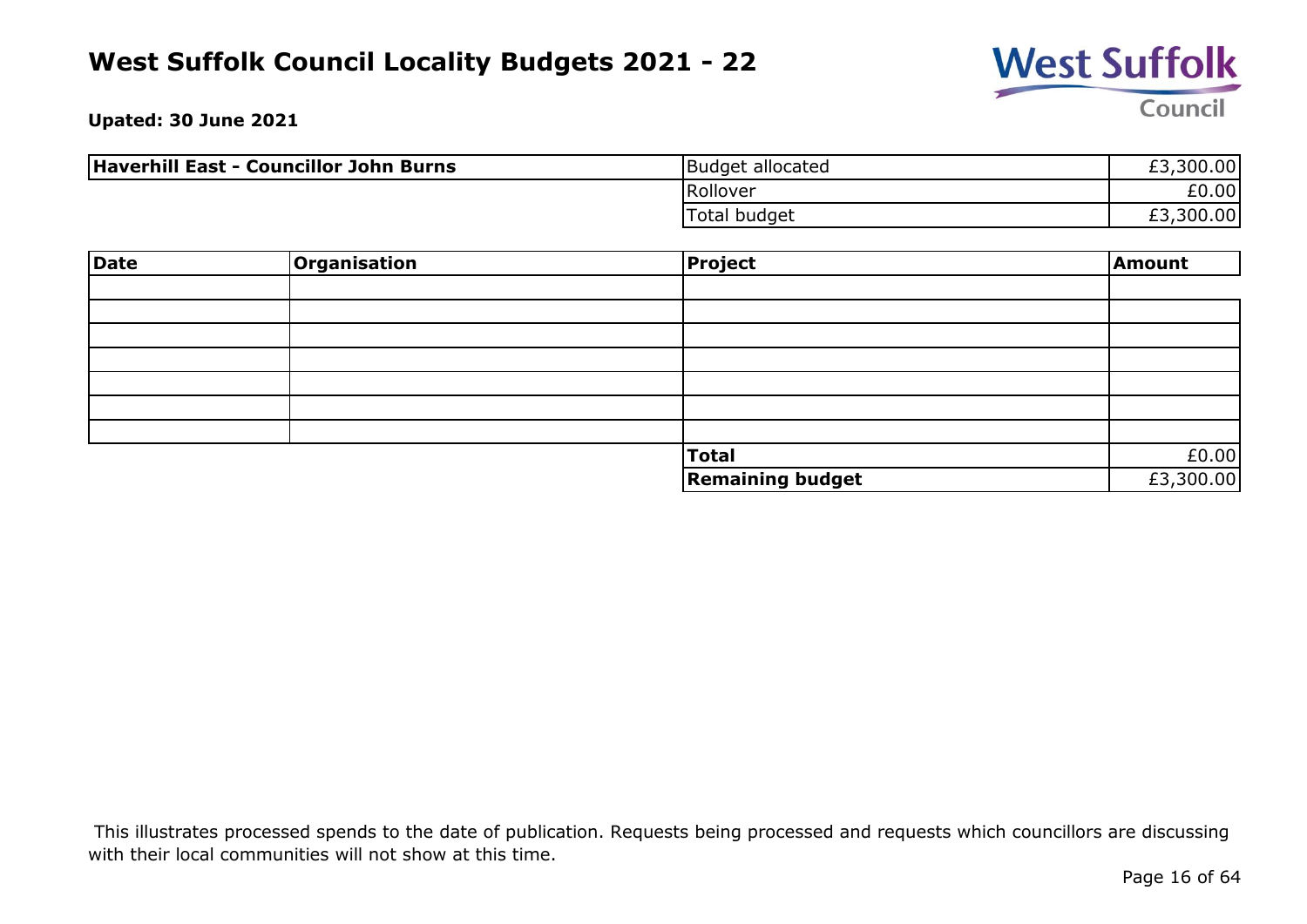

**Upated: 30 June 2021**

| Haverhill East - Councillor John Burns | Budget allocated | £3,300.00 |
|----------------------------------------|------------------|-----------|
|                                        | Rollover         | £0.00     |
|                                        | Total budget     | £3,300.00 |

| Date | Organisation | Project                 | Amount    |
|------|--------------|-------------------------|-----------|
|      |              |                         |           |
|      |              |                         |           |
|      |              |                         |           |
|      |              |                         |           |
|      |              |                         |           |
|      |              |                         |           |
|      |              |                         |           |
|      |              | Total                   | £0.00     |
|      |              | <b>Remaining budget</b> | £3,300.00 |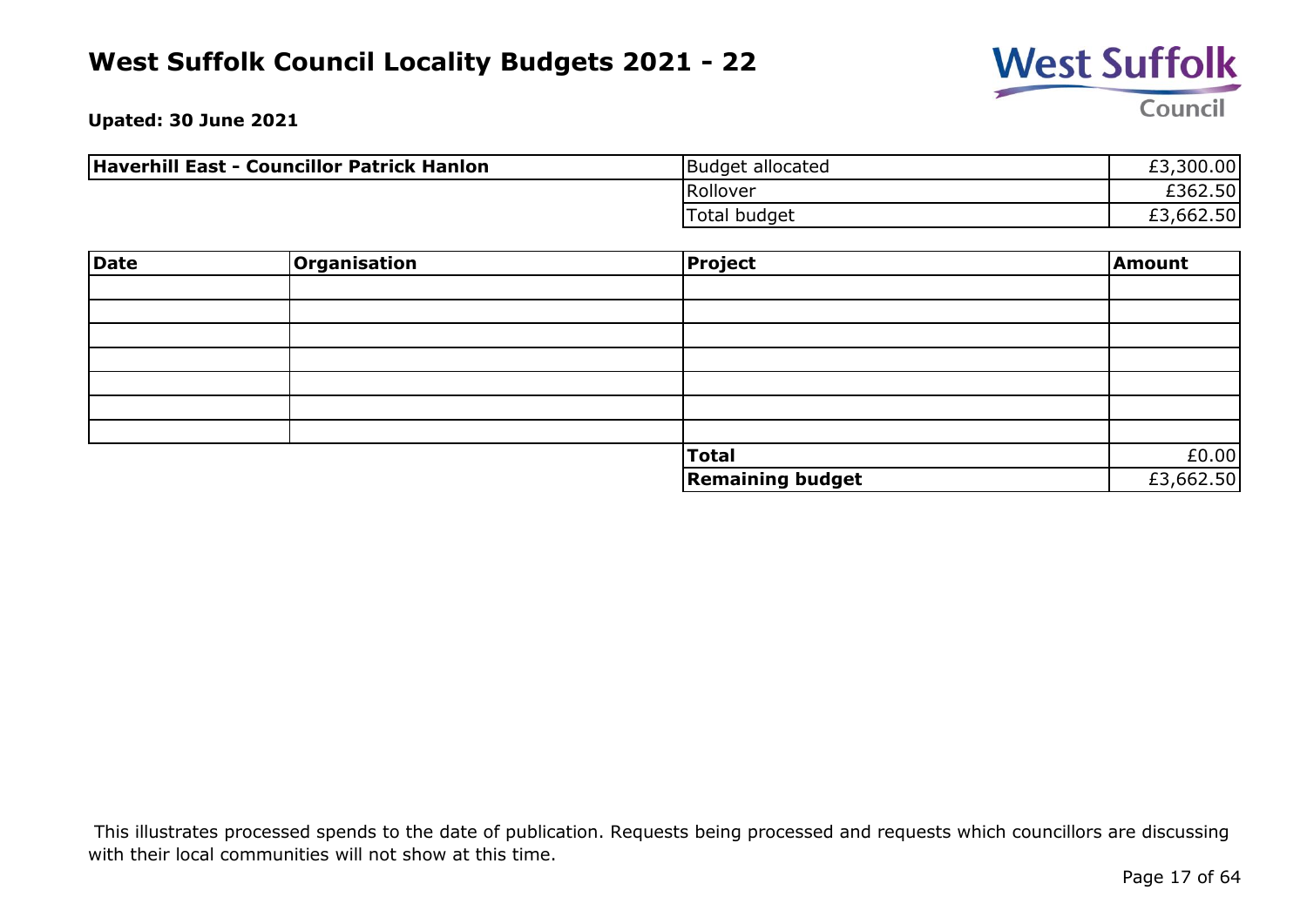

**Upated: 30 June 2021**

| Haverhill East - Councillor Patrick Hanlon | Budget allocated | £3,300.00 |
|--------------------------------------------|------------------|-----------|
|                                            | Rollover         | £362.50   |
|                                            | Total budget     | £3,662.50 |

| Date | <b>Organisation</b> | <b>Project</b>          | Amount    |
|------|---------------------|-------------------------|-----------|
|      |                     |                         |           |
|      |                     |                         |           |
|      |                     |                         |           |
|      |                     |                         |           |
|      |                     |                         |           |
|      |                     |                         |           |
|      |                     |                         |           |
|      |                     | <b>Total</b>            | £0.00     |
|      |                     | <b>Remaining budget</b> | £3,662.50 |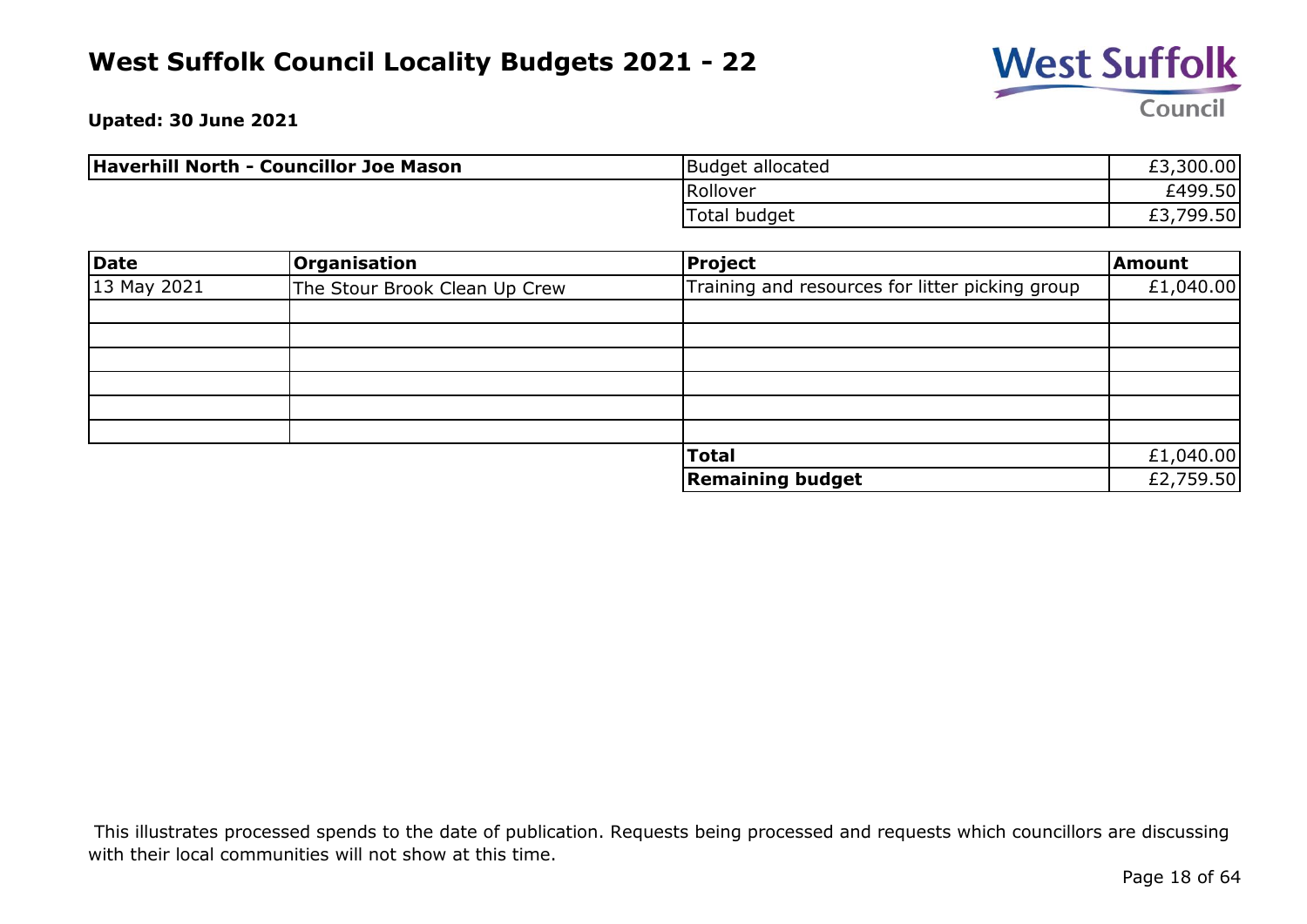

**Upated: 30 June 2021**

| Haverhill North - Councillor Joe Mason | Budget allocated | £3,300.00            |
|----------------------------------------|------------------|----------------------|
|                                        | Rollover         | £499.50              |
|                                        | Total budget     | ,799.50<br>rっ<br>LJ. |

| Date        | Organisation                  | Project                                         | Amount    |
|-------------|-------------------------------|-------------------------------------------------|-----------|
| 13 May 2021 | The Stour Brook Clean Up Crew | Training and resources for litter picking group | £1,040.00 |
|             |                               |                                                 |           |
|             |                               |                                                 |           |
|             |                               |                                                 |           |
|             |                               |                                                 |           |
|             |                               |                                                 |           |
|             |                               |                                                 |           |
|             |                               | <b>Total</b>                                    | £1,040.00 |
|             |                               | <b>Remaining budget</b>                         | £2,759.50 |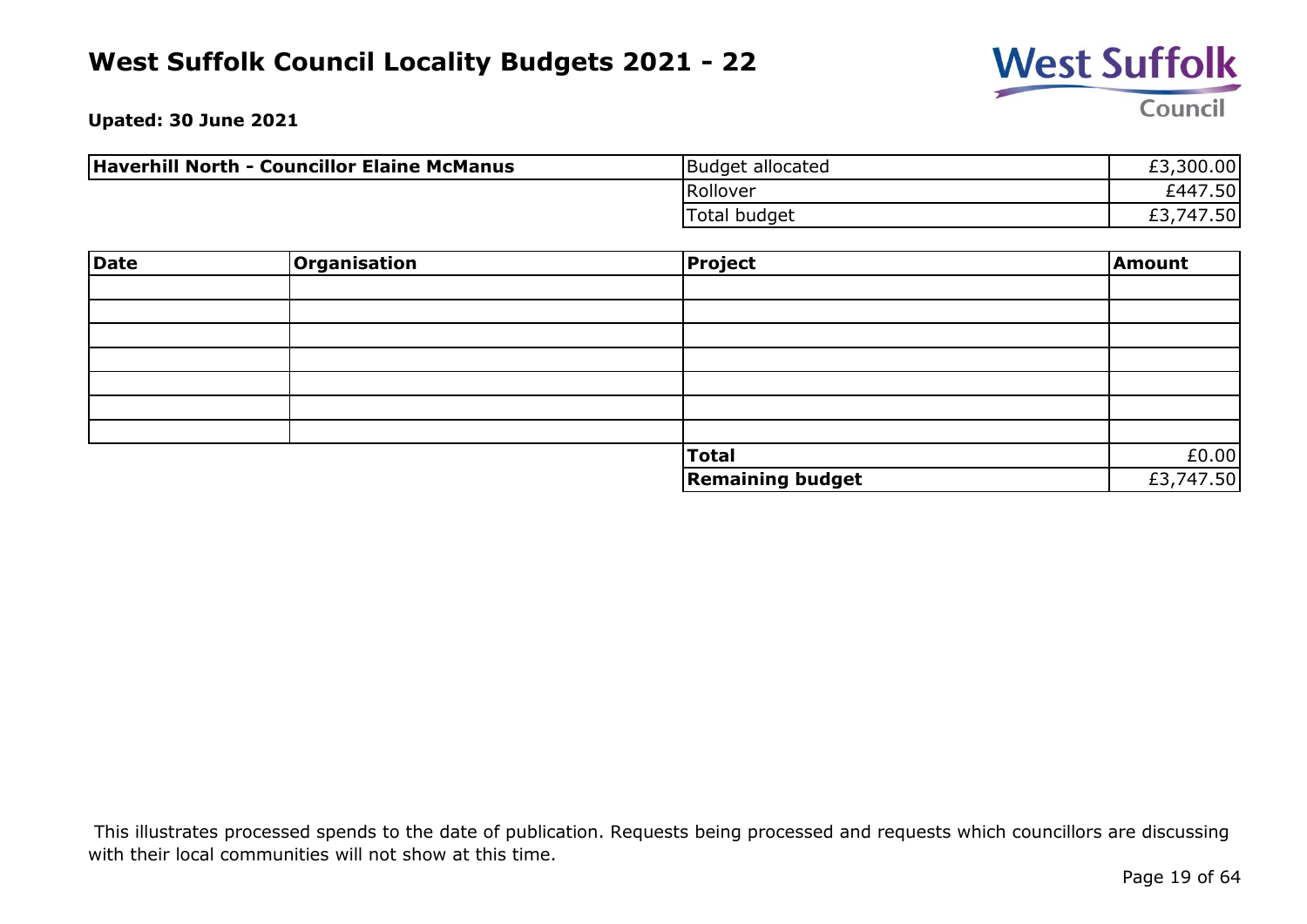

**Upated: 30 June 2021**

| Haverhill North - Councillor Elaine McManus | Budget allocated | £3,300.00       |
|---------------------------------------------|------------------|-----------------|
|                                             | Rollover         | 7.50 <br>£447   |
|                                             | Total budget     | ا747.50,<br>ـ ت |

| <b>Date</b> | Organisation | <b>Project</b>          | Amount    |
|-------------|--------------|-------------------------|-----------|
|             |              |                         |           |
|             |              |                         |           |
|             |              |                         |           |
|             |              |                         |           |
|             |              |                         |           |
|             |              |                         |           |
|             |              |                         |           |
|             |              | <b>Total</b>            | £0.00     |
|             |              | <b>Remaining budget</b> | £3,747.50 |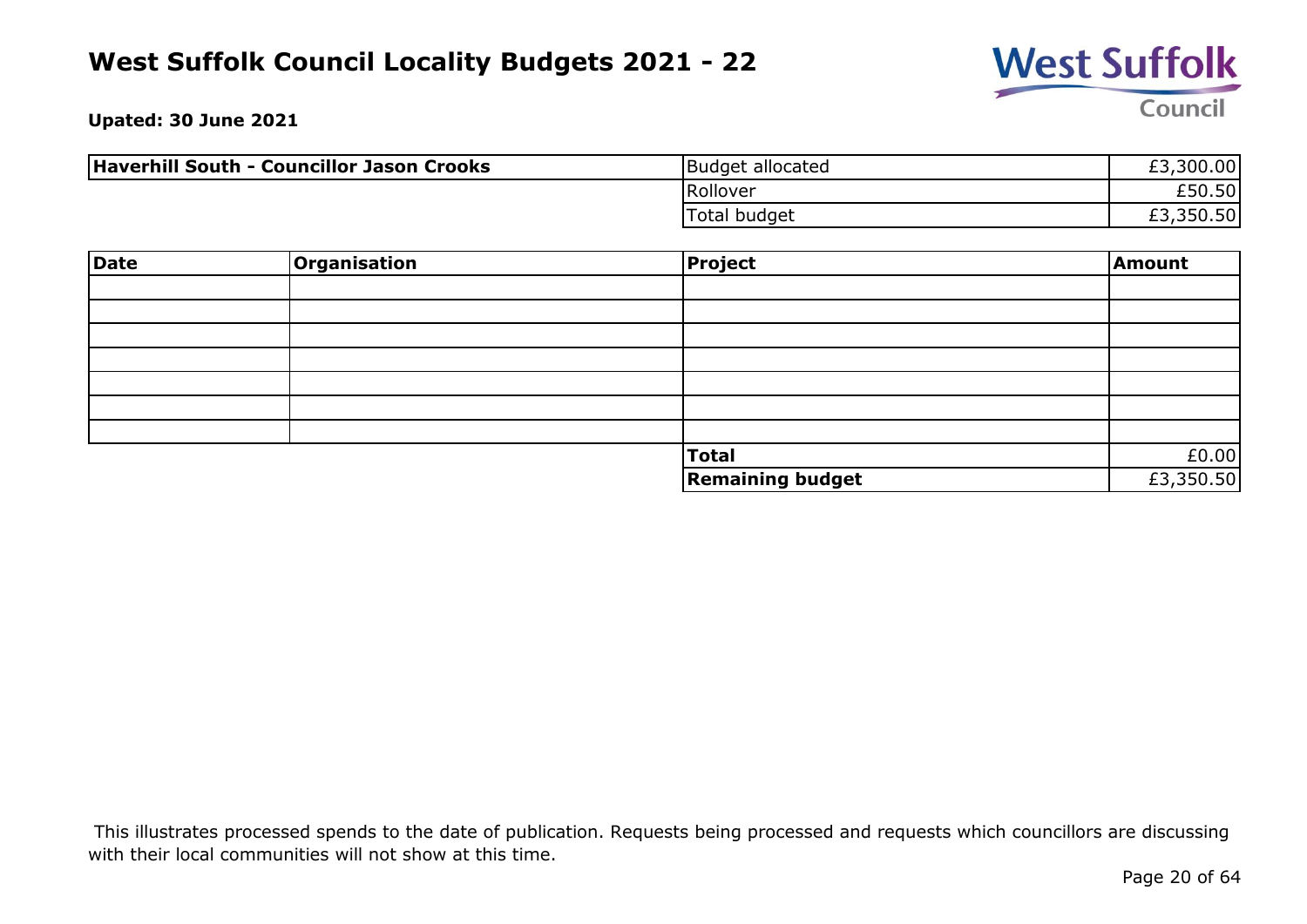

**Upated: 30 June 2021**

| Haverhill South - Councillor Jason Crooks | Budget allocated    | £3,300.00 |
|-------------------------------------------|---------------------|-----------|
|                                           | Rollover            | £50.50    |
|                                           | <b>Total budget</b> | £3,350.50 |

| <b>Date</b> | Organisation | <b>Project</b>          | Amount    |
|-------------|--------------|-------------------------|-----------|
|             |              |                         |           |
|             |              |                         |           |
|             |              |                         |           |
|             |              |                         |           |
|             |              |                         |           |
|             |              |                         |           |
|             |              |                         |           |
|             |              | <b>Total</b>            | £0.00     |
|             |              | <b>Remaining budget</b> | £3,350.50 |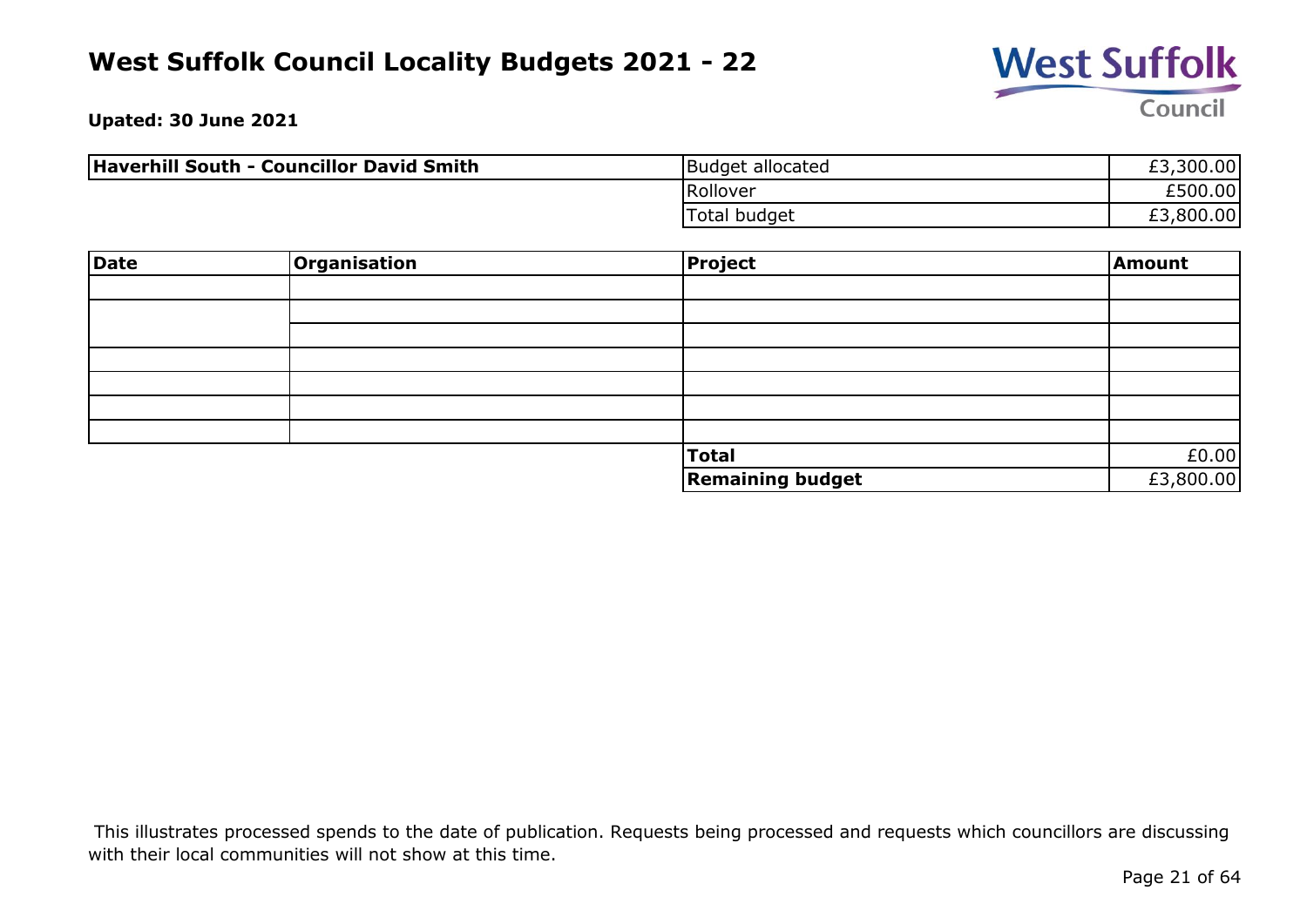

**Upated: 30 June 2021**

| <b>Haverhill South - Councillor David Smith</b> | Budget allocated    | £3,300.00 |
|-------------------------------------------------|---------------------|-----------|
|                                                 | Rollover            | £500.00   |
|                                                 | <b>Total budget</b> | £3,800.00 |

| Date | <b>Organisation</b> | <b>Project</b>          | Amount    |
|------|---------------------|-------------------------|-----------|
|      |                     |                         |           |
|      |                     |                         |           |
|      |                     |                         |           |
|      |                     |                         |           |
|      |                     |                         |           |
|      |                     |                         |           |
|      |                     |                         |           |
|      |                     | <b>Total</b>            | £0.00     |
|      |                     | <b>Remaining budget</b> | £3,800.00 |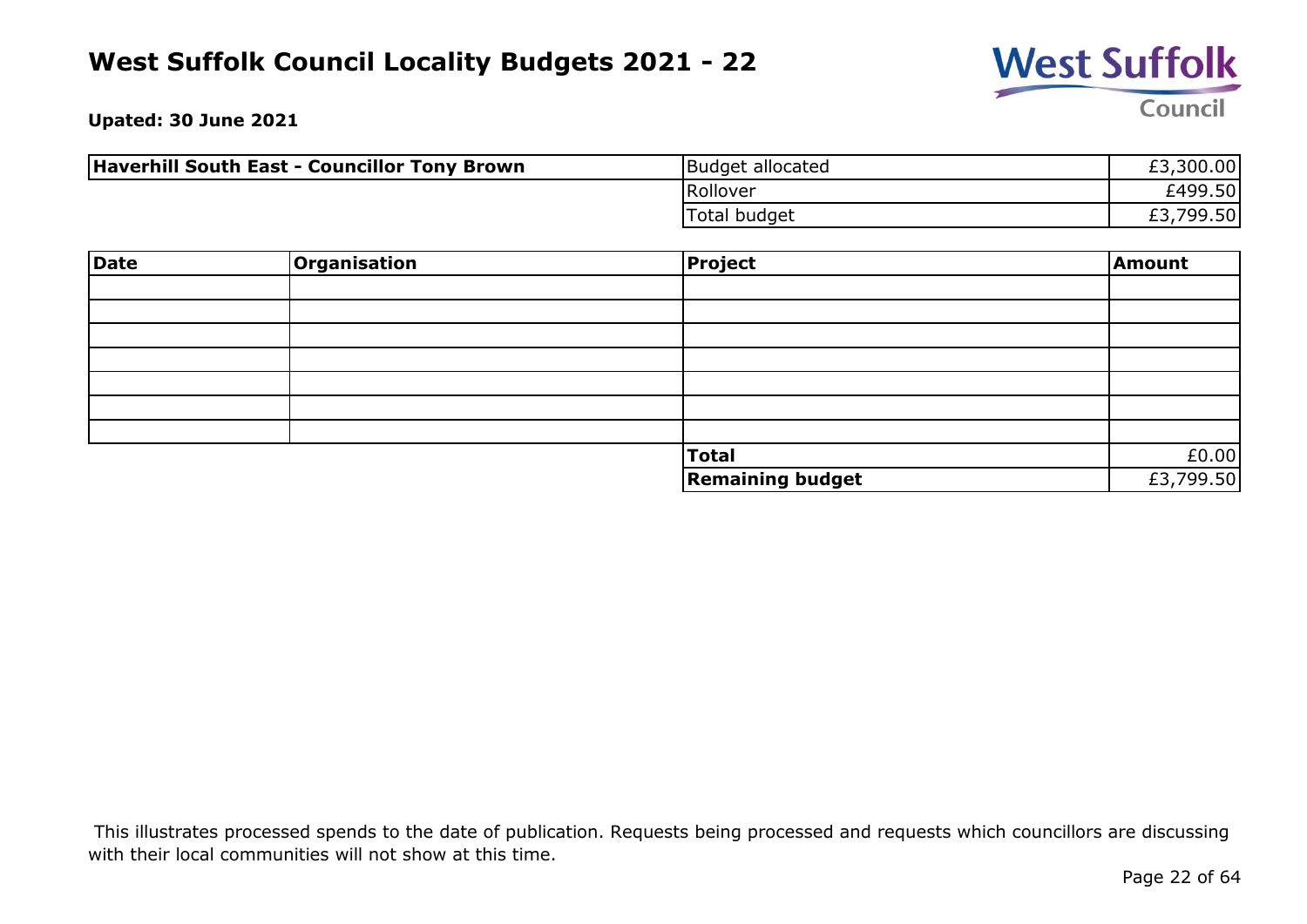

**Upated: 30 June 2021**

| <b>Haverhill South East - Councillor Tony Brown</b> | Budget allocated | £3,300.00            |
|-----------------------------------------------------|------------------|----------------------|
|                                                     | Rollover         | £499.50              |
|                                                     | Total budget     | ,799.50 <br>rっ<br>とつ |

| Date | Organisation | Project                 | Amount    |
|------|--------------|-------------------------|-----------|
|      |              |                         |           |
|      |              |                         |           |
|      |              |                         |           |
|      |              |                         |           |
|      |              |                         |           |
|      |              |                         |           |
|      |              |                         |           |
|      |              | <b>Total</b>            | £0.00     |
|      |              | <b>Remaining budget</b> | £3,799.50 |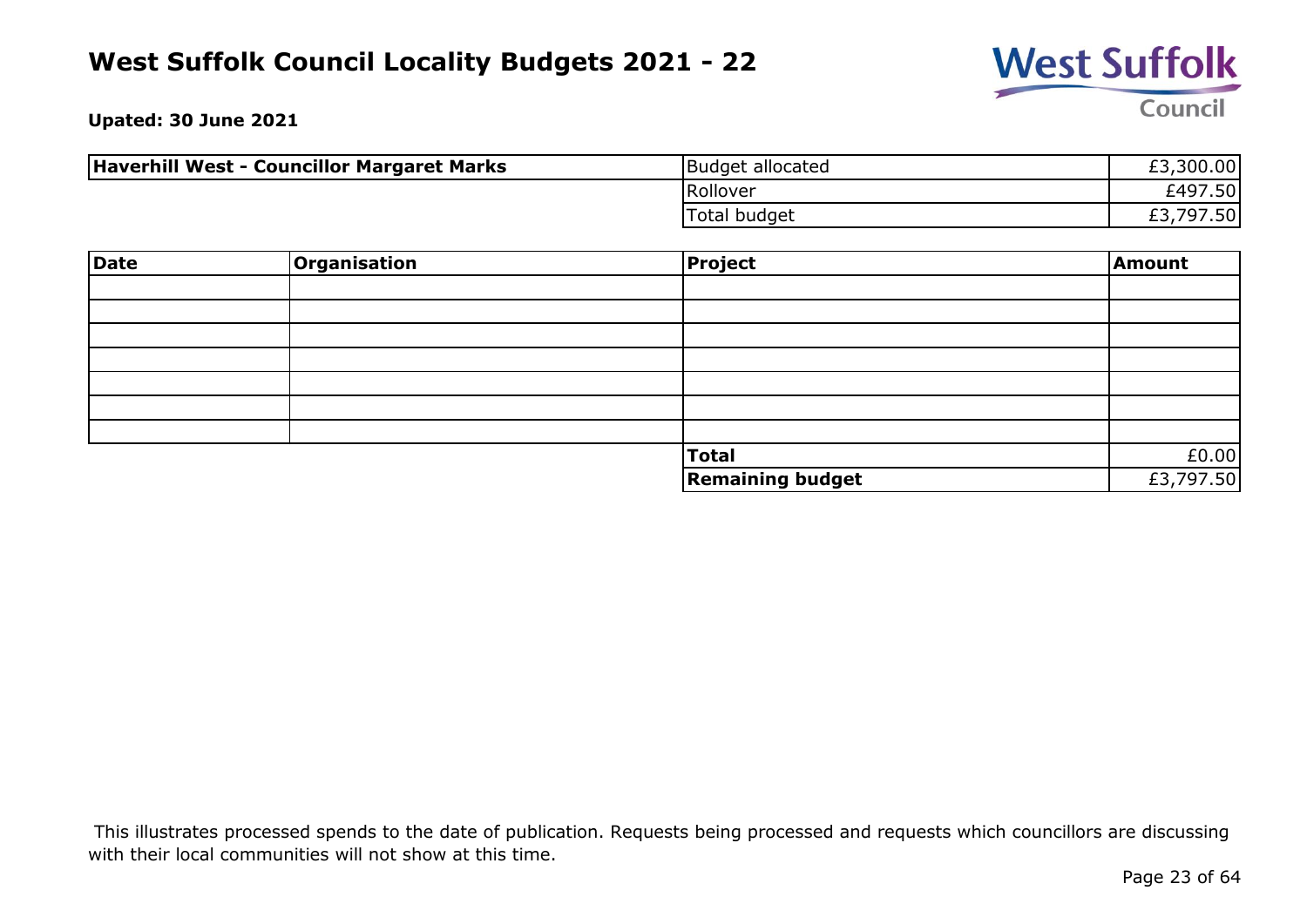

**Upated: 30 June 2021**

| Haverhill West - Councillor Margaret Marks | Budget allocated    | £3,300.00 |
|--------------------------------------------|---------------------|-----------|
|                                            | Rollover            | £497.50   |
|                                            | <b>Total budget</b> | £3,797.50 |

| Date | Organisation | Project                 | Amount    |
|------|--------------|-------------------------|-----------|
|      |              |                         |           |
|      |              |                         |           |
|      |              |                         |           |
|      |              |                         |           |
|      |              |                         |           |
|      |              |                         |           |
|      |              |                         |           |
|      |              | Total                   | £0.00     |
|      |              | <b>Remaining budget</b> | £3,797.50 |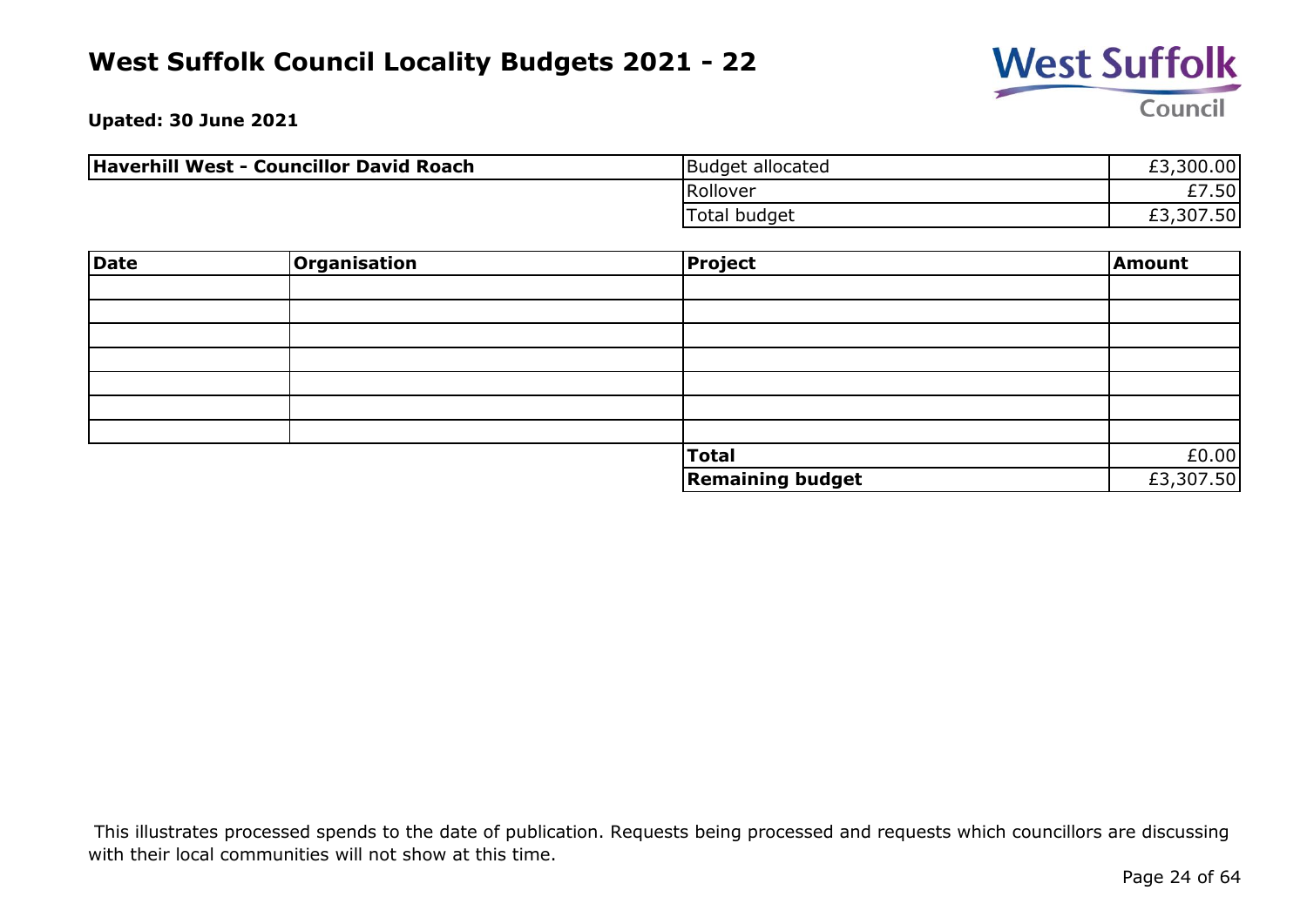

**Upated: 30 June 2021**

| Haverhill West - Councillor David Roach | Budget allocated | £3,300.00 |
|-----------------------------------------|------------------|-----------|
|                                         | Rollover         | £7.50     |
|                                         | Total budget     | £3,307.50 |

| Date | Organisation | <b>Project</b>          | Amount    |
|------|--------------|-------------------------|-----------|
|      |              |                         |           |
|      |              |                         |           |
|      |              |                         |           |
|      |              |                         |           |
|      |              |                         |           |
|      |              |                         |           |
|      |              |                         |           |
|      |              | Total                   | £0.00     |
|      |              | <b>Remaining budget</b> | £3,307.50 |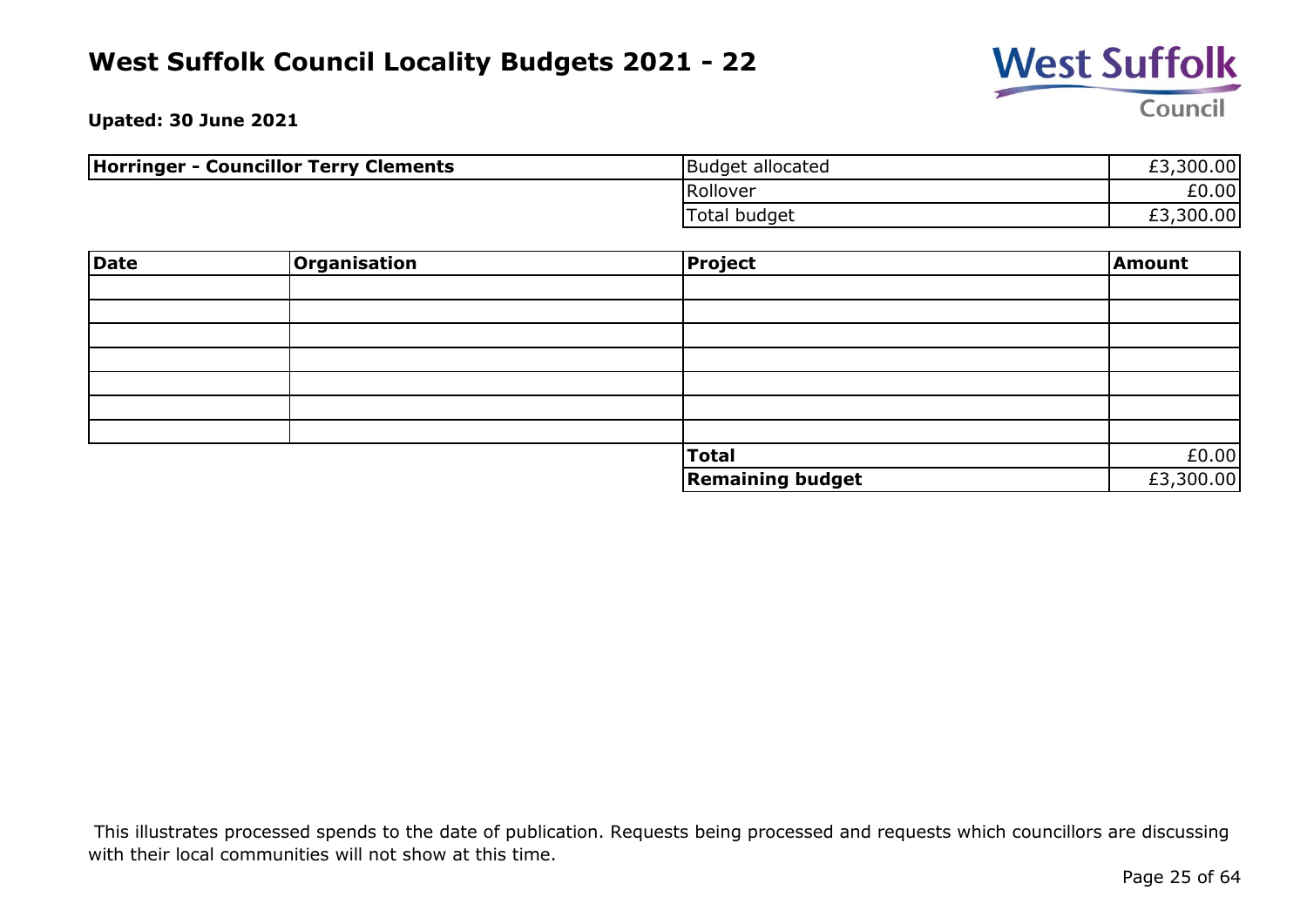

**Upated: 30 June 2021**

| <b>Horringer - Councillor Terry Clements</b> | Budget allocated    | £3,300.00 |
|----------------------------------------------|---------------------|-----------|
|                                              | Rollover            | £0.00     |
|                                              | <b>Total budget</b> | £3,300.00 |

| <b>Date</b> | Organisation | <b>Project</b>          | Amount    |
|-------------|--------------|-------------------------|-----------|
|             |              |                         |           |
|             |              |                         |           |
|             |              |                         |           |
|             |              |                         |           |
|             |              |                         |           |
|             |              |                         |           |
|             |              |                         |           |
|             |              | <b>Total</b>            | £0.00     |
|             |              | <b>Remaining budget</b> | £3,300.00 |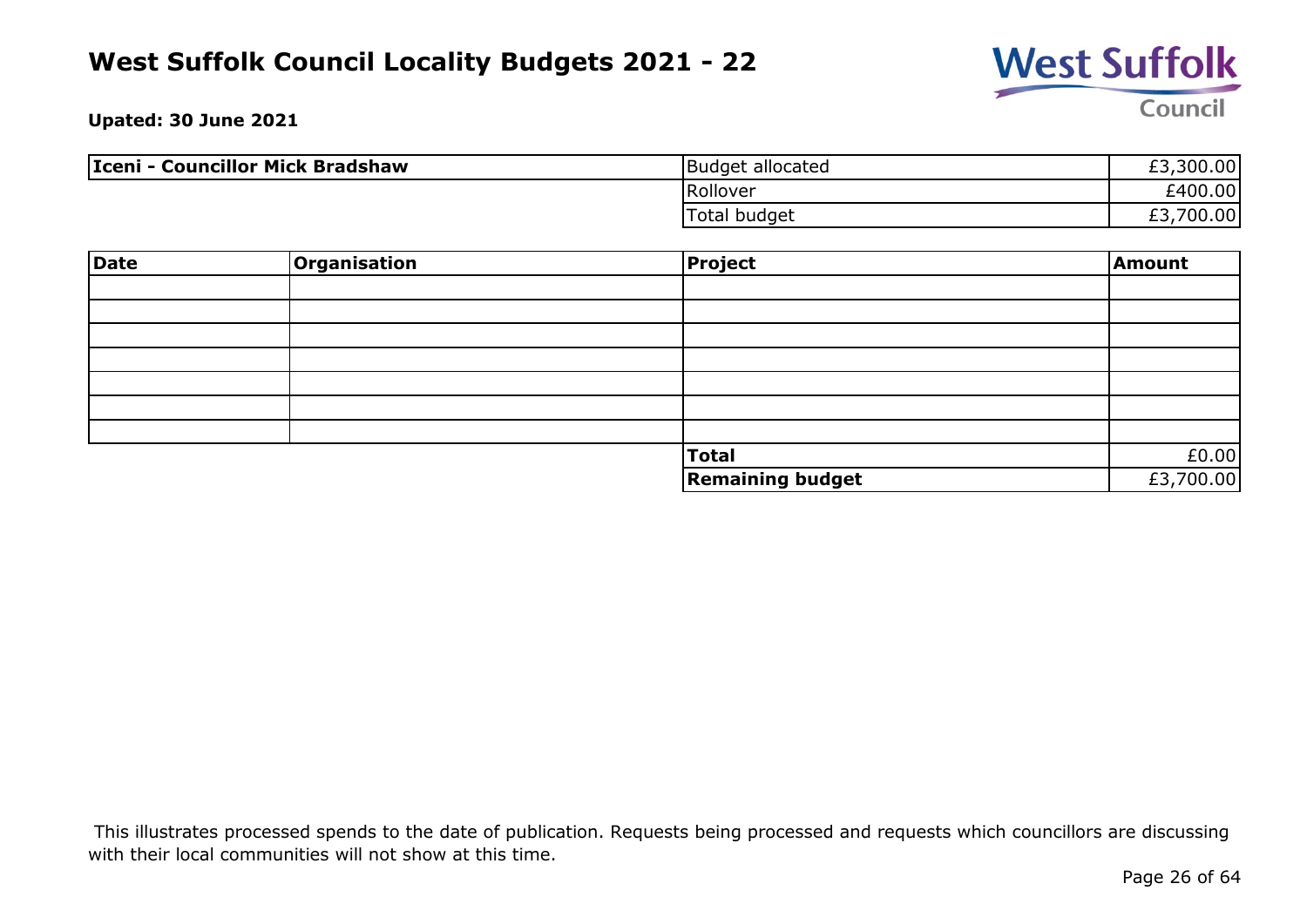

**Upated: 30 June 2021**

| Iceni - Councillor Mick Bradshaw | Budget allocated | £3,300.00             |
|----------------------------------|------------------|-----------------------|
|                                  | Rollover         | £400.00               |
|                                  | Total budget     | ,700.00<br>r di<br>たつ |

| Date | Organisation | Project                 | Amount    |
|------|--------------|-------------------------|-----------|
|      |              |                         |           |
|      |              |                         |           |
|      |              |                         |           |
|      |              |                         |           |
|      |              |                         |           |
|      |              |                         |           |
|      |              |                         |           |
|      |              | Total                   | £0.00     |
|      |              | <b>Remaining budget</b> | £3,700.00 |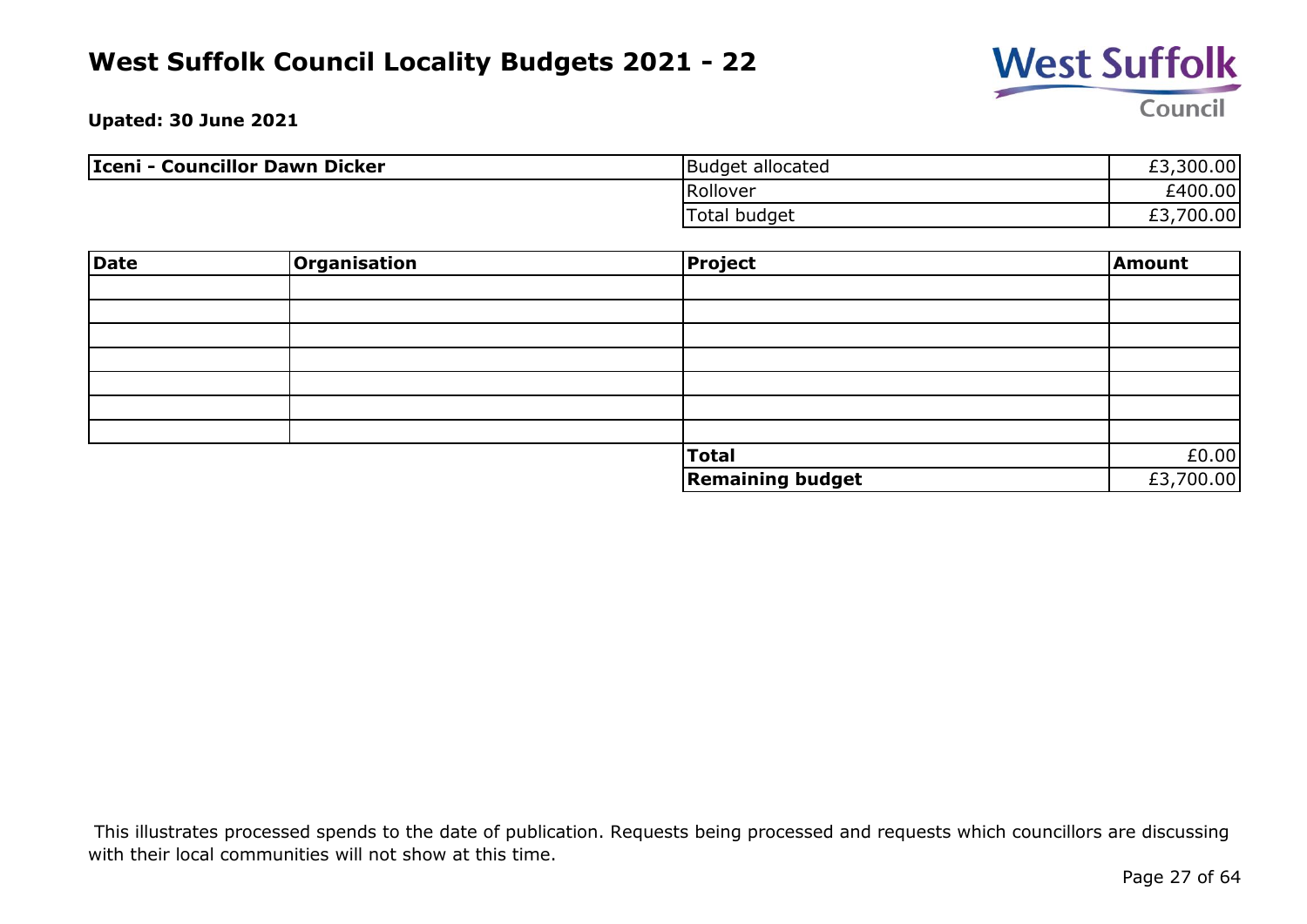

**Upated: 30 June 2021**

| Iceni - Councillor Dawn Dicker | Budget allocated | £3,300.00              |
|--------------------------------|------------------|------------------------|
|                                | Rollover         | £400.00                |
|                                | Total budget     | .700.00<br>r di<br>د.± |

| <b>Date</b> | Organisation | Project                 | Amount    |
|-------------|--------------|-------------------------|-----------|
|             |              |                         |           |
|             |              |                         |           |
|             |              |                         |           |
|             |              |                         |           |
|             |              |                         |           |
|             |              |                         |           |
|             |              |                         |           |
|             |              | Total                   | £0.00     |
|             |              | <b>Remaining budget</b> | £3,700.00 |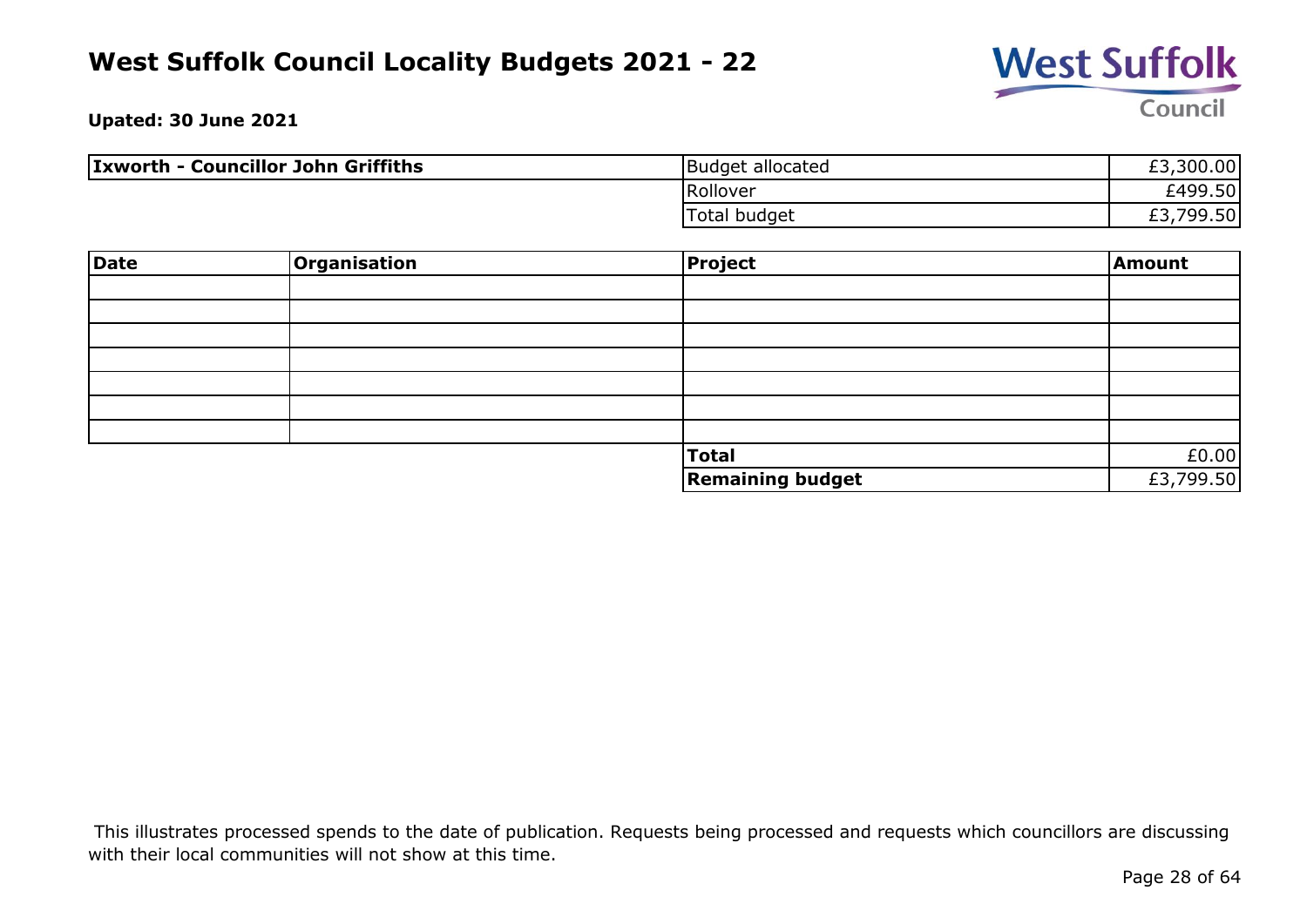

**Upated: 30 June 2021**

| <b>Ixworth - Councillor John Griffiths</b> | Budget allocated | £3,300.00 |
|--------------------------------------------|------------------|-----------|
|                                            | Rollover         | £499.50   |
|                                            | Total budget     | £3,799.50 |

| <b>Date</b> | Organisation | Project                 | Amount    |
|-------------|--------------|-------------------------|-----------|
|             |              |                         |           |
|             |              |                         |           |
|             |              |                         |           |
|             |              |                         |           |
|             |              |                         |           |
|             |              |                         |           |
|             |              |                         |           |
|             |              | Total                   | £0.00     |
|             |              | <b>Remaining budget</b> | £3,799.50 |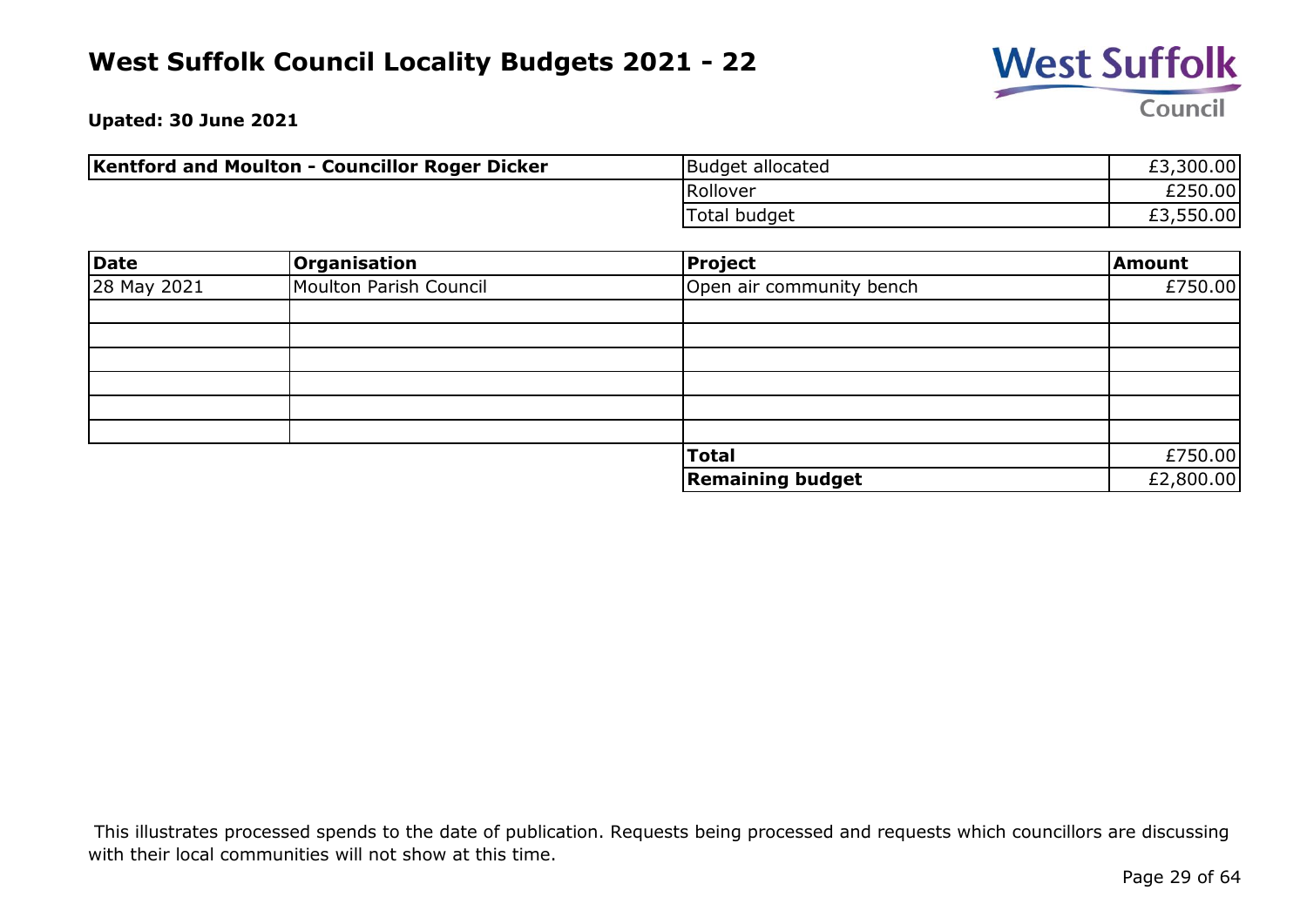

**Upated: 30 June 2021**

| <b>Kentford and Moulton - Councillor Roger Dicker</b> | Budget allocated | £3,300.00 |
|-------------------------------------------------------|------------------|-----------|
|                                                       | Rollover         | £250.00   |
|                                                       | Total budget     | £3,550.00 |

| <b>Date</b> | Organisation           | <b>Project</b>           | Amount    |
|-------------|------------------------|--------------------------|-----------|
| 28 May 2021 | Moulton Parish Council | Open air community bench | £750.00   |
|             |                        |                          |           |
|             |                        |                          |           |
|             |                        |                          |           |
|             |                        |                          |           |
|             |                        |                          |           |
|             |                        |                          |           |
|             |                        | <b>Total</b>             | £750.00   |
|             |                        | <b>Remaining budget</b>  | £2,800.00 |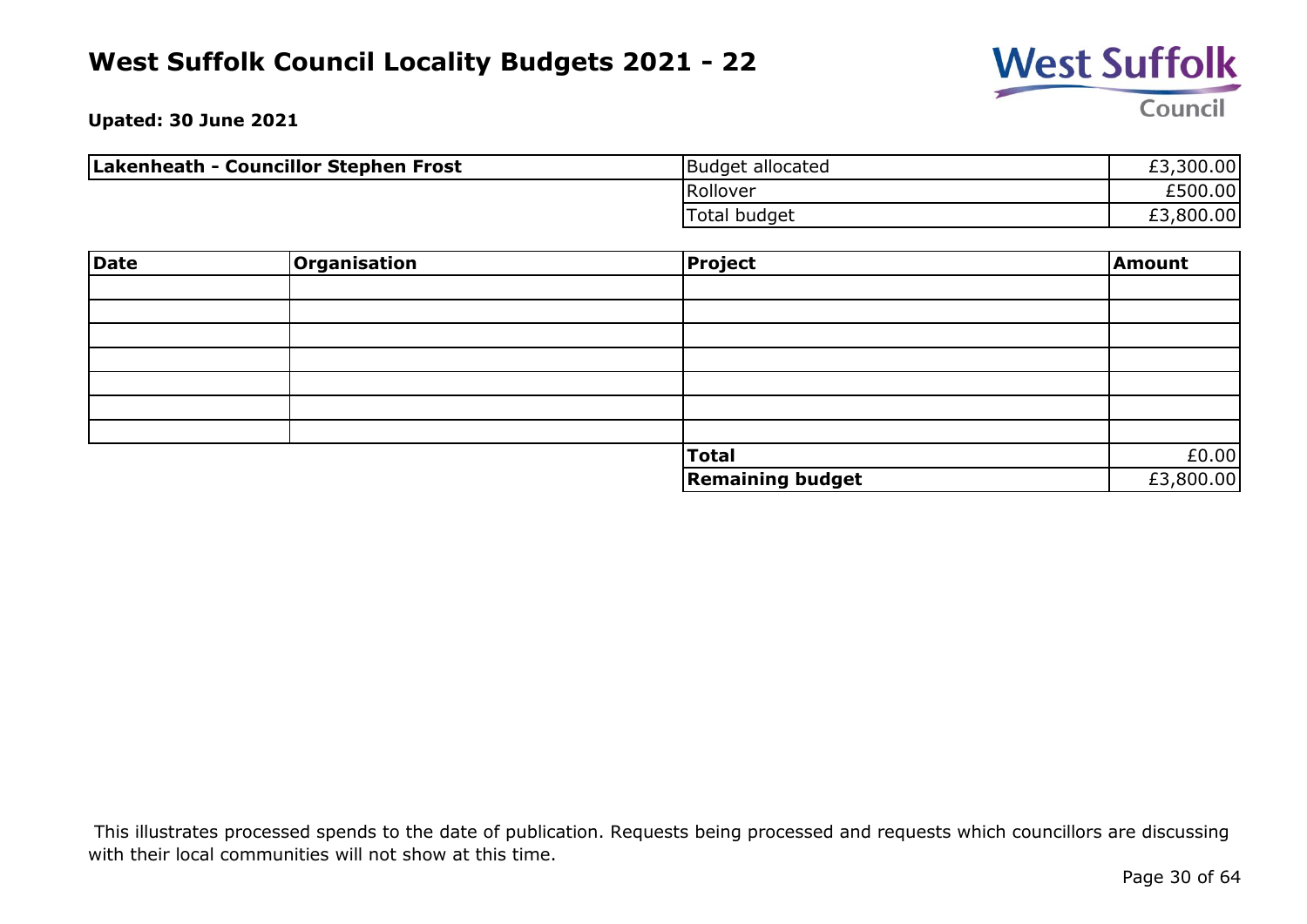

**Upated: 30 June 2021**

| Lakenheath - Councillor Stephen Frost | Budget allocated | £3,300.00 |
|---------------------------------------|------------------|-----------|
|                                       | Rollover         | £500.00   |
|                                       | Total budget     | £3,800.00 |

| Date | Organisation | <b>Project</b>          | Amount    |
|------|--------------|-------------------------|-----------|
|      |              |                         |           |
|      |              |                         |           |
|      |              |                         |           |
|      |              |                         |           |
|      |              |                         |           |
|      |              |                         |           |
|      |              |                         |           |
|      |              | <b>Total</b>            | £0.00     |
|      |              | <b>Remaining budget</b> | £3,800.00 |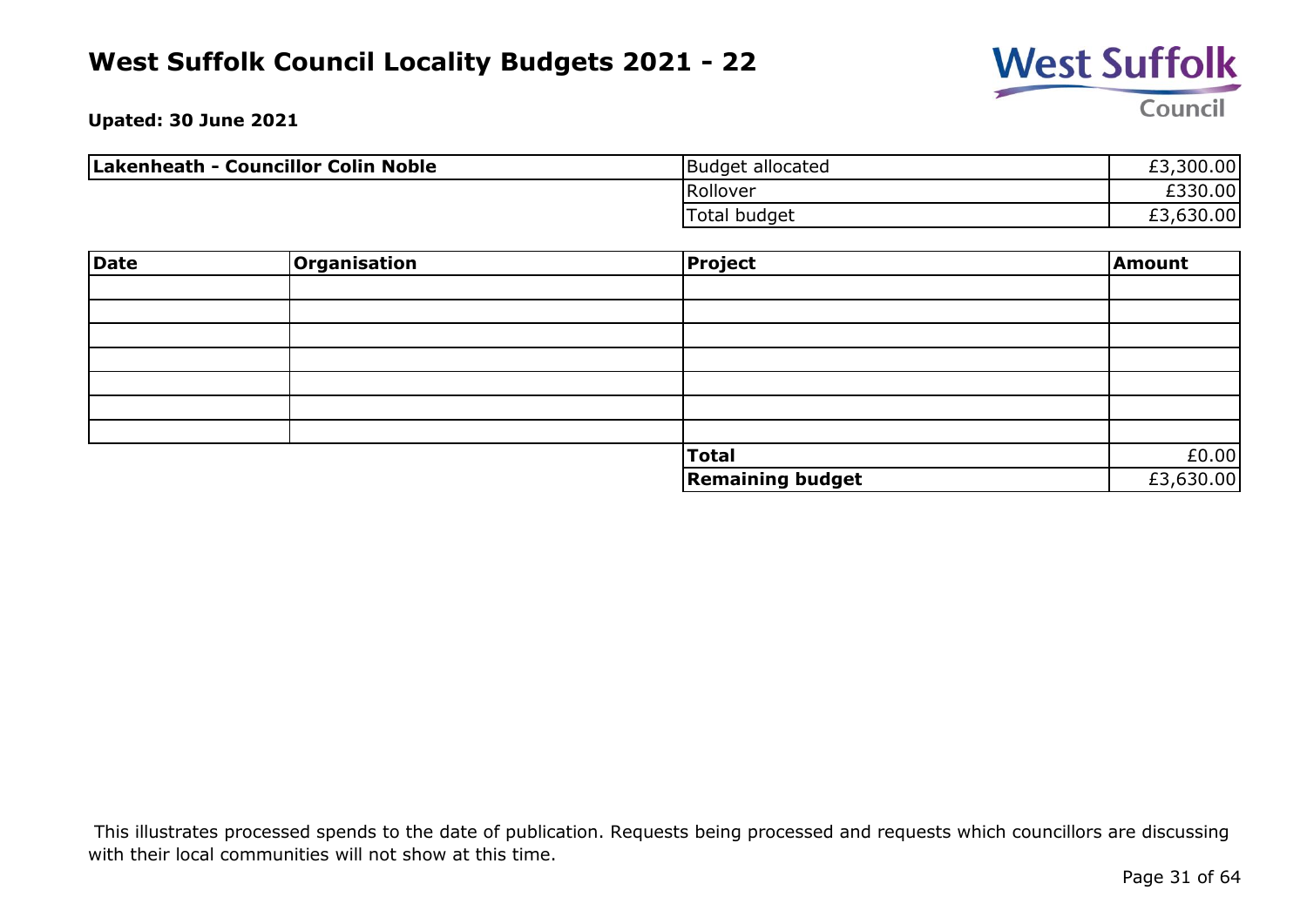

**Upated: 30 June 2021**

| Lakenheath - Councillor Colin Noble | Budget allocated | £3,300.00 |
|-------------------------------------|------------------|-----------|
|                                     | Rollover         | £330.00   |
|                                     | Total budget     | £3,630.00 |

| Date | Organisation | Project                 | Amount    |
|------|--------------|-------------------------|-----------|
|      |              |                         |           |
|      |              |                         |           |
|      |              |                         |           |
|      |              |                         |           |
|      |              |                         |           |
|      |              |                         |           |
|      |              |                         |           |
|      |              | Total                   | £0.00     |
|      |              | <b>Remaining budget</b> | £3,630.00 |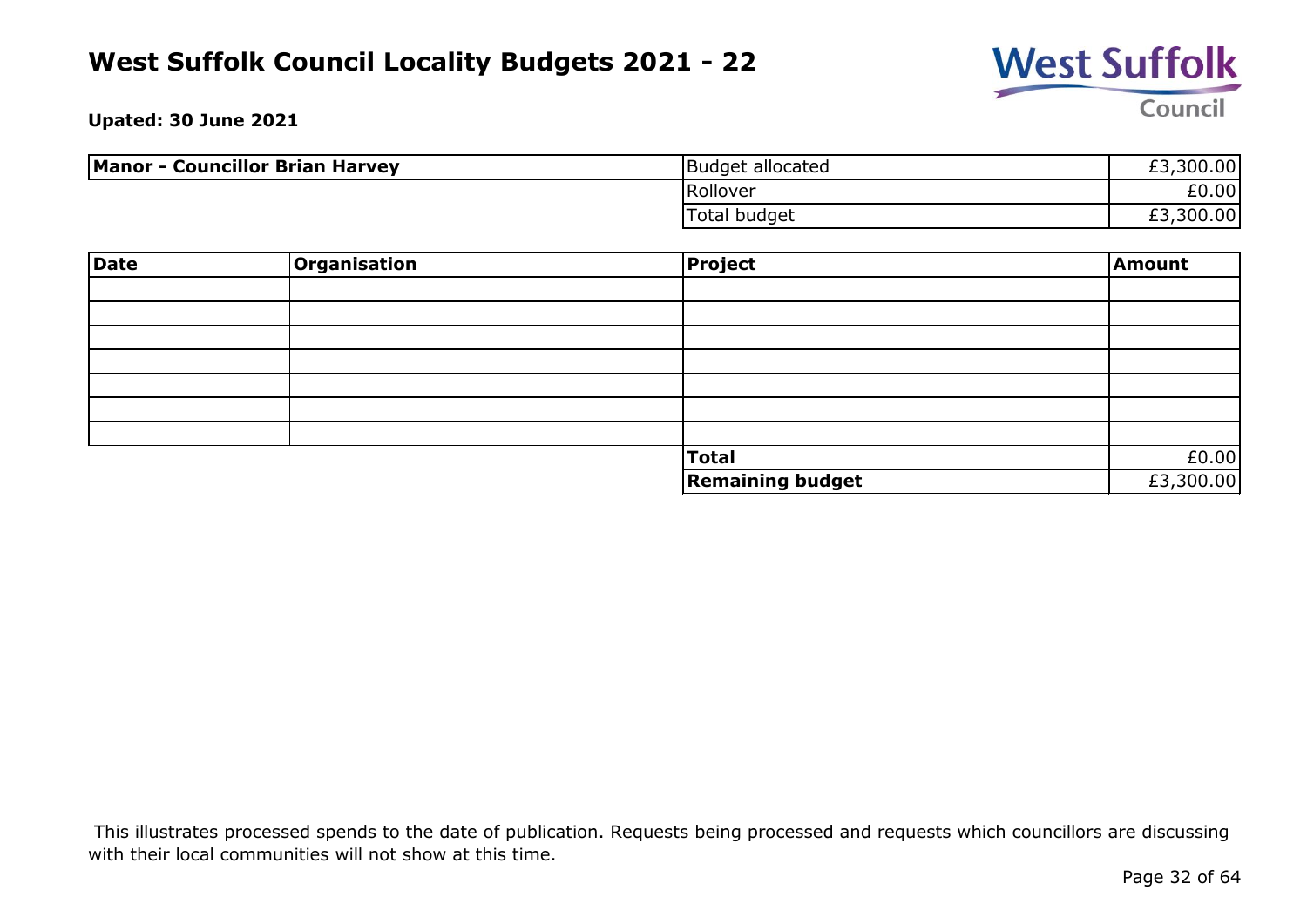

**Upated: 30 June 2021**

| <b>Manor - Councillor Brian Harvey</b> | Budget allocated | £3,300.00 |
|----------------------------------------|------------------|-----------|
|                                        | Rollover         | £0.00     |
|                                        | Total budget     | £3,300.00 |

| <b>Date</b> | Organisation | <b>Project</b>          | Amount    |
|-------------|--------------|-------------------------|-----------|
|             |              |                         |           |
|             |              |                         |           |
|             |              |                         |           |
|             |              |                         |           |
|             |              |                         |           |
|             |              |                         |           |
|             |              |                         |           |
|             |              | <b>Total</b>            | £0.00     |
|             |              | <b>Remaining budget</b> | £3,300.00 |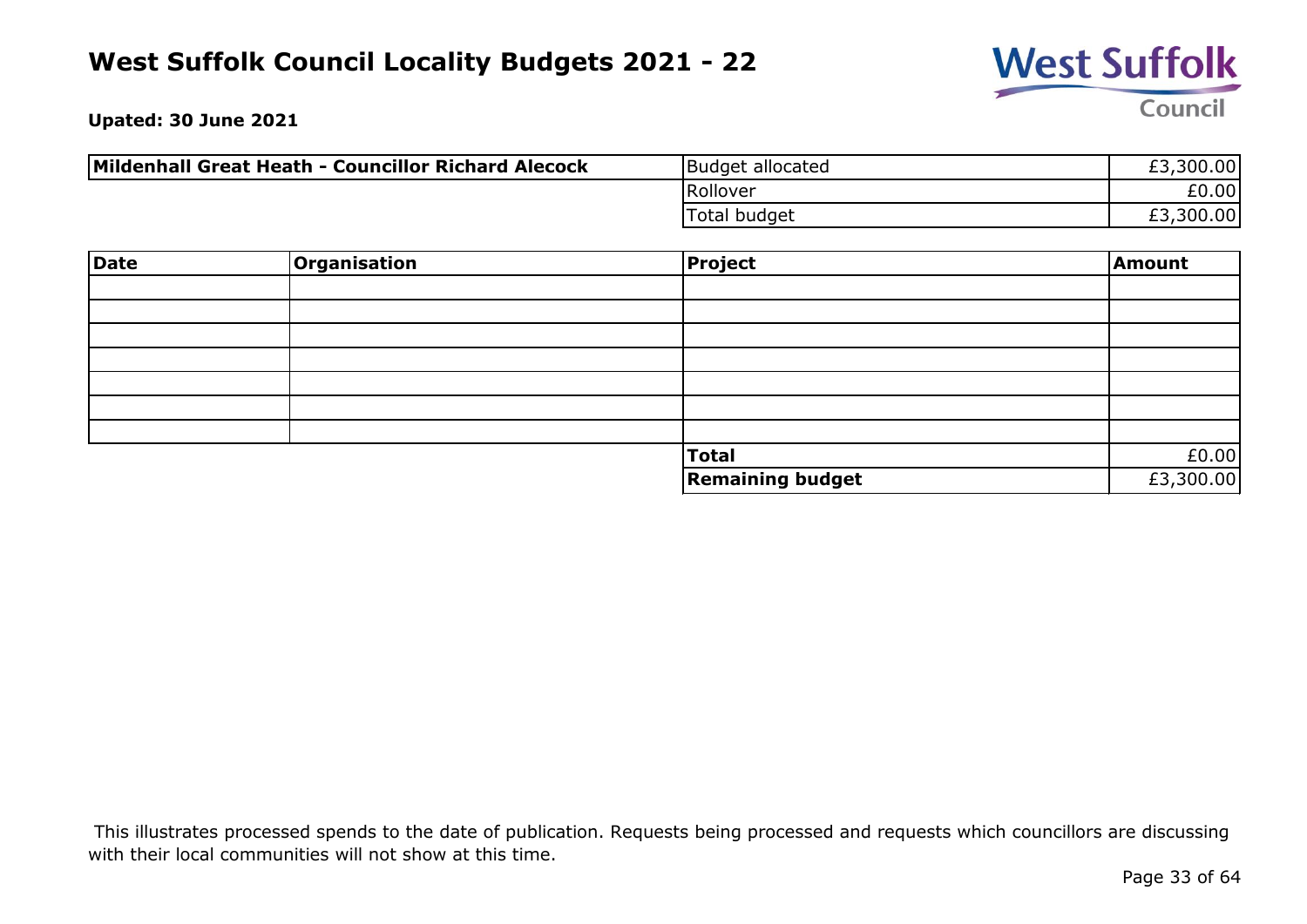

**Upated: 30 June 2021**

| Mildenhall Great Heath - Councillor Richard Alecock | Budget allocated | £3,300.00 |
|-----------------------------------------------------|------------------|-----------|
|                                                     | Rollover         | £0.00     |
|                                                     | Total budget     | £3,300.00 |

| Date | <b>Organisation</b> | <b>Project</b>          | Amount    |
|------|---------------------|-------------------------|-----------|
|      |                     |                         |           |
|      |                     |                         |           |
|      |                     |                         |           |
|      |                     |                         |           |
|      |                     |                         |           |
|      |                     |                         |           |
|      |                     |                         |           |
|      |                     | <b>Total</b>            | £0.00     |
|      |                     | <b>Remaining budget</b> | £3,300.00 |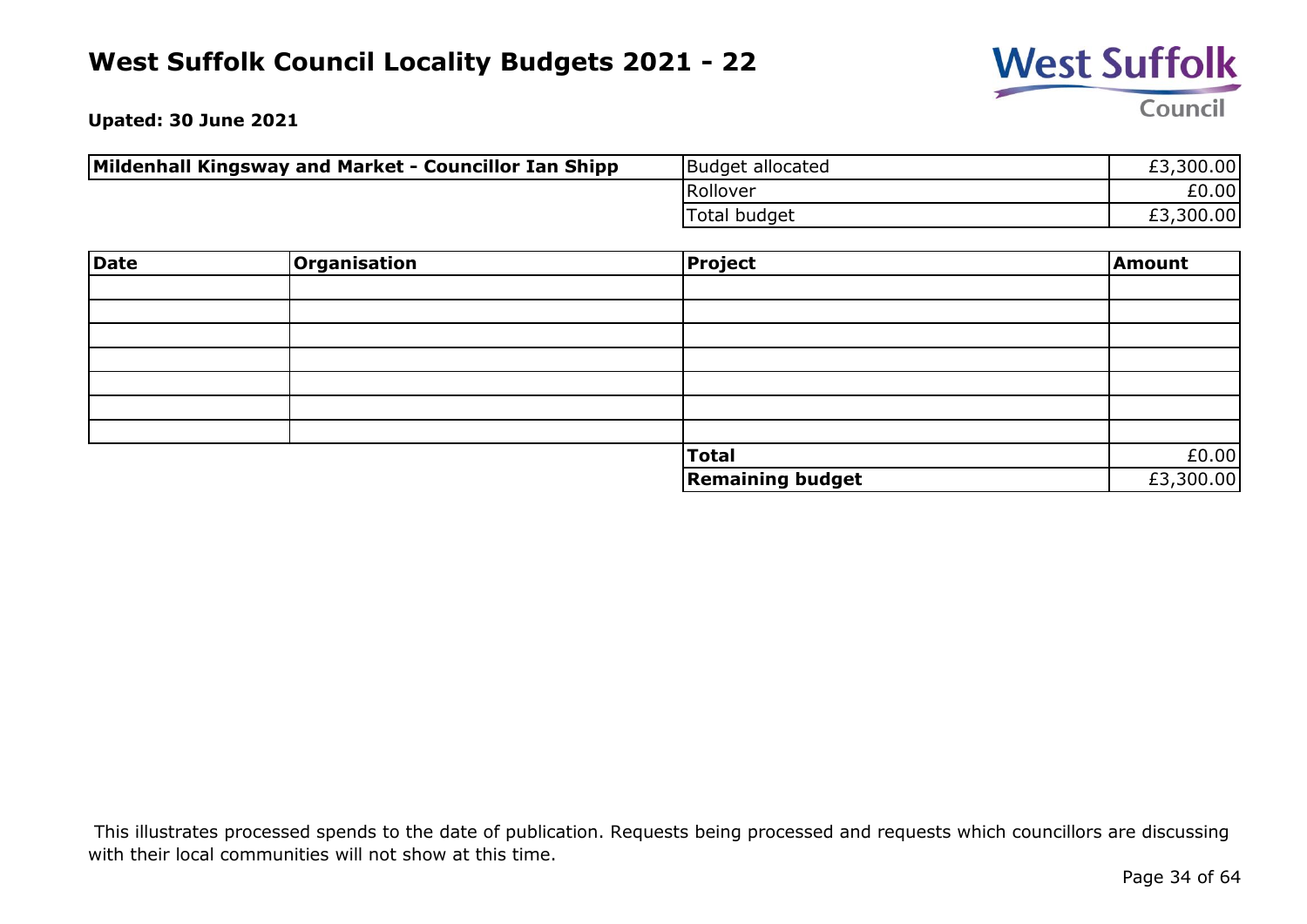

**Upated: 30 June 2021**

| Mildenhall Kingsway and Market - Councillor Ian Shipp | Budget allocated | £3,300.00 |
|-------------------------------------------------------|------------------|-----------|
|                                                       | Rollover         | £0.00     |
|                                                       | Total budget     | £3,300.00 |

| Date | <b>Organisation</b> | <b>Project</b>          | Amount    |
|------|---------------------|-------------------------|-----------|
|      |                     |                         |           |
|      |                     |                         |           |
|      |                     |                         |           |
|      |                     |                         |           |
|      |                     |                         |           |
|      |                     |                         |           |
|      |                     |                         |           |
|      |                     | Total                   | £0.00     |
|      |                     | <b>Remaining budget</b> | £3,300.00 |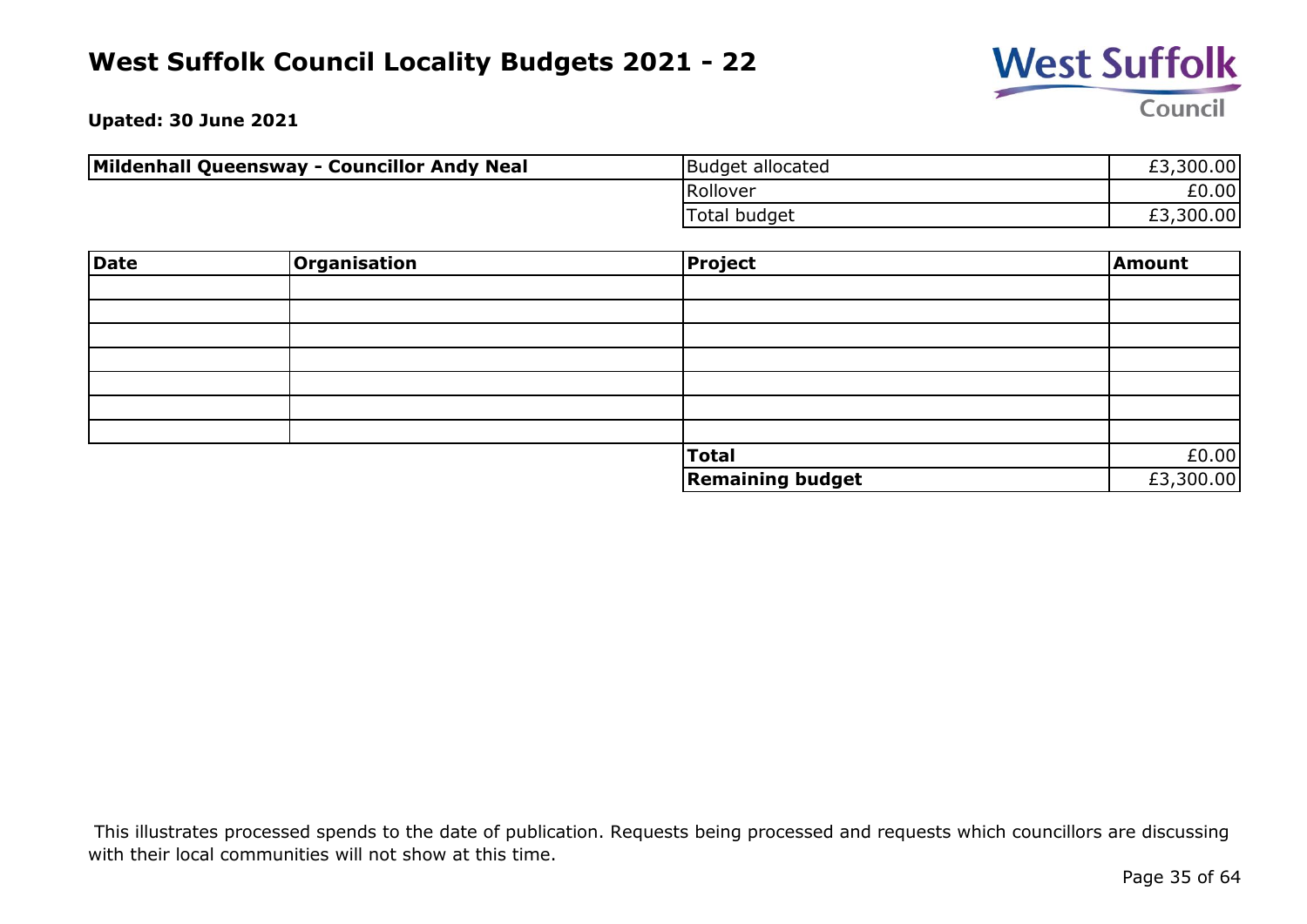

**Upated: 30 June 2021**

| Mildenhall Queensway - Councillor Andy Neal | Budget allocated | £3,300.00 |
|---------------------------------------------|------------------|-----------|
|                                             | Rollover         | £0.00     |
|                                             | Total budget     | £3,300.00 |

| Date | Organisation | <b>Project</b>          | Amount    |
|------|--------------|-------------------------|-----------|
|      |              |                         |           |
|      |              |                         |           |
|      |              |                         |           |
|      |              |                         |           |
|      |              |                         |           |
|      |              |                         |           |
|      |              |                         |           |
|      |              | <b>Total</b>            | £0.00     |
|      |              | <b>Remaining budget</b> | £3,300.00 |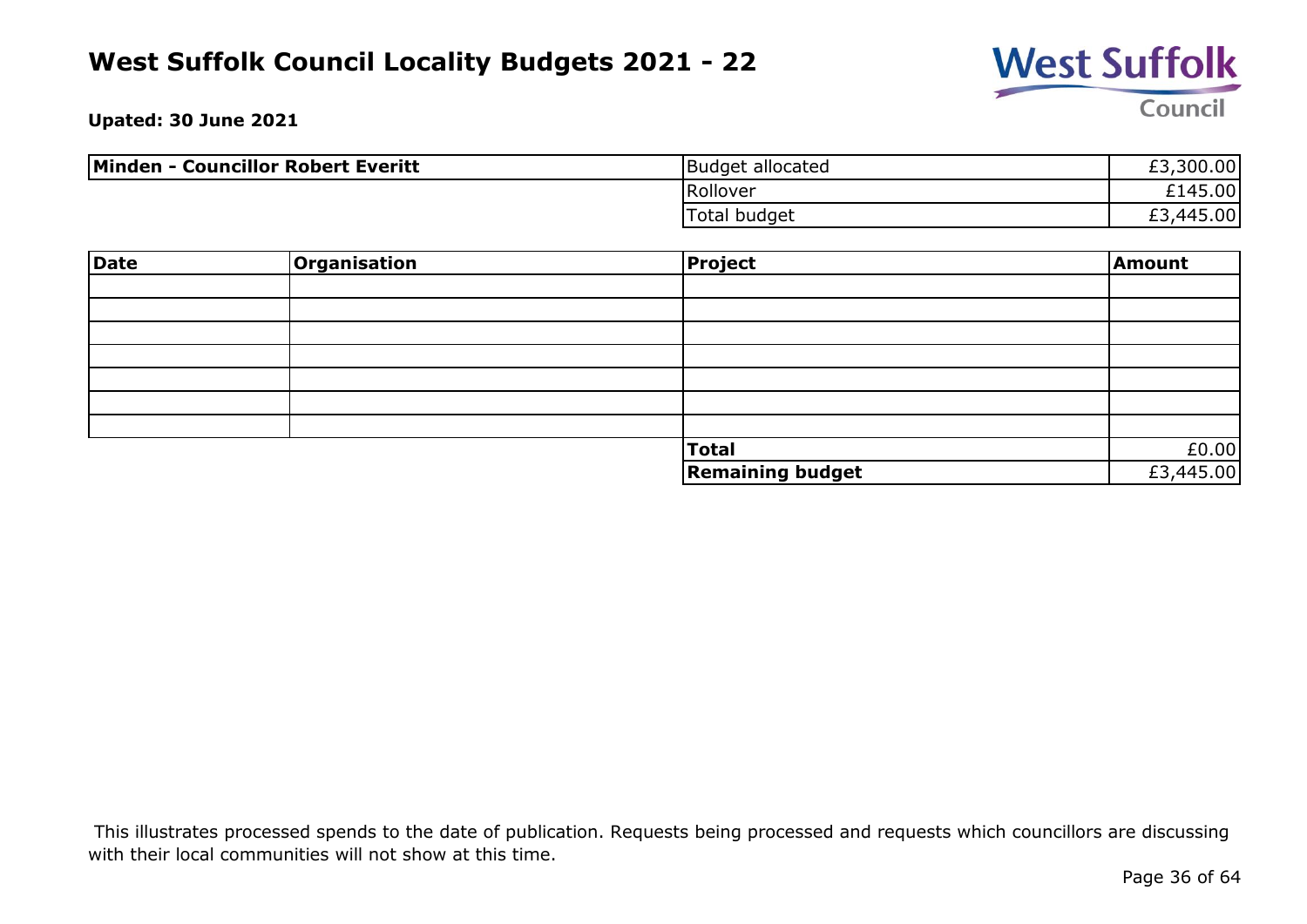

**Upated: 30 June 2021**

| <b>Minden - Councillor Robert Everitt</b> | Budget allocated | £3,300.00 |
|-------------------------------------------|------------------|-----------|
|                                           | Rollover         | £145.00   |
|                                           | Total budget     | £3,445.00 |

| Date | Organisation | Project                 | Amount                                  |
|------|--------------|-------------------------|-----------------------------------------|
|      |              |                         |                                         |
|      |              |                         |                                         |
|      |              |                         |                                         |
|      |              |                         |                                         |
|      |              |                         |                                         |
|      |              |                         |                                         |
|      |              |                         |                                         |
|      |              | <b>Total</b>            | $\frac{\text{E0.00}}{\text{E3,445.00}}$ |
|      |              | <b>Remaining budget</b> |                                         |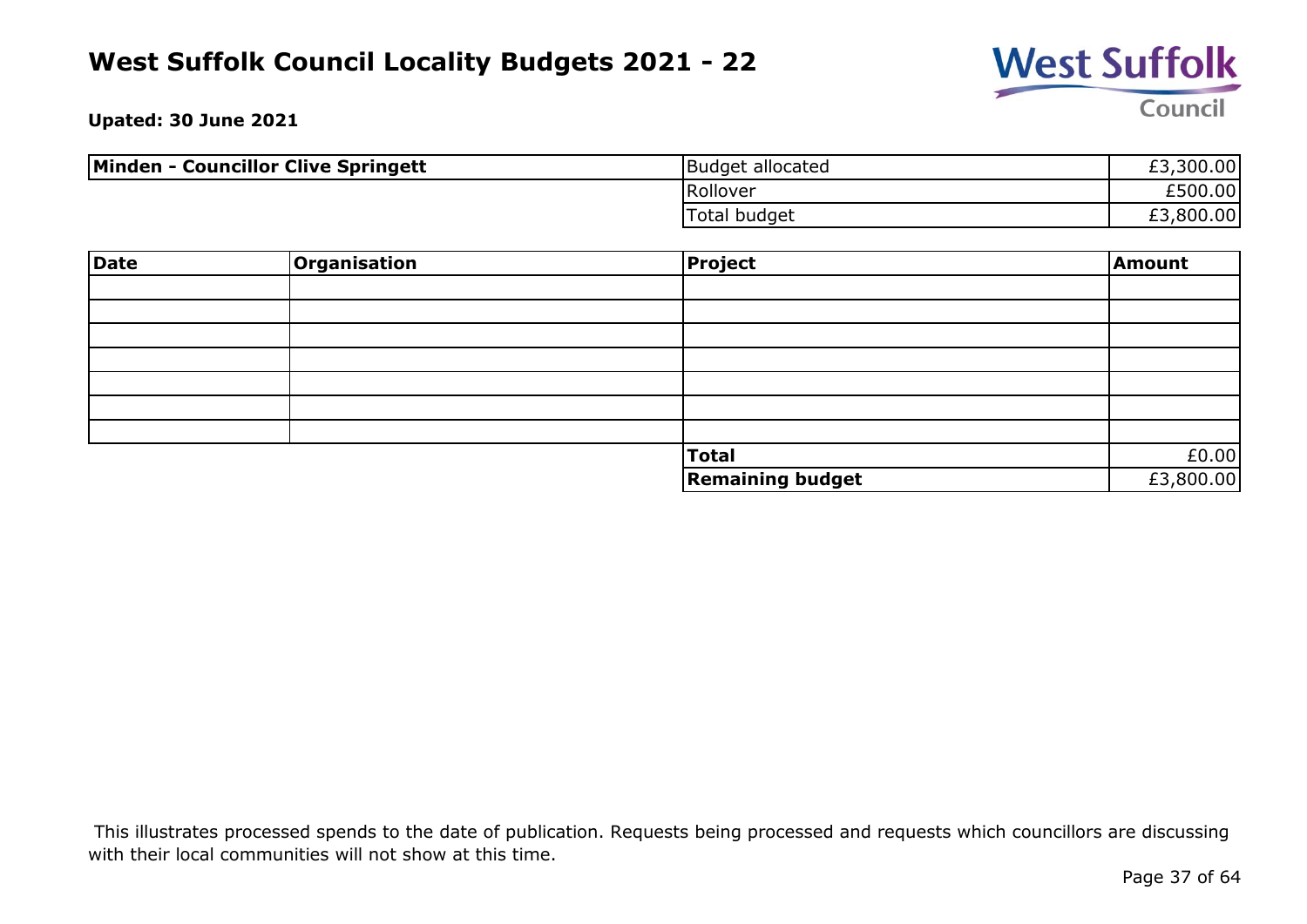

**Upated: 30 June 2021**

| <b>Minden - Councillor Clive Springett</b> | Budget allocated | £3,300.00 |
|--------------------------------------------|------------------|-----------|
|                                            | Rollover         | £500.00   |
|                                            | Total budget     | £3,800.00 |

| Date | Organisation | Project                 | Amount    |
|------|--------------|-------------------------|-----------|
|      |              |                         |           |
|      |              |                         |           |
|      |              |                         |           |
|      |              |                         |           |
|      |              |                         |           |
|      |              |                         |           |
|      |              |                         |           |
|      |              | Total                   | £0.00     |
|      |              | <b>Remaining budget</b> | £3,800.00 |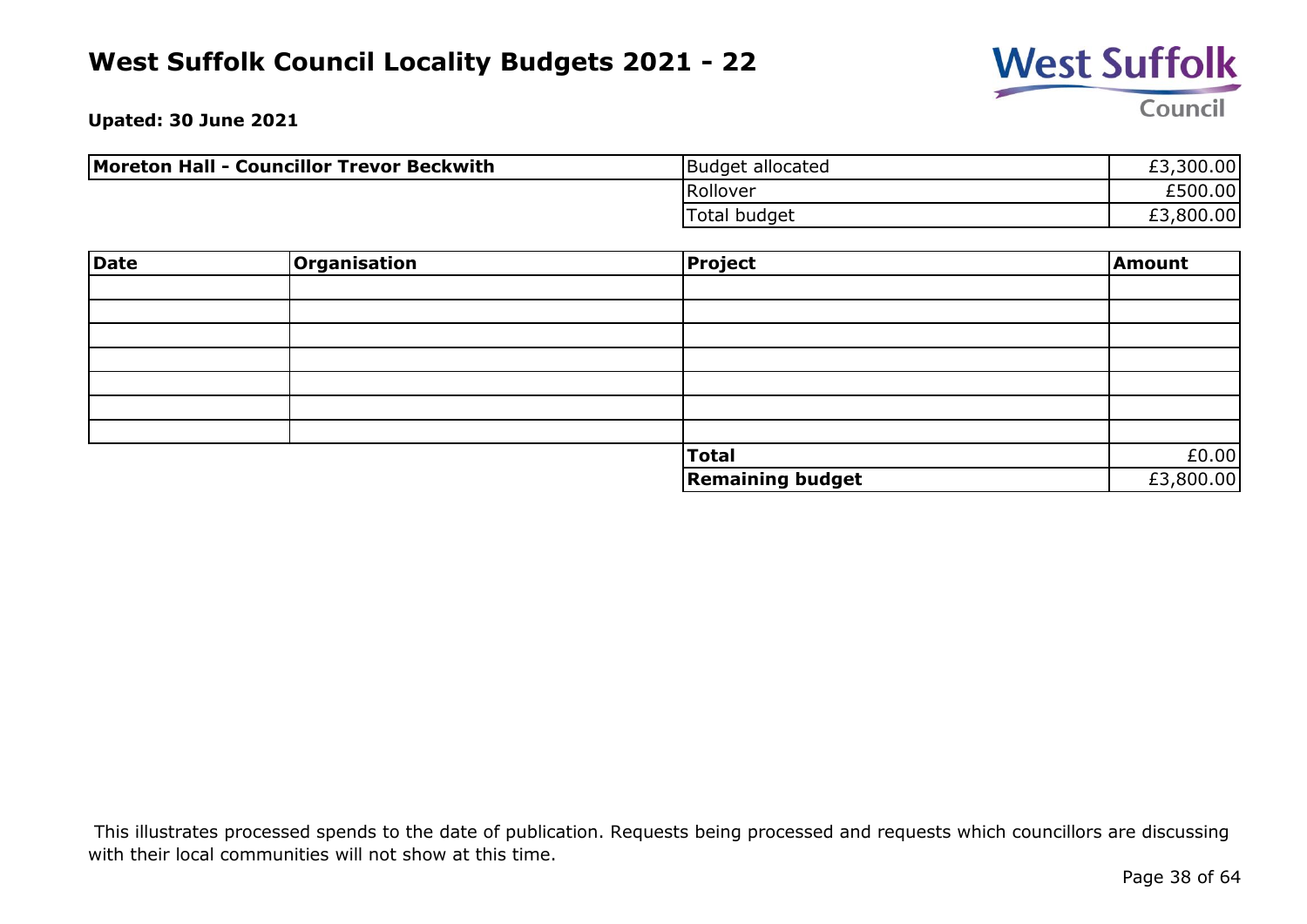

**Upated: 30 June 2021**

| Moreton Hall - Councillor Trevor Beckwith | Budget allocated | £3,300.00 |
|-------------------------------------------|------------------|-----------|
|                                           | Rollover         | £500.00   |
|                                           | Total budget     | £3,800.00 |

| Date | <b>Organisation</b> | <b>Project</b>          | Amount    |
|------|---------------------|-------------------------|-----------|
|      |                     |                         |           |
|      |                     |                         |           |
|      |                     |                         |           |
|      |                     |                         |           |
|      |                     |                         |           |
|      |                     |                         |           |
|      |                     |                         |           |
|      |                     | <b>Total</b>            | £0.00     |
|      |                     | <b>Remaining budget</b> | £3,800.00 |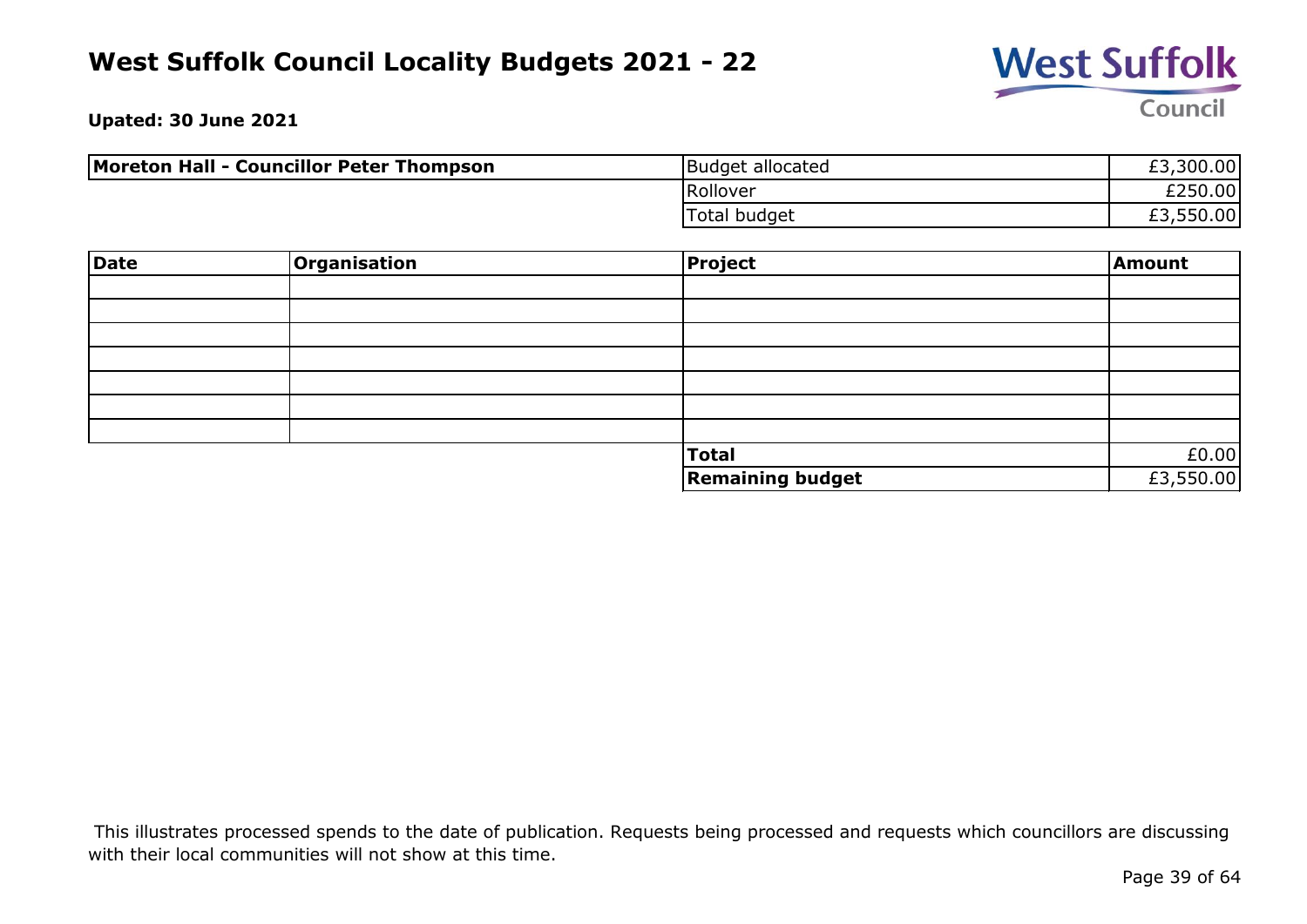

**Upated: 30 June 2021**

| Moreton Hall - Councillor Peter Thompson | Budget allocated | £3,300.00 |
|------------------------------------------|------------------|-----------|
|                                          | Rollover         | £250.00   |
|                                          | Total budget     | £3,550.00 |

| Date | Organisation | <b>Project</b>          | Amount    |
|------|--------------|-------------------------|-----------|
|      |              |                         |           |
|      |              |                         |           |
|      |              |                         |           |
|      |              |                         |           |
|      |              |                         |           |
|      |              |                         |           |
|      |              |                         |           |
|      |              | <b>Total</b>            | £0.00     |
|      |              | <b>Remaining budget</b> | £3,550.00 |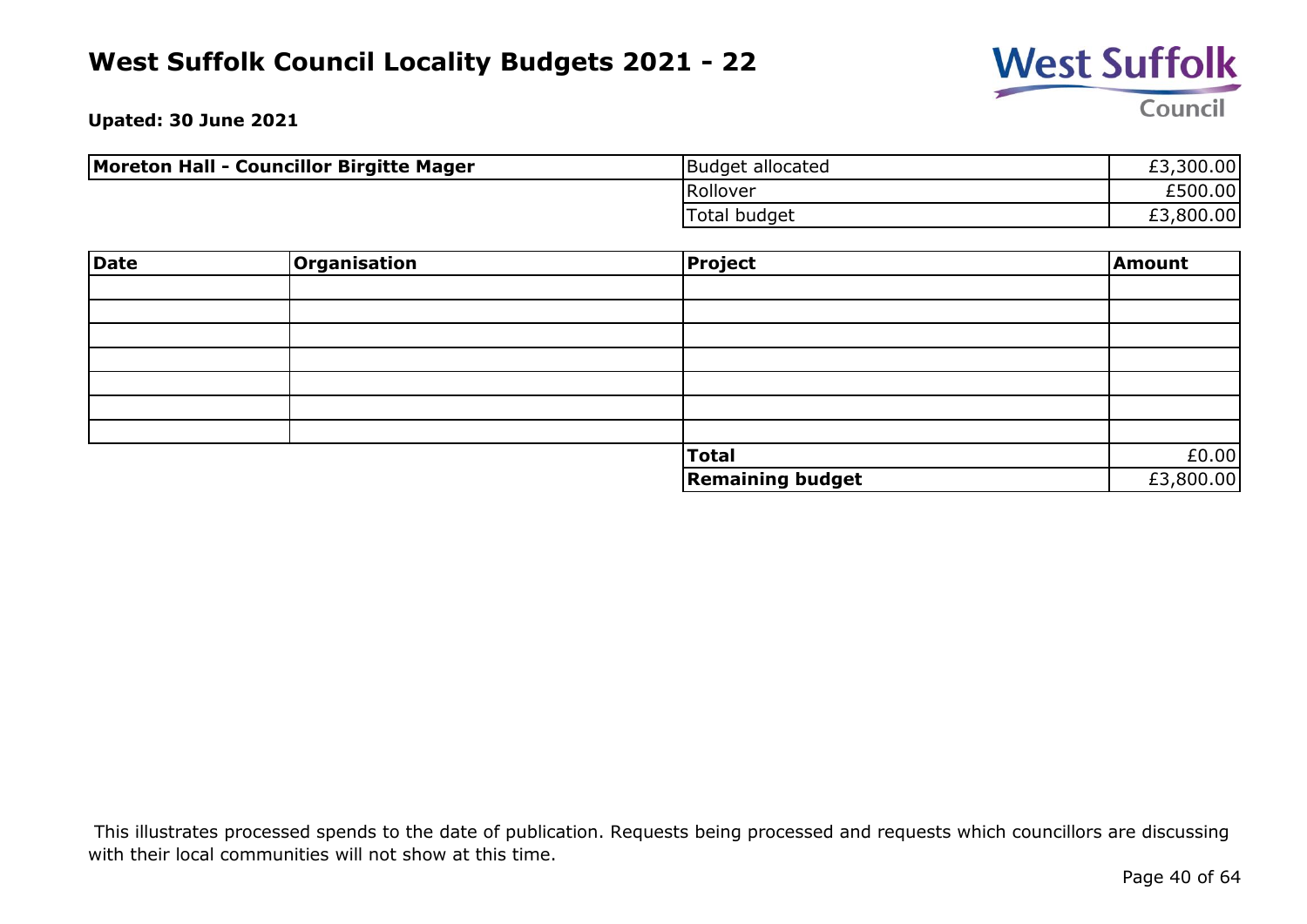

**Upated: 30 June 2021**

| Moreton Hall - Councillor Birgitte Mager | Budget allocated    | £3,300.00 |
|------------------------------------------|---------------------|-----------|
|                                          | Rollover            | £500.00   |
|                                          | <b>Total budget</b> | £3,800.00 |

| Date | <b>Organisation</b> | <b>Project</b>          | Amount    |
|------|---------------------|-------------------------|-----------|
|      |                     |                         |           |
|      |                     |                         |           |
|      |                     |                         |           |
|      |                     |                         |           |
|      |                     |                         |           |
|      |                     |                         |           |
|      |                     |                         |           |
|      |                     | <b>Total</b>            | £0.00     |
|      |                     | <b>Remaining budget</b> | £3,800.00 |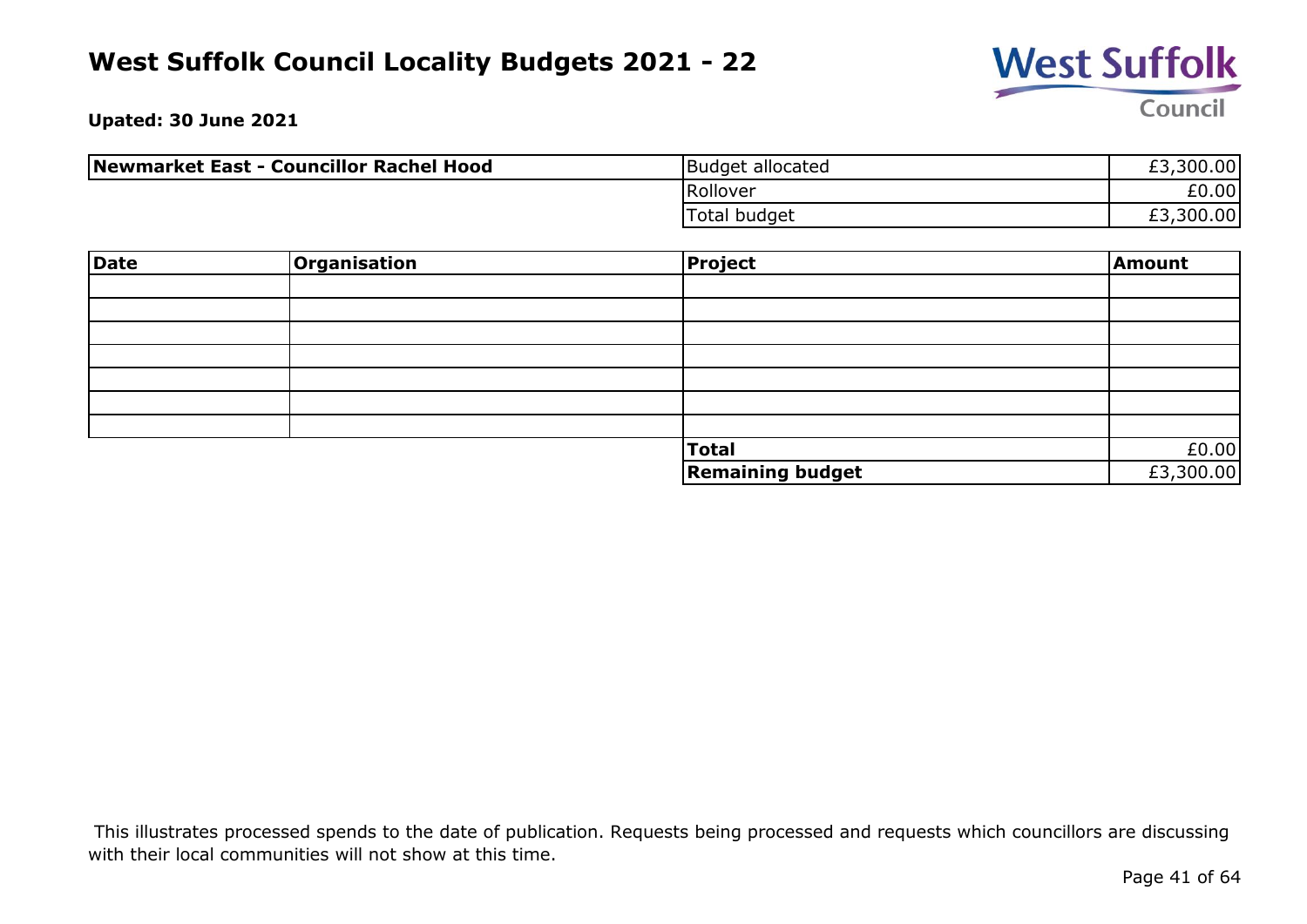

**Upated: 30 June 2021**

| Newmarket East - Councillor Rachel Hood | Budget allocated | £3,300.00 |
|-----------------------------------------|------------------|-----------|
|                                         | Rollover         | £0.00     |
|                                         | Total budget     | £3,300.00 |

| Date | Organisation | <b>Project</b>          | Amount    |
|------|--------------|-------------------------|-----------|
|      |              |                         |           |
|      |              |                         |           |
|      |              |                         |           |
|      |              |                         |           |
|      |              |                         |           |
|      |              |                         |           |
|      |              |                         |           |
|      |              | <b>Total</b>            | £0.00     |
|      |              | <b>Remaining budget</b> | £3,300.00 |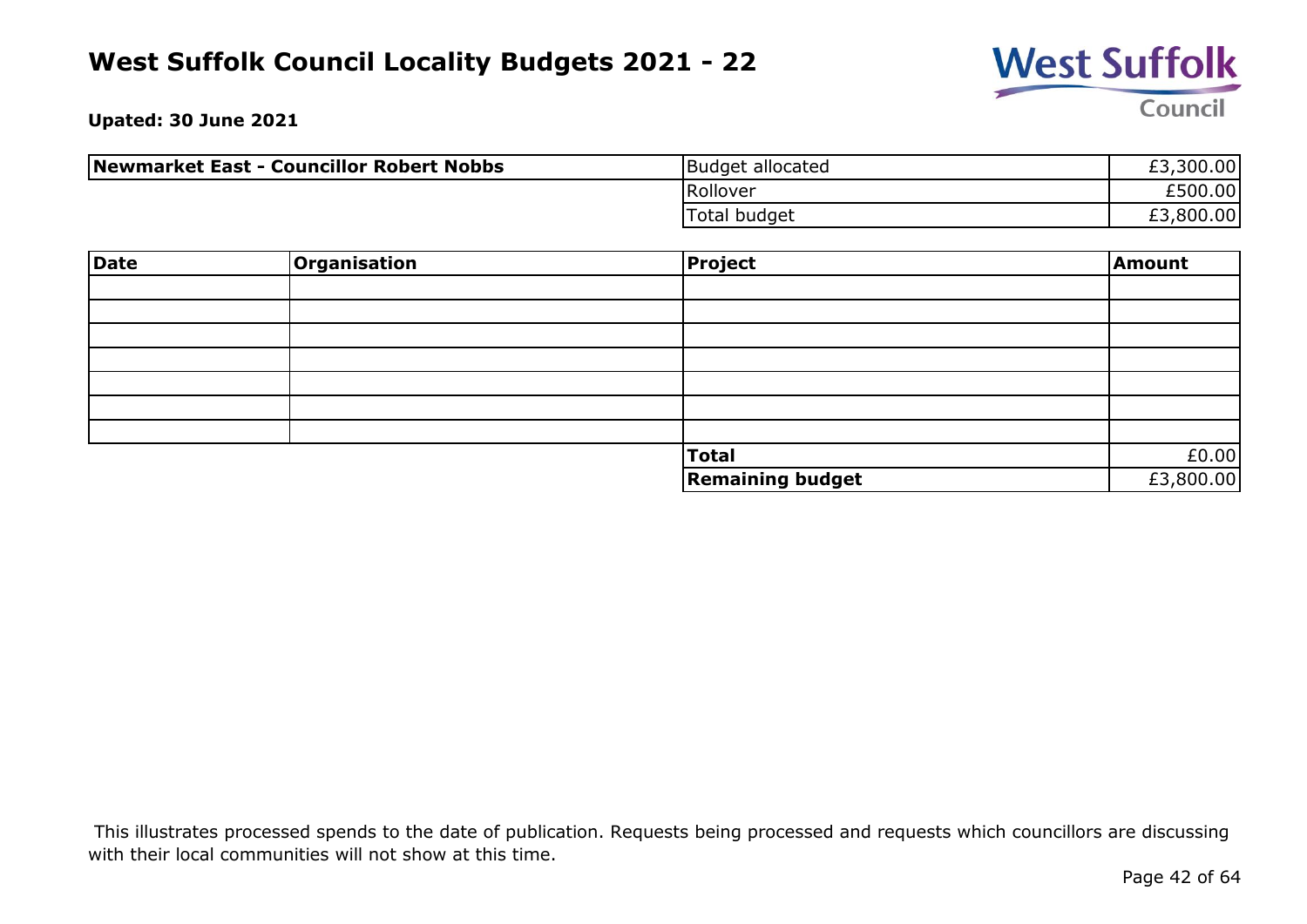

**Upated: 30 June 2021**

| Newmarket East - Councillor Robert Nobbs | Budget allocated | £3,300.00 |
|------------------------------------------|------------------|-----------|
|                                          | Rollover         | £500.00   |
|                                          | Total budget     | £3,800.00 |

| Date | <b>Organisation</b> | <b>Project</b>          | Amount    |
|------|---------------------|-------------------------|-----------|
|      |                     |                         |           |
|      |                     |                         |           |
|      |                     |                         |           |
|      |                     |                         |           |
|      |                     |                         |           |
|      |                     |                         |           |
|      |                     |                         |           |
|      |                     | <b>Total</b>            | £0.00     |
|      |                     | <b>Remaining budget</b> | £3,800.00 |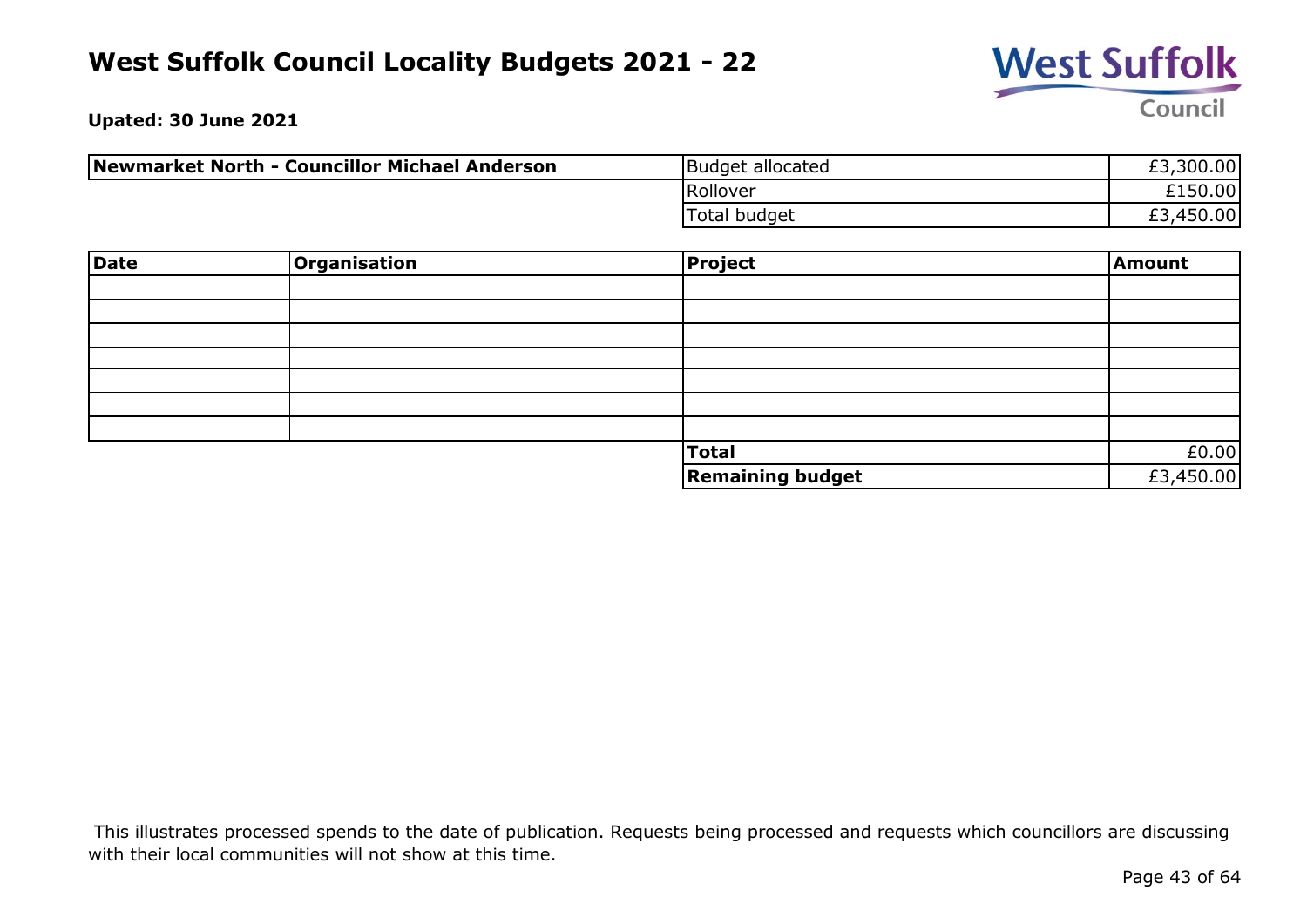

**Upated: 30 June 2021**

| Newmarket North - Councillor Michael Anderson | Budget allocated | £3,300.00 |
|-----------------------------------------------|------------------|-----------|
|                                               | Rollover         | £150.00   |
|                                               | Total budget     | £3,450.00 |

| Date | <b>Organisation</b> | <b>Project</b>          | Amount    |
|------|---------------------|-------------------------|-----------|
|      |                     |                         |           |
|      |                     |                         |           |
|      |                     |                         |           |
|      |                     |                         |           |
|      |                     |                         |           |
|      |                     |                         |           |
|      |                     |                         |           |
|      |                     | Total                   | £0.00     |
|      |                     | <b>Remaining budget</b> | £3,450.00 |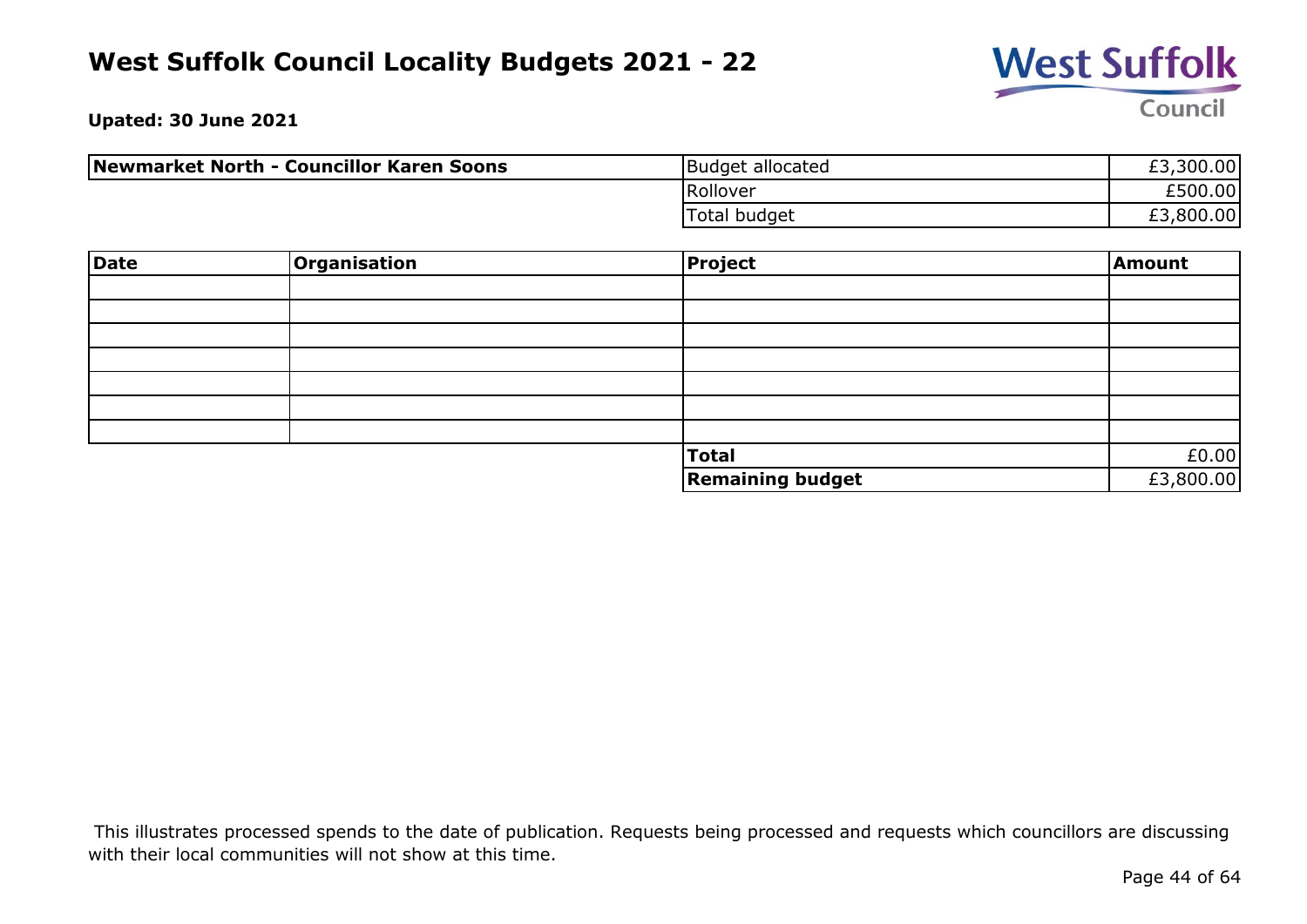

**Upated: 30 June 2021**

| Newmarket North - Councillor Karen Soons | Budget allocated | £3,300.00 |
|------------------------------------------|------------------|-----------|
|                                          | Rollover         | £500.00   |
|                                          | Total budget     | £3,800.00 |

| Date | <b>Organisation</b> | <b>Project</b>          | Amount    |
|------|---------------------|-------------------------|-----------|
|      |                     |                         |           |
|      |                     |                         |           |
|      |                     |                         |           |
|      |                     |                         |           |
|      |                     |                         |           |
|      |                     |                         |           |
|      |                     |                         |           |
|      |                     | <b>Total</b>            | £0.00     |
|      |                     | <b>Remaining budget</b> | £3,800.00 |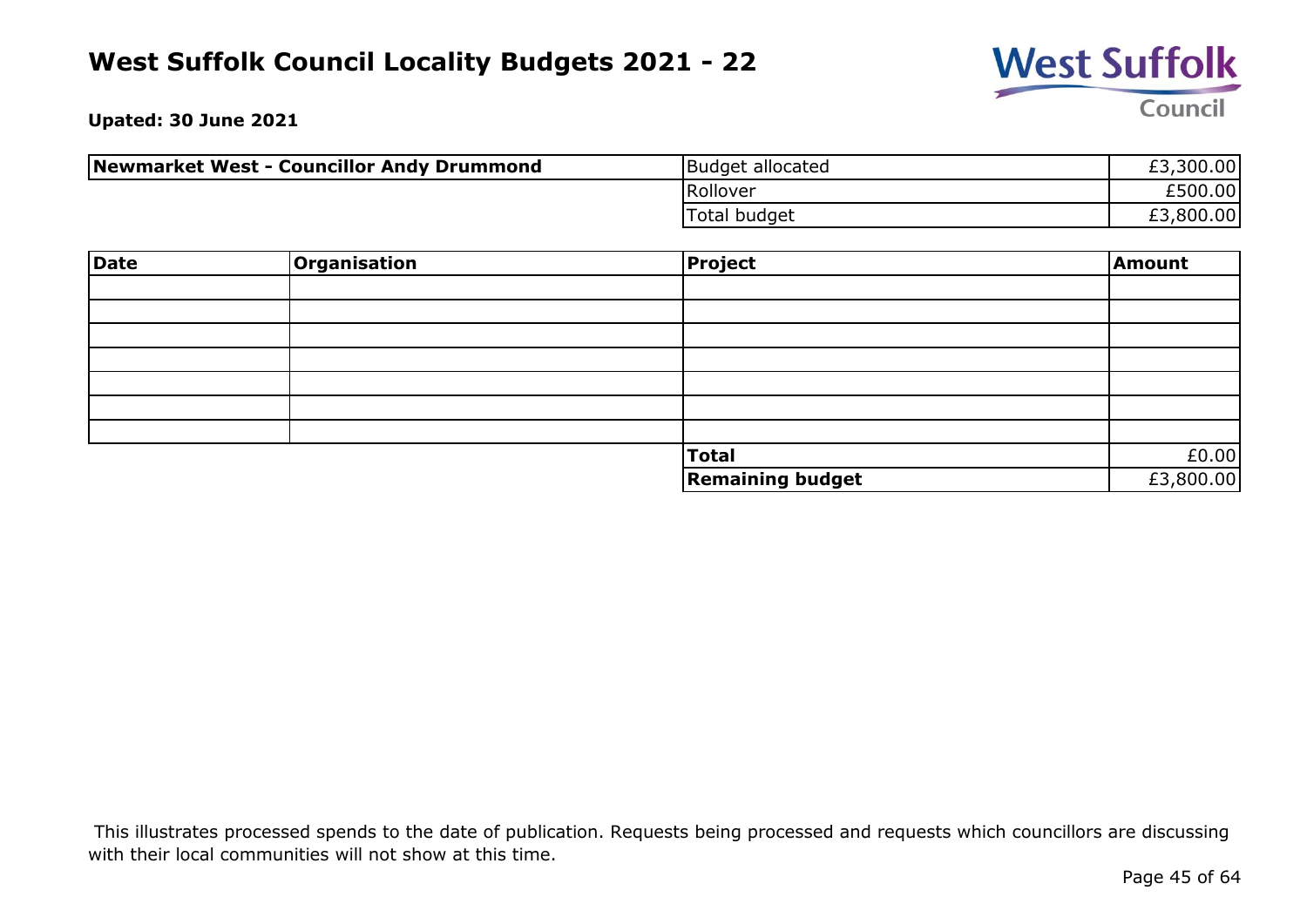

**Upated: 30 June 2021**

| Newmarket West - Councillor Andy Drummond | Budget allocated | £3,300.00 |
|-------------------------------------------|------------------|-----------|
|                                           | Rollover         | £500.00   |
|                                           | Total budget     | £3,800.00 |

| Date | <b>Organisation</b> | <b>Project</b>          | Amount    |
|------|---------------------|-------------------------|-----------|
|      |                     |                         |           |
|      |                     |                         |           |
|      |                     |                         |           |
|      |                     |                         |           |
|      |                     |                         |           |
|      |                     |                         |           |
|      |                     |                         |           |
|      |                     | <b>Total</b>            | £0.00     |
|      |                     | <b>Remaining budget</b> | £3,800.00 |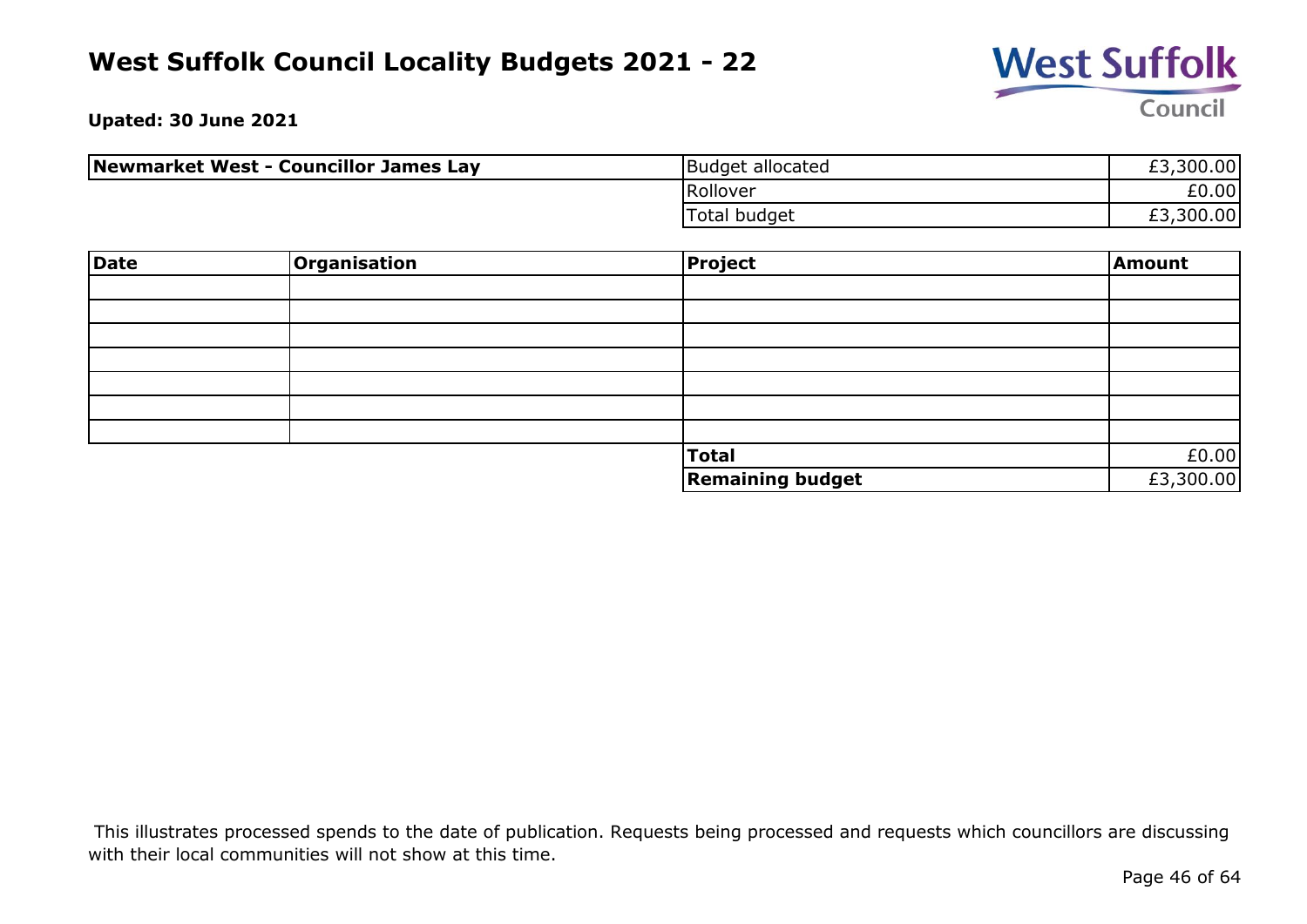

**Upated: 30 June 2021**

| Newmarket West - Councillor James Lay | Budget allocated | £3,300.00 |
|---------------------------------------|------------------|-----------|
|                                       | Rollover         | £0.00     |
|                                       | Total budget     | £3,300.00 |

| Date | <b>Organisation</b> | <b>Project</b>          | Amount    |
|------|---------------------|-------------------------|-----------|
|      |                     |                         |           |
|      |                     |                         |           |
|      |                     |                         |           |
|      |                     |                         |           |
|      |                     |                         |           |
|      |                     |                         |           |
|      |                     |                         |           |
|      |                     | <b>Total</b>            | £0.00     |
|      |                     | <b>Remaining budget</b> | £3,300.00 |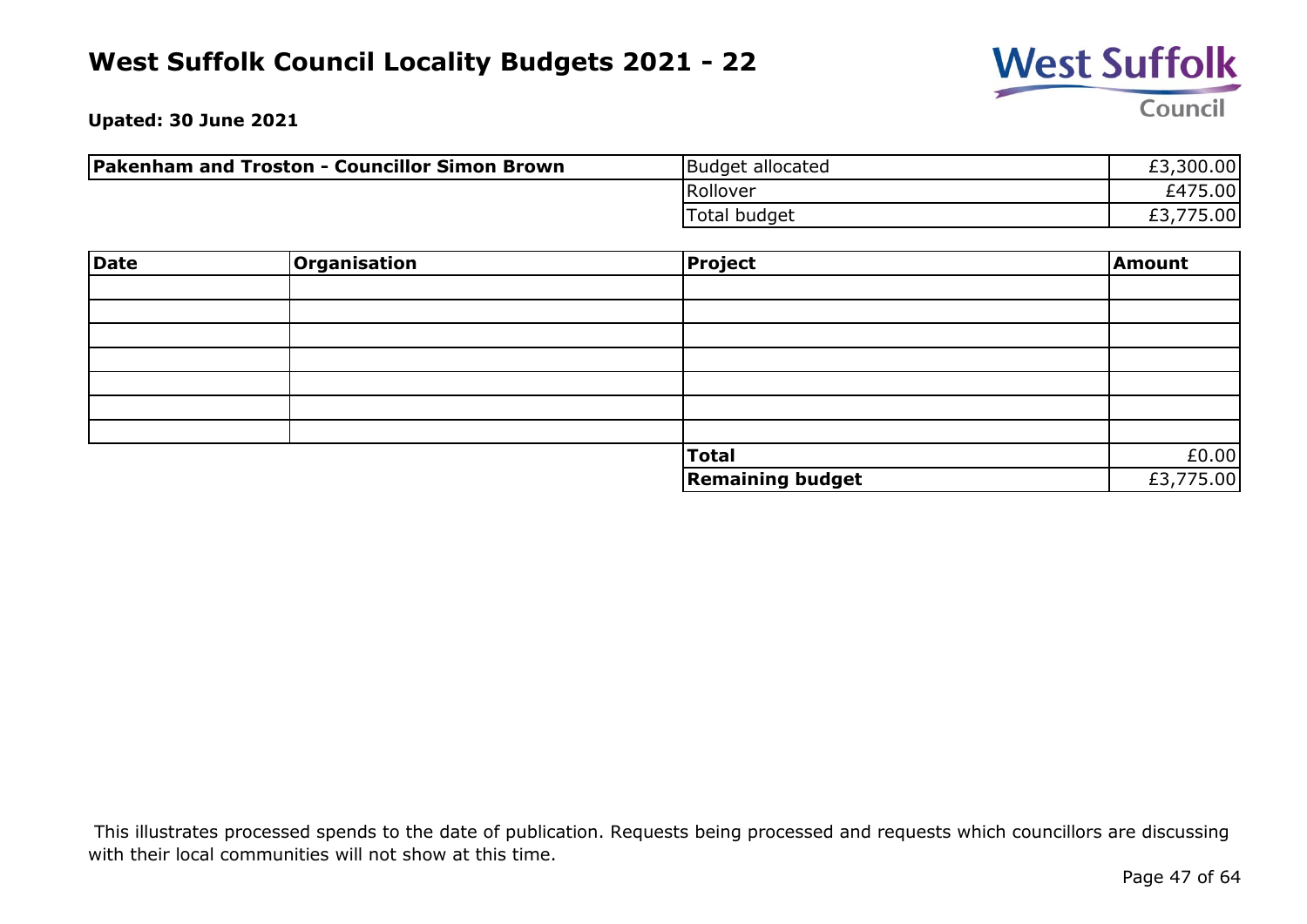

**Upated: 30 June 2021**

| <b>Pakenham and Troston - Councillor Simon Brown</b> | Budget allocated | £3,300.00           |
|------------------------------------------------------|------------------|---------------------|
|                                                      | Rollover         | £475.00             |
|                                                      | Total budget     | 775.00<br>rn<br>LJ. |

| Date | <b>Organisation</b> | <b>Project</b>          | Amount    |
|------|---------------------|-------------------------|-----------|
|      |                     |                         |           |
|      |                     |                         |           |
|      |                     |                         |           |
|      |                     |                         |           |
|      |                     |                         |           |
|      |                     |                         |           |
|      |                     |                         |           |
|      |                     | <b>Total</b>            | £0.00     |
|      |                     | <b>Remaining budget</b> | £3,775.00 |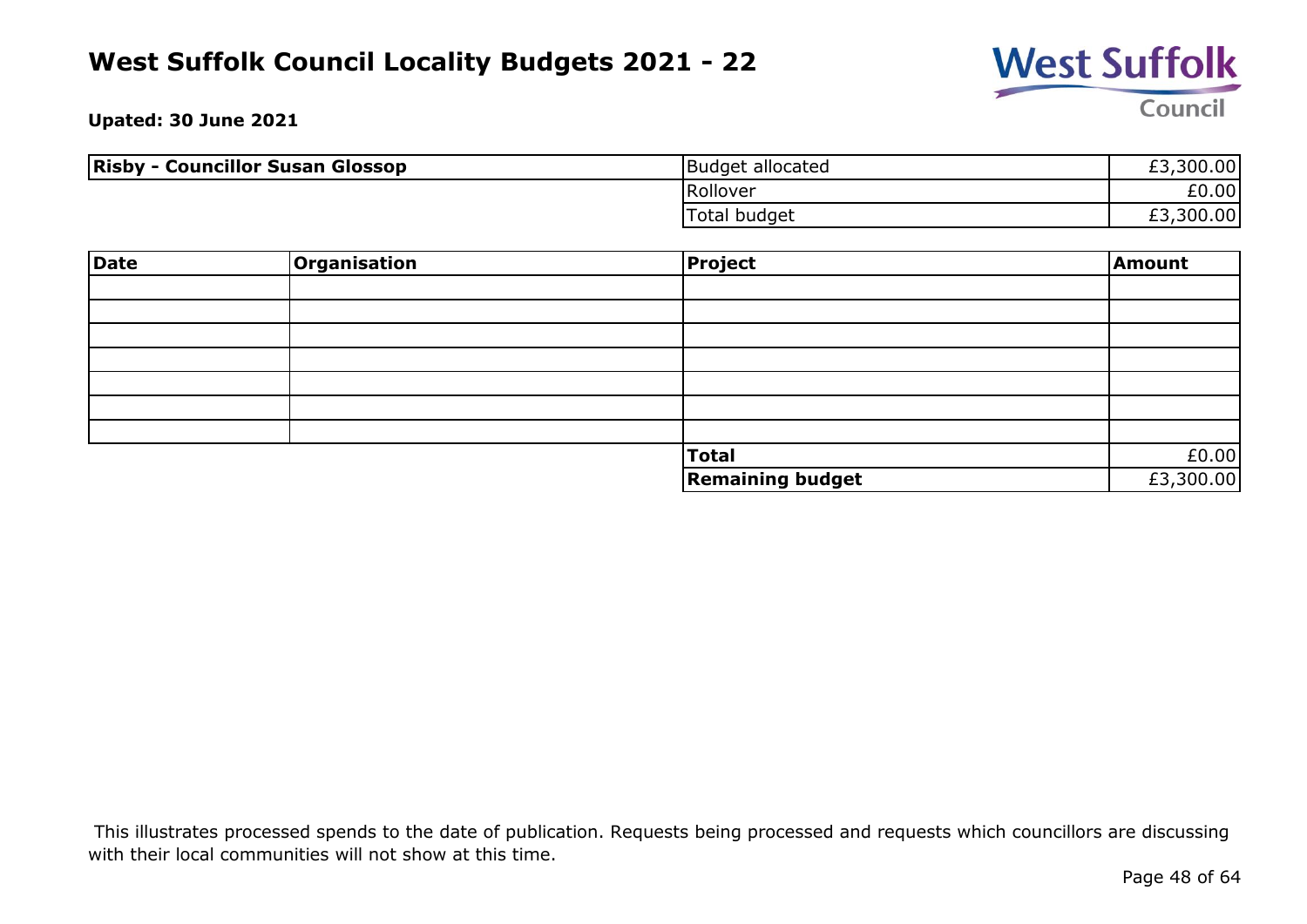

**Upated: 30 June 2021**

| <b>Risby - Councillor Susan Glossop</b> | Budget allocated | £3,300.00 |
|-----------------------------------------|------------------|-----------|
|                                         | Rollover         | £0.00     |
|                                         | Total budget     | £3,300.00 |

| Date | Organisation | Project                 | Amount    |
|------|--------------|-------------------------|-----------|
|      |              |                         |           |
|      |              |                         |           |
|      |              |                         |           |
|      |              |                         |           |
|      |              |                         |           |
|      |              |                         |           |
|      |              |                         |           |
|      |              | Total                   | £0.00     |
|      |              | <b>Remaining budget</b> | £3,300.00 |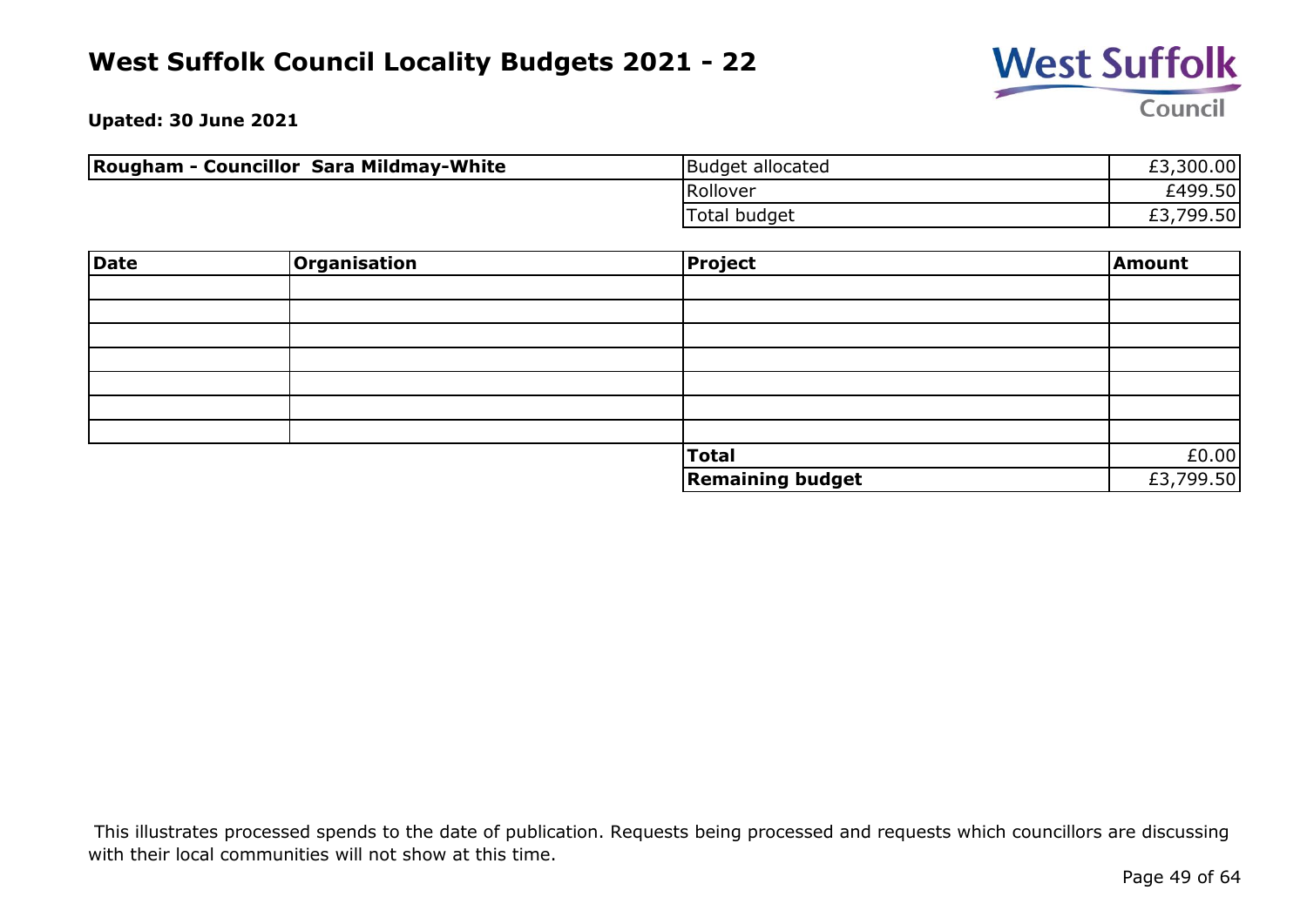

**Upated: 30 June 2021**

| <b>Rougham - Councillor Sara Mildmay-White</b> | Budget allocated | £3,300.00 |
|------------------------------------------------|------------------|-----------|
|                                                | Rollover         | £499.50   |
|                                                | Total budget     | £3,799.50 |

| Date | Organisation | Project                 | Amount    |
|------|--------------|-------------------------|-----------|
|      |              |                         |           |
|      |              |                         |           |
|      |              |                         |           |
|      |              |                         |           |
|      |              |                         |           |
|      |              |                         |           |
|      |              |                         |           |
|      |              | <b>Total</b>            | £0.00     |
|      |              | <b>Remaining budget</b> | £3,799.50 |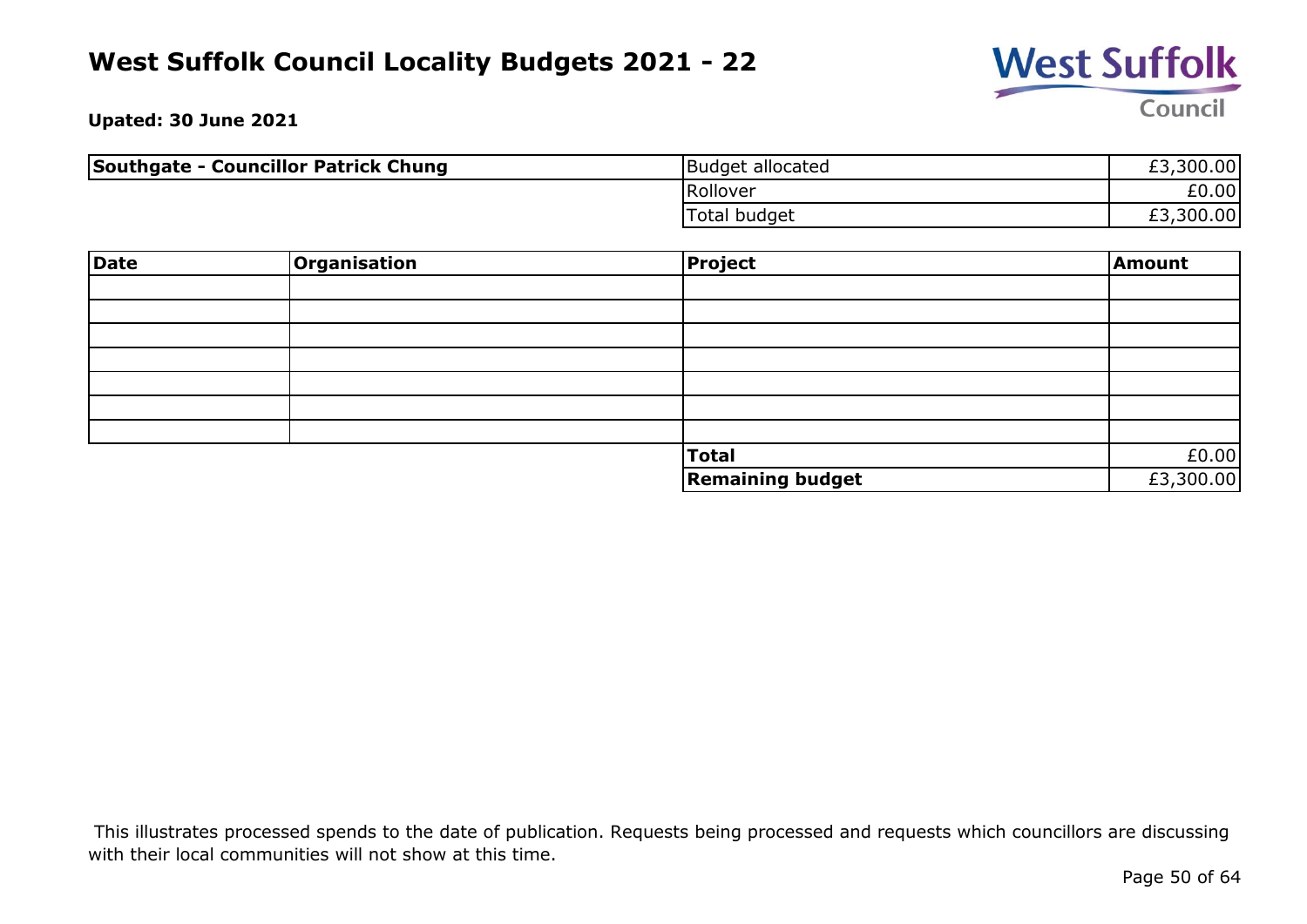

**Upated: 30 June 2021**

| Southgate - Councillor Patrick Chung | Budget allocated    | £3,300.00 |
|--------------------------------------|---------------------|-----------|
|                                      | Rollover            | £0.00     |
|                                      | <b>Total budget</b> | £3,300.00 |

| Date | <b>Organisation</b> | <b>Project</b>          | Amount    |
|------|---------------------|-------------------------|-----------|
|      |                     |                         |           |
|      |                     |                         |           |
|      |                     |                         |           |
|      |                     |                         |           |
|      |                     |                         |           |
|      |                     |                         |           |
|      |                     |                         |           |
|      |                     | <b>Total</b>            | £0.00     |
|      |                     | <b>Remaining budget</b> | £3,300.00 |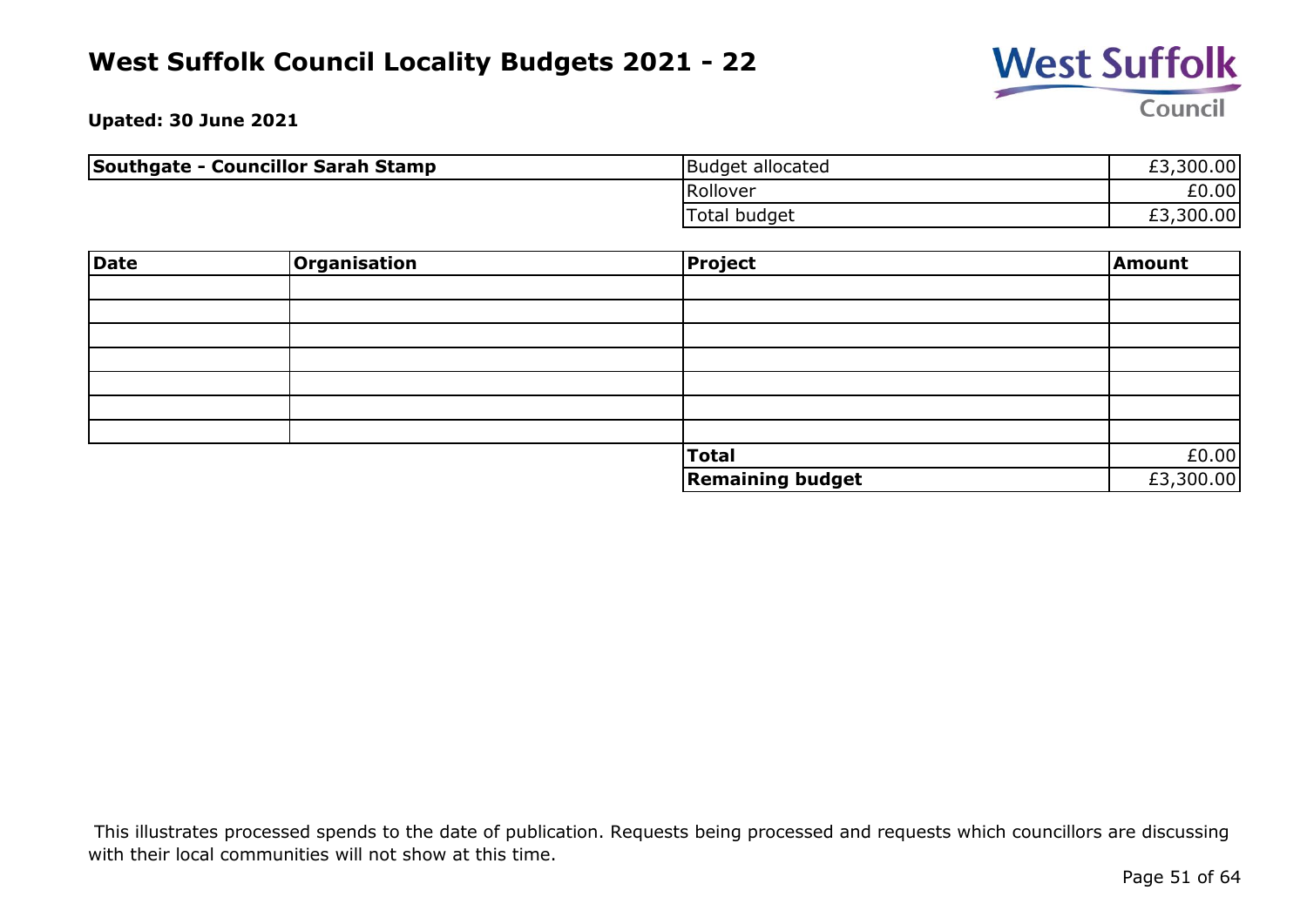

**Upated: 30 June 2021**

| Southgate - Councillor Sarah Stamp | Budget allocated | £3,300.00 |
|------------------------------------|------------------|-----------|
|                                    | Rollover         | £0.00     |
|                                    | Total budget     | £3,300.00 |

| Date | Organisation | <b>Project</b>          | Amount    |
|------|--------------|-------------------------|-----------|
|      |              |                         |           |
|      |              |                         |           |
|      |              |                         |           |
|      |              |                         |           |
|      |              |                         |           |
|      |              |                         |           |
|      |              |                         |           |
|      |              | <b>Total</b>            | £0.00     |
|      |              | <b>Remaining budget</b> | £3,300.00 |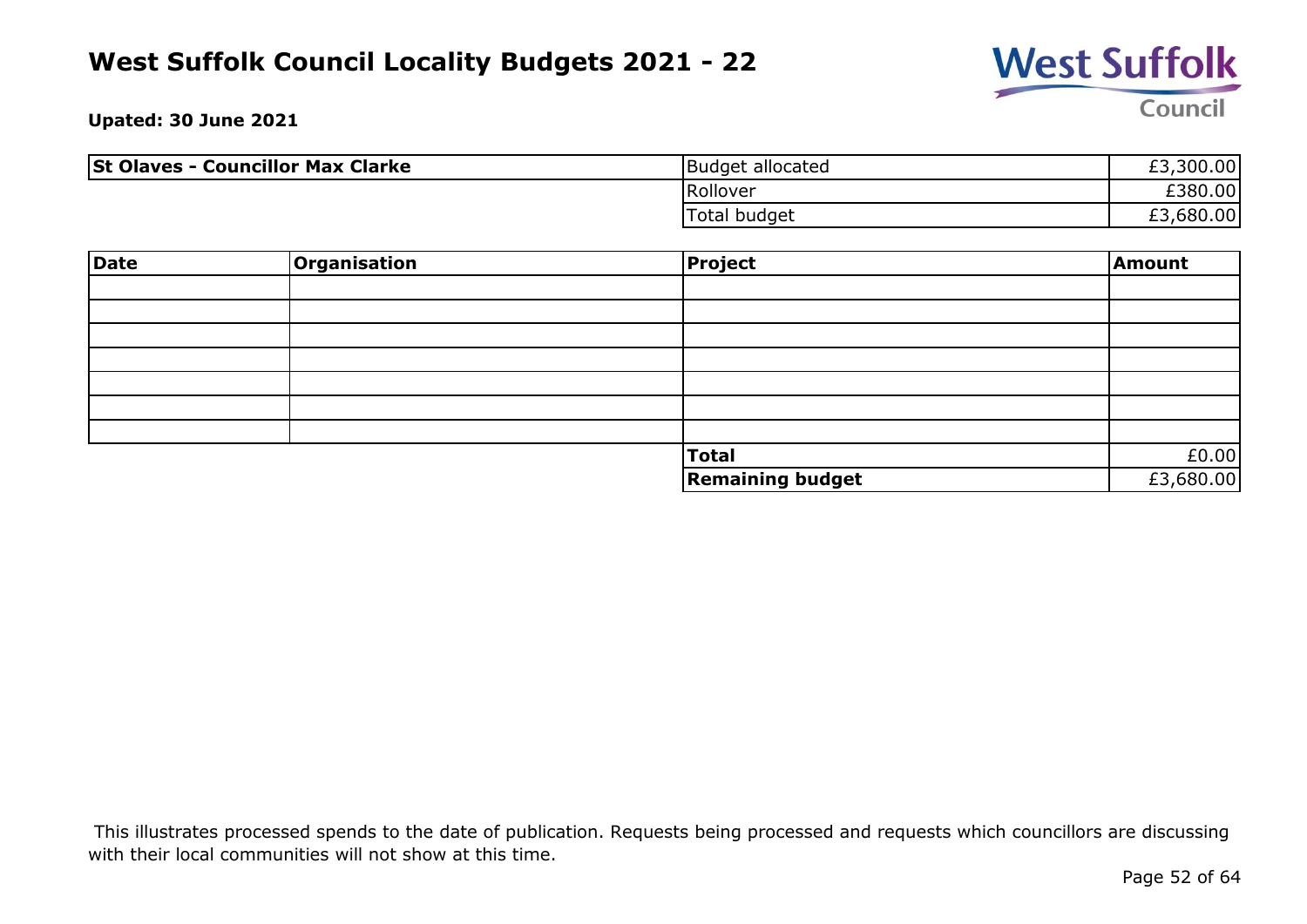

**Upated: 30 June 2021**

| <b>St Olaves - Councillor Max Clarke</b> | Budget allocated | £3,300.00 |
|------------------------------------------|------------------|-----------|
|                                          | Rollover         | £380.00   |
|                                          | Total budget     | £3,680.00 |

| <b>Date</b> | Organisation | Project                 | Amount    |
|-------------|--------------|-------------------------|-----------|
|             |              |                         |           |
|             |              |                         |           |
|             |              |                         |           |
|             |              |                         |           |
|             |              |                         |           |
|             |              |                         |           |
|             |              |                         |           |
|             |              | Total                   | £0.00     |
|             |              | <b>Remaining budget</b> | £3,680.00 |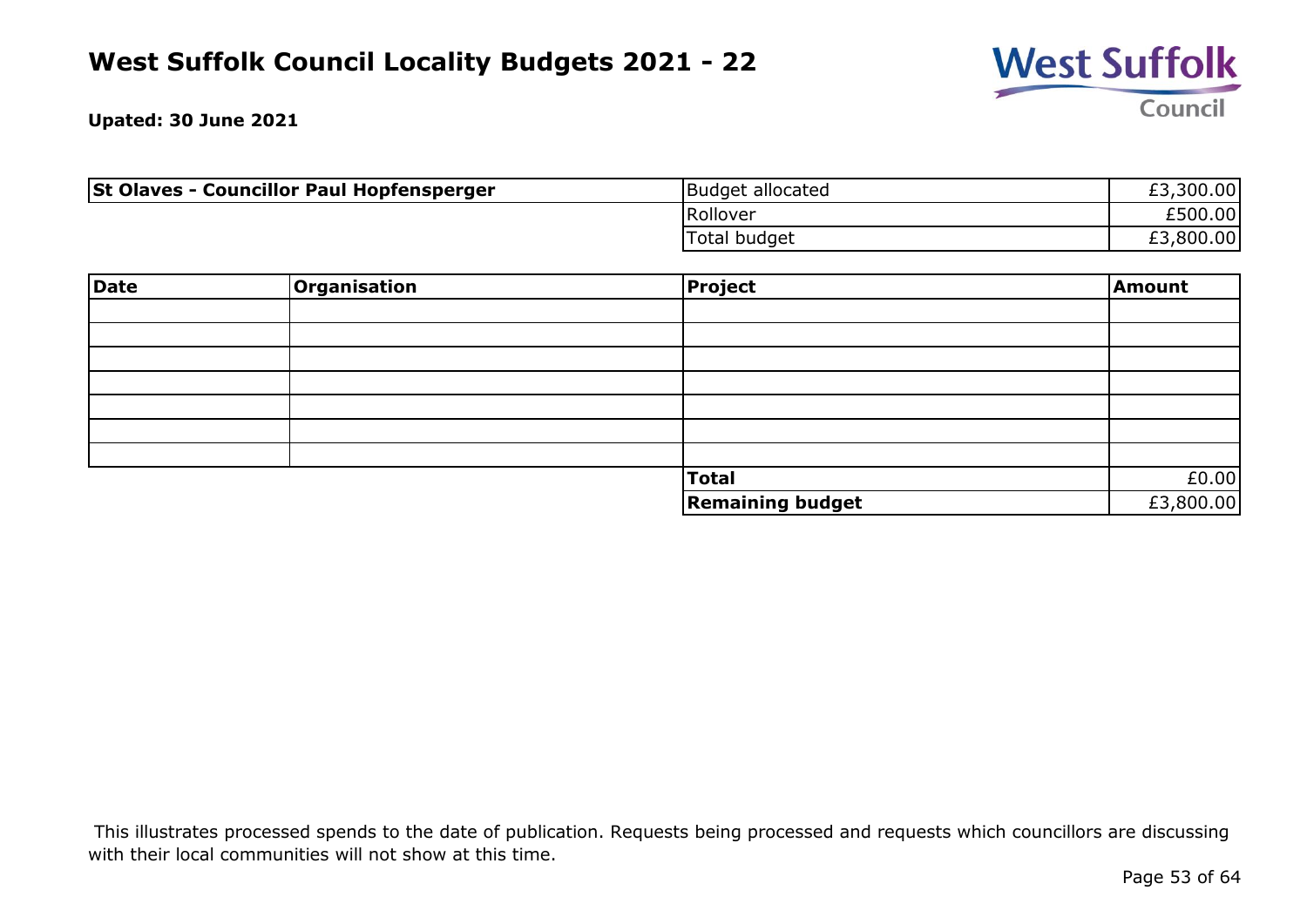

**Upated: 30 June 2021**

| <b>St Olaves - Councillor Paul Hopfensperger</b> | Budget allocated | £3,300.00 |
|--------------------------------------------------|------------------|-----------|
|                                                  | Rollover         | £500.00   |
|                                                  | 'Total budget    | ,800.00   |

| <b>Date</b> | Organisation | Project                 | Amount    |
|-------------|--------------|-------------------------|-----------|
|             |              |                         |           |
|             |              |                         |           |
|             |              |                         |           |
|             |              |                         |           |
|             |              |                         |           |
|             |              |                         |           |
|             |              |                         |           |
|             |              | Total                   | £0.00     |
|             |              | <b>Remaining budget</b> | £3,800.00 |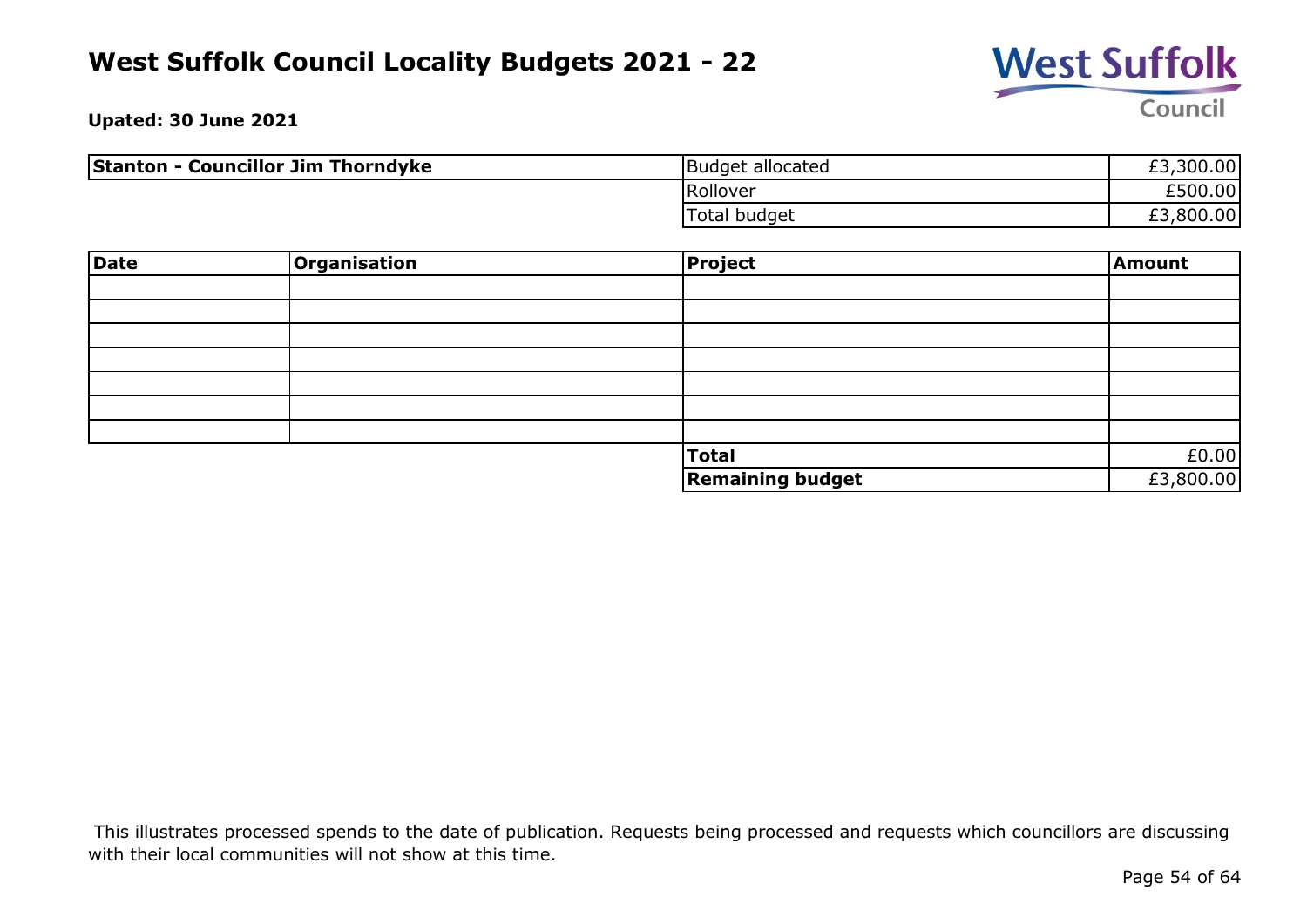

**Upated: 30 June 2021**

| <b>Stanton - Councillor Jim Thorndyke</b> | Budget allocated | £3,300.00 |
|-------------------------------------------|------------------|-----------|
|                                           | Rollover         | £500.00   |
|                                           | Total budget     | £3,800.00 |

| Date | Organisation | Project                 | Amount    |
|------|--------------|-------------------------|-----------|
|      |              |                         |           |
|      |              |                         |           |
|      |              |                         |           |
|      |              |                         |           |
|      |              |                         |           |
|      |              |                         |           |
|      |              |                         |           |
|      |              | Total                   | £0.00     |
|      |              | <b>Remaining budget</b> | £3,800.00 |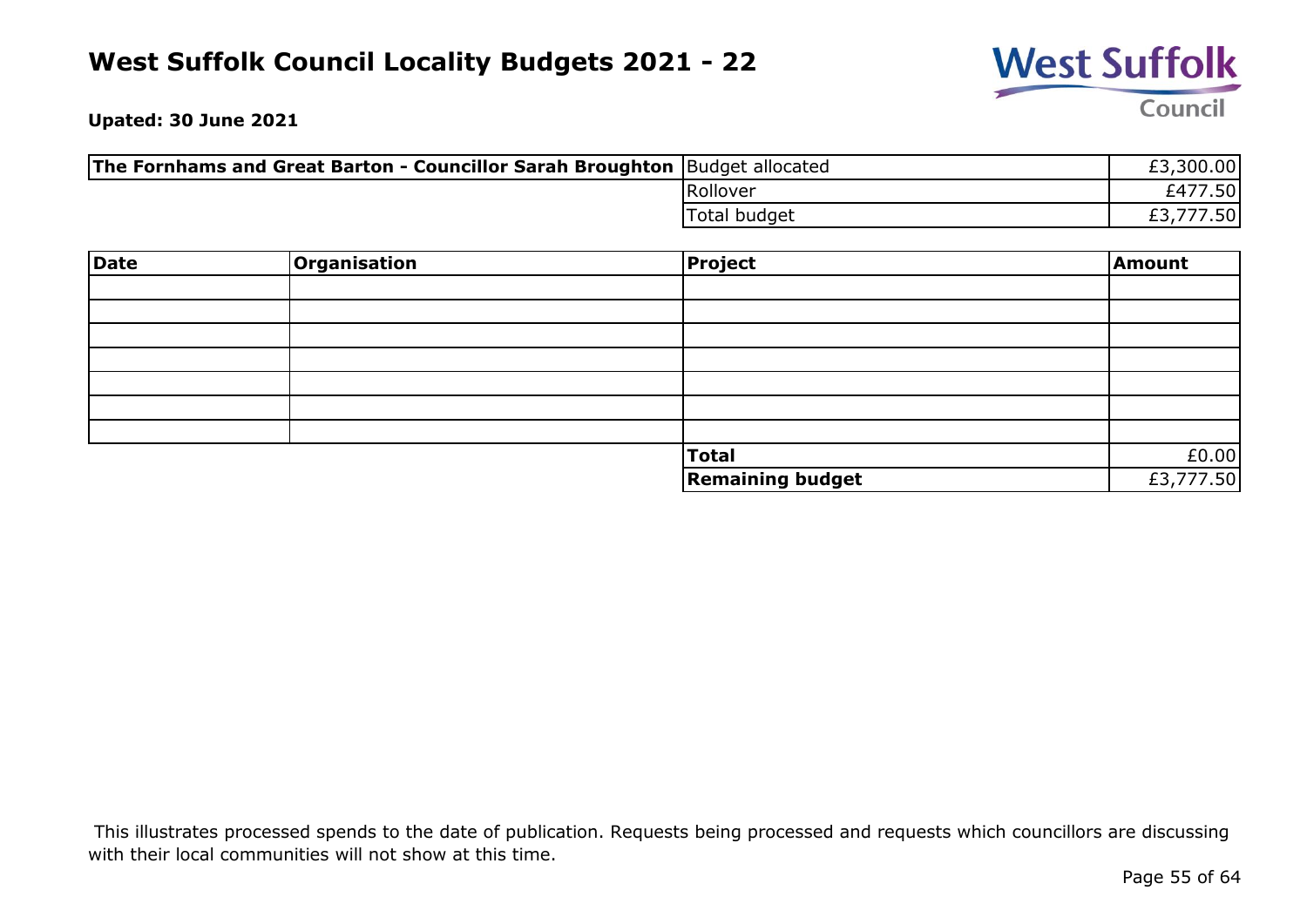

**Upated: 30 June 2021**

| <b>The Fornhams and Great Barton - Councillor Sarah Broughton</b> Budget allocated |              | £3,300.00 |
|------------------------------------------------------------------------------------|--------------|-----------|
|                                                                                    | Rollover     | £477.50   |
|                                                                                    | Total budget | 777.50    |

| Date | Organisation | <b>Project</b>          | Amount    |
|------|--------------|-------------------------|-----------|
|      |              |                         |           |
|      |              |                         |           |
|      |              |                         |           |
|      |              |                         |           |
|      |              |                         |           |
|      |              |                         |           |
|      |              |                         |           |
|      |              | <b>Total</b>            | £0.00     |
|      |              | <b>Remaining budget</b> | £3,777.50 |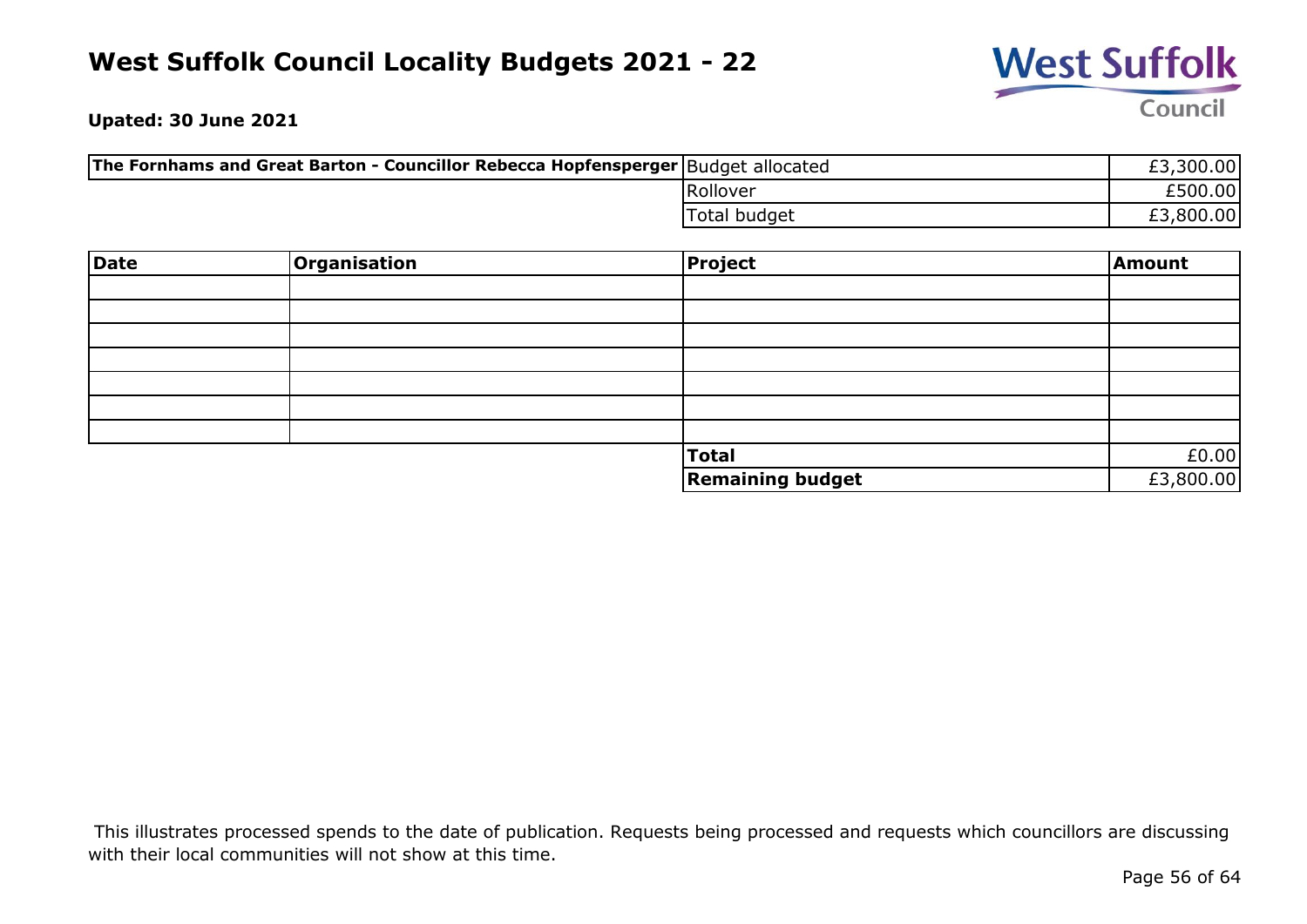

**Upated: 30 June 2021**

| The Fornhams and Great Barton - Councillor Rebecca Hopfensperger   Budget allocated |              | £3,300.00 |
|-------------------------------------------------------------------------------------|--------------|-----------|
|                                                                                     | Rollover     | £500.00   |
|                                                                                     | Total budget | £3,800.00 |

| <b>Date</b> | Organisation | <b>Project</b>          | Amount    |
|-------------|--------------|-------------------------|-----------|
|             |              |                         |           |
|             |              |                         |           |
|             |              |                         |           |
|             |              |                         |           |
|             |              |                         |           |
|             |              |                         |           |
|             |              |                         |           |
|             |              | <b>Total</b>            | £0.00     |
|             |              | <b>Remaining budget</b> | £3,800.00 |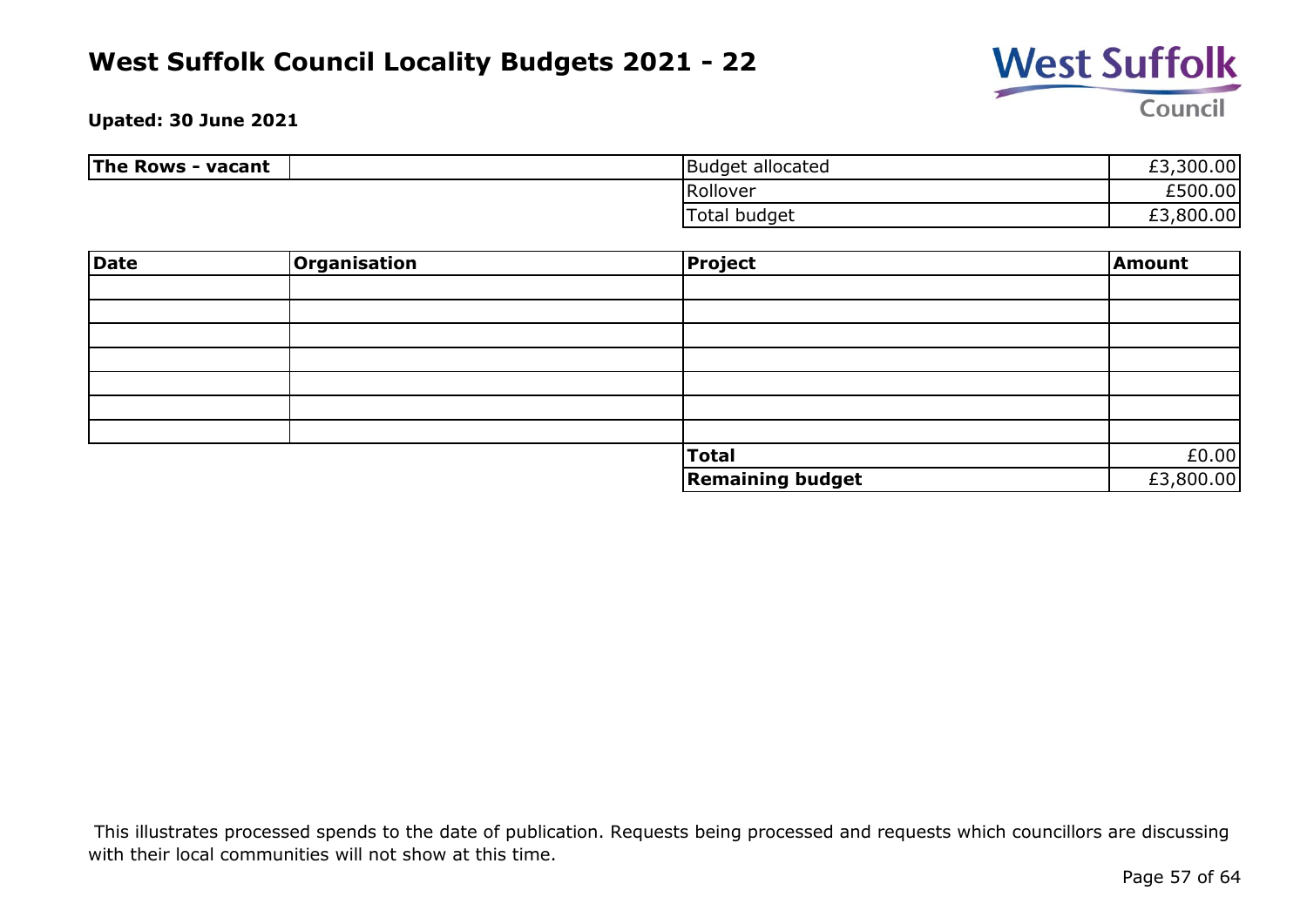

#### **Upated: 30 June 2021**

| The Rows - vacant | <b>Budget allocated</b> | ,300.00<br>c,<br>LJ. |
|-------------------|-------------------------|----------------------|
|                   | Rollover                | £500.00              |
|                   | Total budget            | £3,800.00<br>ے ہے    |

| <b>Date</b> | <b>Organisation</b> | Project                 | Amount    |
|-------------|---------------------|-------------------------|-----------|
|             |                     |                         |           |
|             |                     |                         |           |
|             |                     |                         |           |
|             |                     |                         |           |
|             |                     |                         |           |
|             |                     |                         |           |
|             |                     |                         |           |
|             |                     | Total                   | £0.00     |
|             |                     | <b>Remaining budget</b> | £3,800.00 |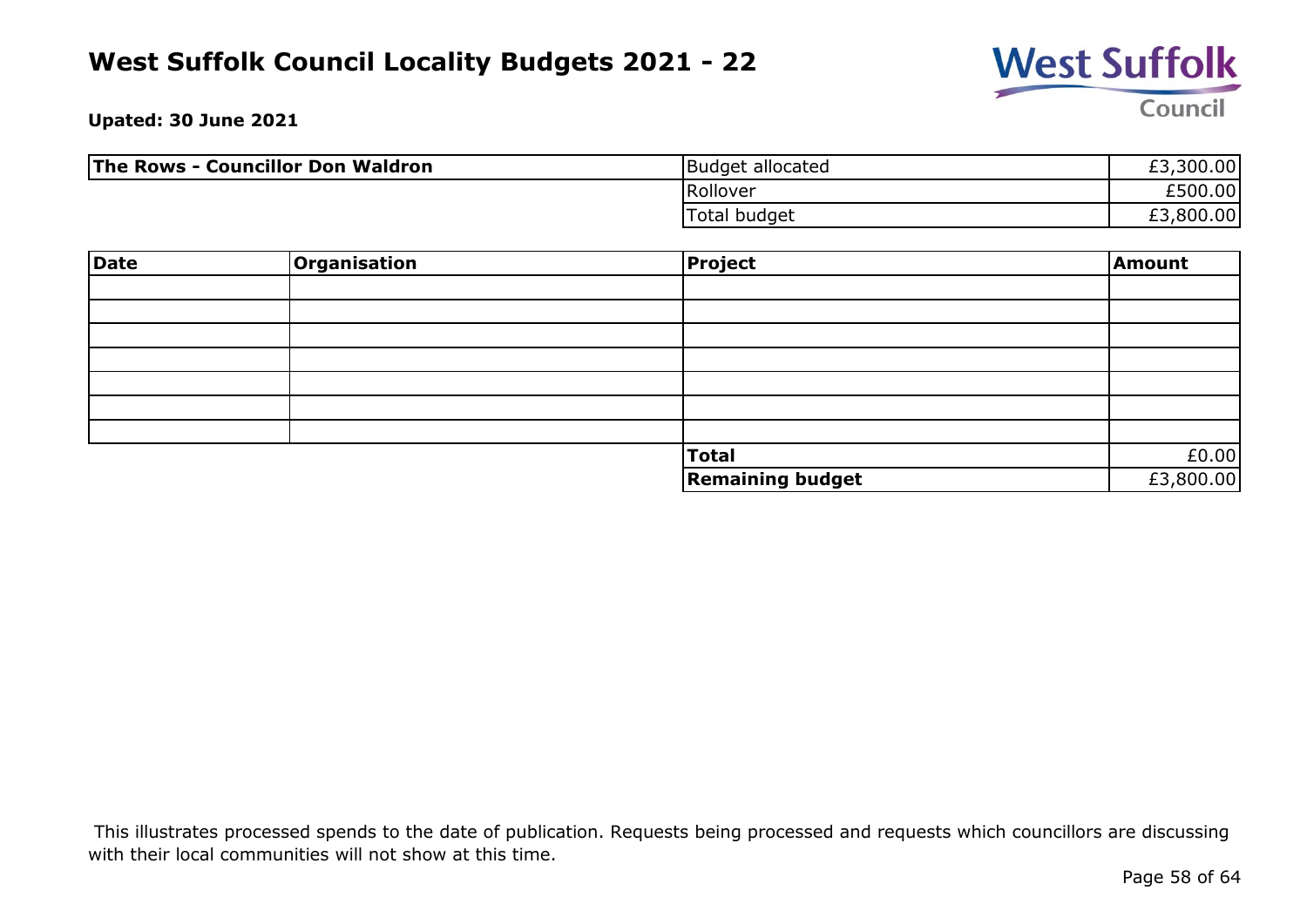

**Upated: 30 June 2021**

| <b>The Rows - Councillor Don Waldron</b> | Budget allocated | £3,300.00 |
|------------------------------------------|------------------|-----------|
|                                          | Rollover         | £500.00   |
|                                          | Total budget     | £3,800.00 |

| <b>Date</b> | Organisation | <b>Project</b>          | Amount    |
|-------------|--------------|-------------------------|-----------|
|             |              |                         |           |
|             |              |                         |           |
|             |              |                         |           |
|             |              |                         |           |
|             |              |                         |           |
|             |              |                         |           |
|             |              |                         |           |
|             |              | <b>Total</b>            | £0.00     |
|             |              | <b>Remaining budget</b> | £3,800.00 |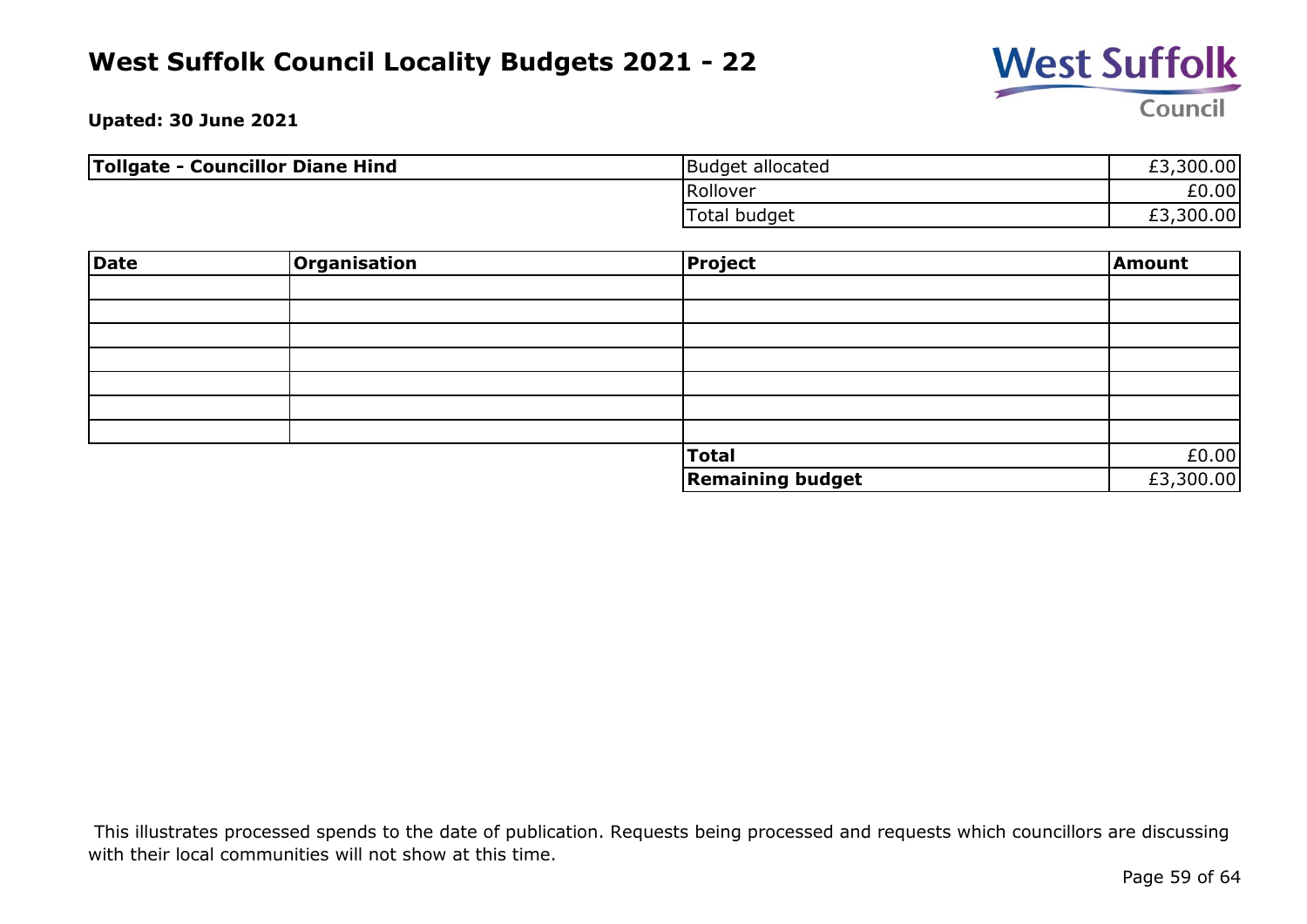

**Upated: 30 June 2021**

| Tollgate - Councillor Diane Hind | Budget allocated | £3,300.00 |
|----------------------------------|------------------|-----------|
|                                  | Rollover         | £0.00     |
|                                  | Total budget     | £3,300.00 |

| <b>Date</b> | Organisation | Project                 | Amount    |
|-------------|--------------|-------------------------|-----------|
|             |              |                         |           |
|             |              |                         |           |
|             |              |                         |           |
|             |              |                         |           |
|             |              |                         |           |
|             |              |                         |           |
|             |              |                         |           |
|             |              | Total                   | £0.00     |
|             |              | <b>Remaining budget</b> | £3,300.00 |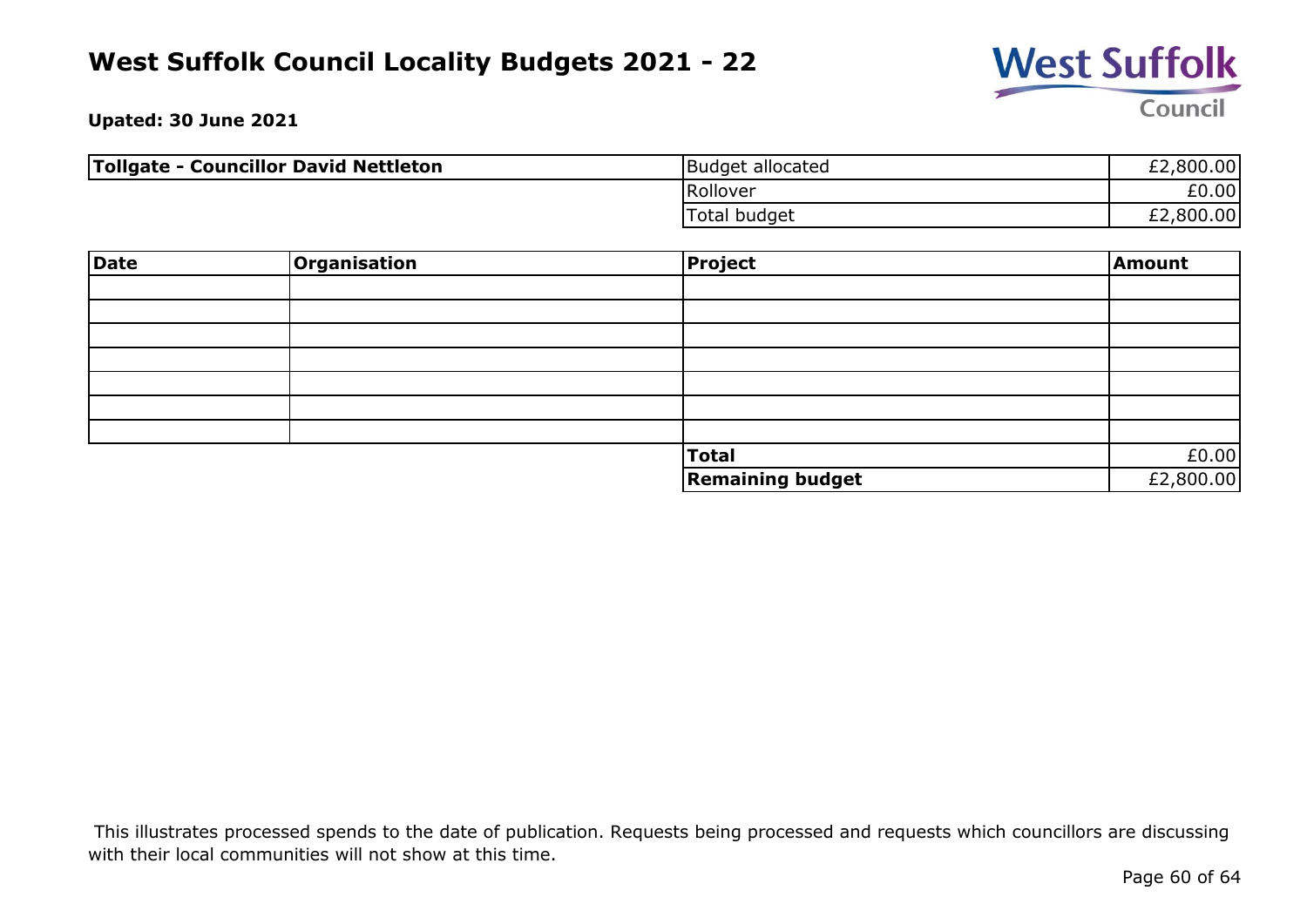

**Upated: 30 June 2021**

| <b>Tollgate - Councillor David Nettleton</b> | Budget allocated | £2,800.00 |
|----------------------------------------------|------------------|-----------|
|                                              | Rollover         | £0.00     |
|                                              | Total budget     | £2,800.00 |

| <b>Date</b> | Organisation | <b>Project</b>          | Amount    |
|-------------|--------------|-------------------------|-----------|
|             |              |                         |           |
|             |              |                         |           |
|             |              |                         |           |
|             |              |                         |           |
|             |              |                         |           |
|             |              |                         |           |
|             |              |                         |           |
|             |              | <b>Total</b>            | £0.00     |
|             |              | <b>Remaining budget</b> | £2,800.00 |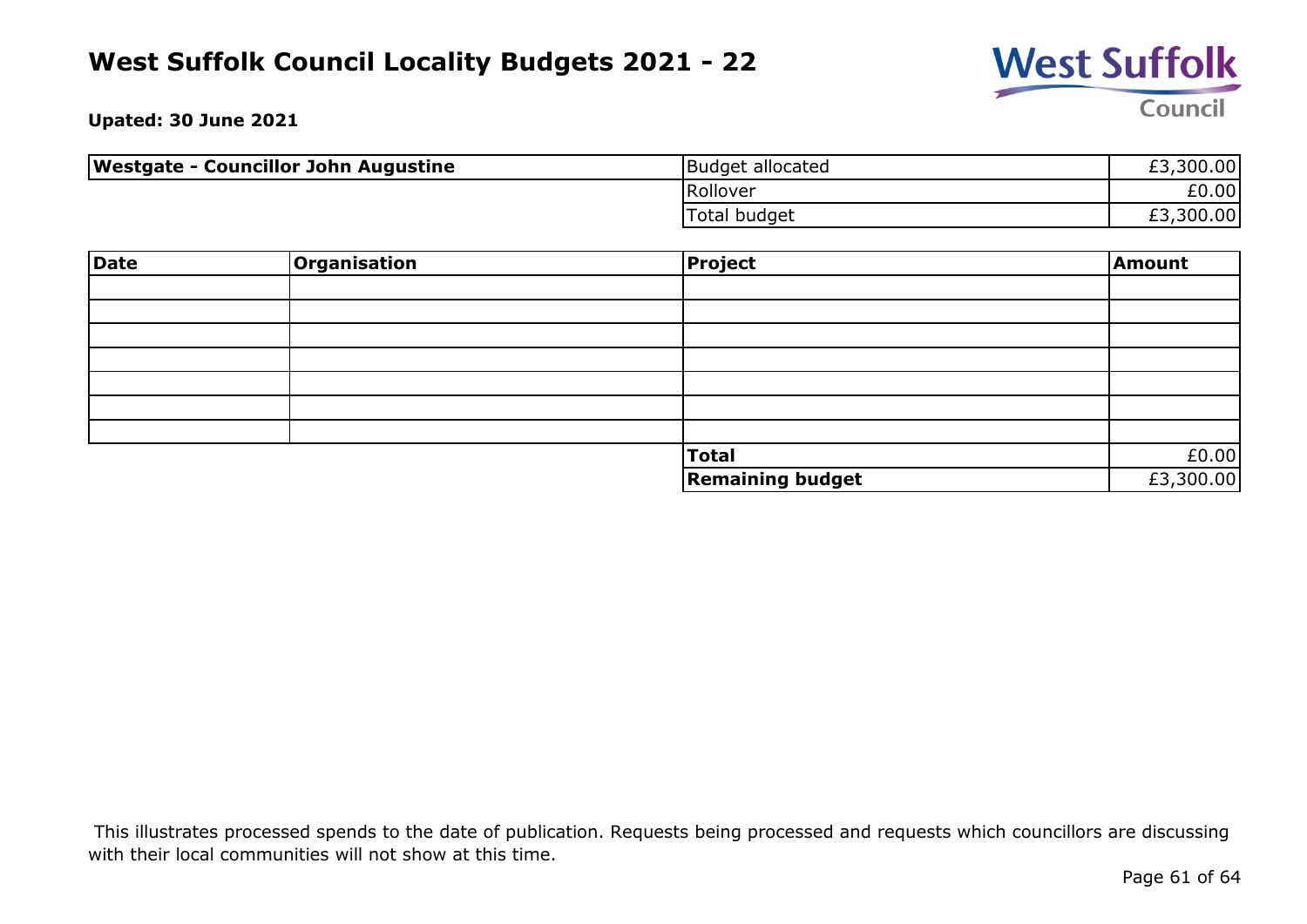

**Upated: 30 June 2021**

| <b>Westgate - Councillor John Augustine</b> | Budget allocated | £3,300.00 |
|---------------------------------------------|------------------|-----------|
|                                             | Rollover         | £0.00     |
|                                             | Total budget     | £3,300.00 |

| Date | <b>Organisation</b> | <b>Project</b>          | Amount    |
|------|---------------------|-------------------------|-----------|
|      |                     |                         |           |
|      |                     |                         |           |
|      |                     |                         |           |
|      |                     |                         |           |
|      |                     |                         |           |
|      |                     |                         |           |
|      |                     |                         |           |
|      |                     | <b>Total</b>            | £0.00     |
|      |                     | <b>Remaining budget</b> | £3,300.00 |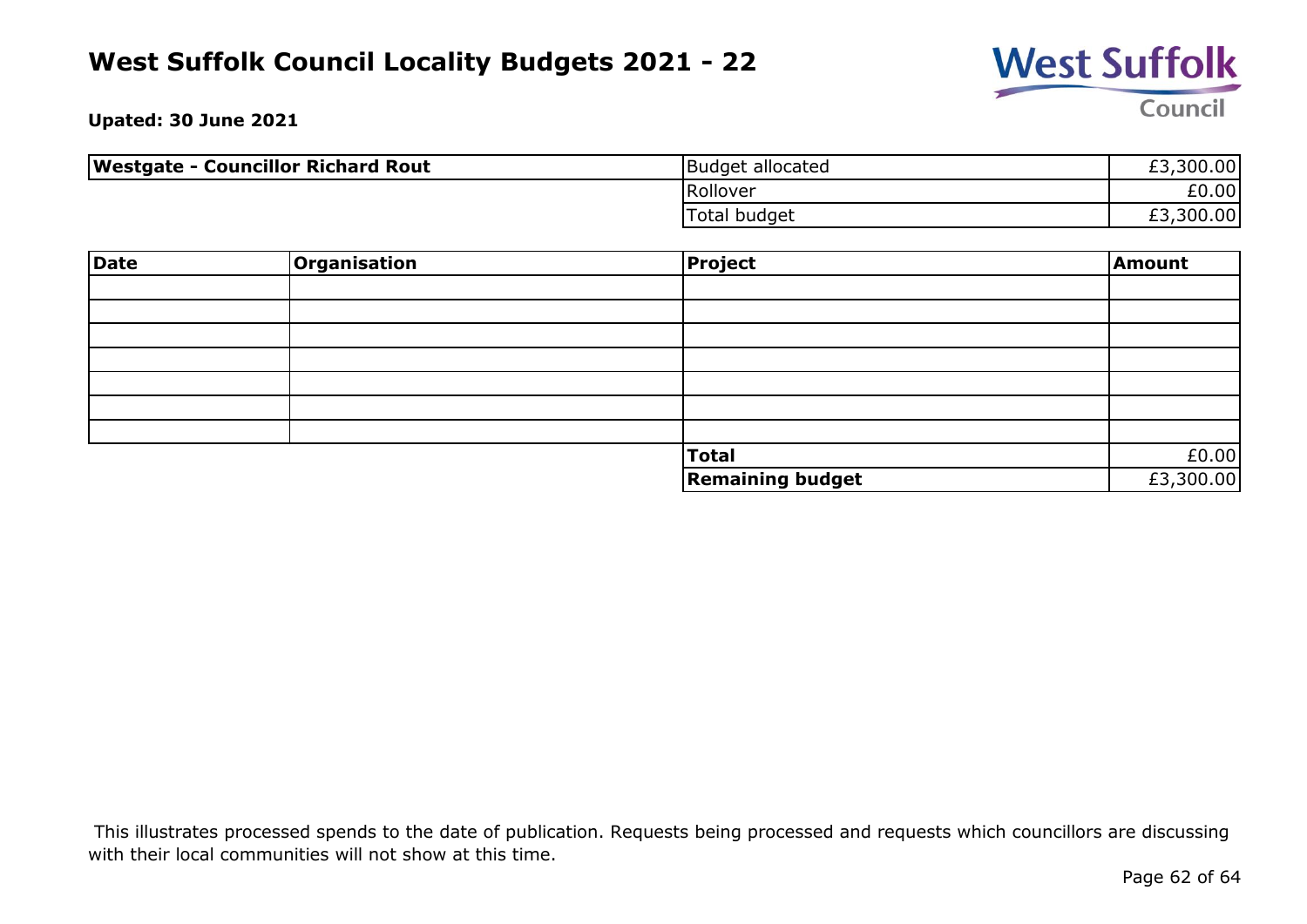

**Upated: 30 June 2021**

| <b>Westgate - Councillor Richard Rout</b> | <b>Budget allocated</b> | £3,300.00 |
|-------------------------------------------|-------------------------|-----------|
|                                           | Rollover                | £0.00     |
|                                           | Total budget            | £3,300.00 |

| Date | Organisation | Project                 | Amount    |
|------|--------------|-------------------------|-----------|
|      |              |                         |           |
|      |              |                         |           |
|      |              |                         |           |
|      |              |                         |           |
|      |              |                         |           |
|      |              |                         |           |
|      |              |                         |           |
|      |              | Total                   | £0.00     |
|      |              | <b>Remaining budget</b> | £3,300.00 |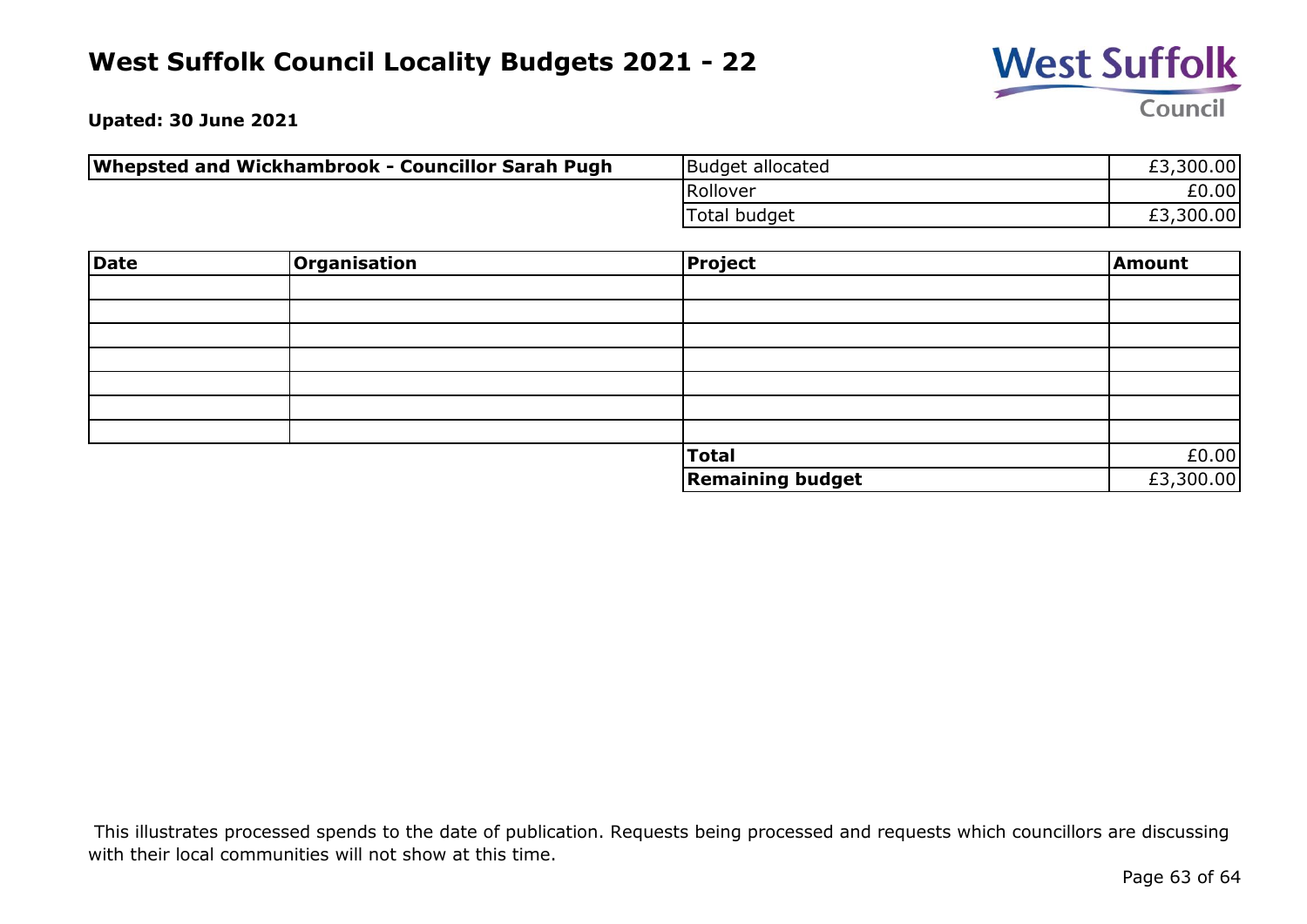

**Upated: 30 June 2021**

| Whepsted and Wickhambrook - Councillor Sarah Pugh | Budget allocated | £3,300.00 |
|---------------------------------------------------|------------------|-----------|
|                                                   | Rollover         | £0.00     |
|                                                   | Total budget     | £3,300.00 |

| Date | <b>Organisation</b> | <b>Project</b>          | Amount    |
|------|---------------------|-------------------------|-----------|
|      |                     |                         |           |
|      |                     |                         |           |
|      |                     |                         |           |
|      |                     |                         |           |
|      |                     |                         |           |
|      |                     |                         |           |
|      |                     |                         |           |
|      |                     | Total                   | £0.00     |
|      |                     | <b>Remaining budget</b> | £3,300.00 |